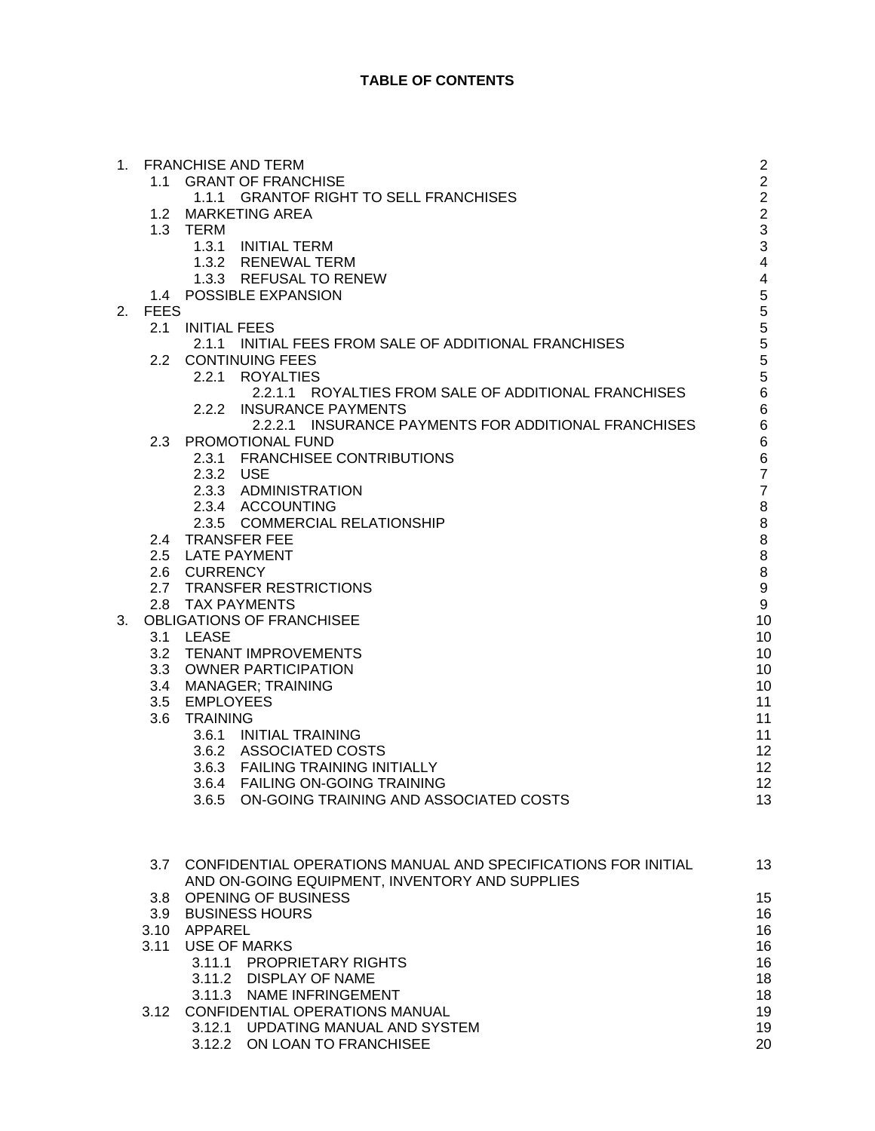| 1. |             | <b>FRANCHISE AND TERM</b><br>1.1 GRANT OF FRANCHISE                                          | $\overline{c}$<br>$\overline{c}$          |
|----|-------------|----------------------------------------------------------------------------------------------|-------------------------------------------|
|    | 1.2         | 1.1.1 GRANTOF RIGHT TO SELL FRANCHISES<br><b>MARKETING AREA</b>                              | $\overline{\mathbf{c}}$<br>$\overline{c}$ |
|    | 1.3         | TERM                                                                                         | 3                                         |
|    |             | 1.3.1 INITIAL TERM<br>1.3.2 RENEWAL TERM                                                     | 3<br>$\overline{\mathcal{A}}$             |
|    |             | 1.3.3 REFUSAL TO RENEW                                                                       | $\overline{\mathbf{4}}$                   |
|    |             | 1.4 POSSIBLE EXPANSION                                                                       | 5                                         |
| 2. | <b>FEES</b> |                                                                                              | 5                                         |
|    |             | 2.1 INITIAL FEES                                                                             | 5                                         |
|    |             | 2.1.1 INITIAL FEES FROM SALE OF ADDITIONAL FRANCHISES                                        | $\mathbf 5$                               |
|    | 2.2         | <b>CONTINUING FEES</b><br><b>ROYALTIES</b><br>2.2.1                                          | 5<br>5                                    |
|    |             | 2.2.1.1 ROYALTIES FROM SALE OF ADDITIONAL FRANCHISES                                         | 6                                         |
|    |             | <b>INSURANCE PAYMENTS</b><br>2.2.2                                                           | 6                                         |
|    |             | INSURANCE PAYMENTS FOR ADDITIONAL FRANCHISES<br>2.2.2.1                                      | 6                                         |
|    | 2.3         | PROMOTIONAL FUND                                                                             | 6                                         |
|    |             | 2.3.1 FRANCHISEE CONTRIBUTIONS<br>2.3.2 USE                                                  | 6<br>$\overline{7}$                       |
|    |             | 2.3.3 ADMINISTRATION                                                                         | $\overline{7}$                            |
|    |             | 2.3.4 ACCOUNTING                                                                             | 8                                         |
|    |             | 2.3.5 COMMERCIAL RELATIONSHIP                                                                | 8                                         |
|    |             | 2.4 TRANSFER FEE                                                                             | 8                                         |
|    |             | 2.5 LATE PAYMENT                                                                             | 8                                         |
|    |             | 2.6 CURRENCY<br>2.7 TRANSFER RESTRICTIONS                                                    | 8<br>$\boldsymbol{9}$                     |
|    |             | 2.8 TAX PAYMENTS                                                                             | 9                                         |
| 3. |             | <b>OBLIGATIONS OF FRANCHISEE</b>                                                             | 10                                        |
|    |             | 3.1 LEASE                                                                                    | 10                                        |
|    |             | 3.2 TENANT IMPROVEMENTS                                                                      | 10                                        |
|    |             | 3.3 OWNER PARTICIPATION                                                                      | 10                                        |
|    |             | 3.4 MANAGER; TRAINING<br>3.5 EMPLOYEES                                                       | 10<br>11                                  |
|    | 3.6         | <b>TRAINING</b>                                                                              | 11                                        |
|    |             | 3.6.1 INITIAL TRAINING                                                                       | 11                                        |
|    |             | 3.6.2 ASSOCIATED COSTS                                                                       | 12                                        |
|    |             | 3.6.3 FAILING TRAINING INITIALLY                                                             | 12                                        |
|    |             | <b>FAILING ON-GOING TRAINING</b><br>3.6.4<br>ON-GOING TRAINING AND ASSOCIATED COSTS<br>3.6.5 | 12<br>13                                  |
|    |             |                                                                                              |                                           |
|    |             |                                                                                              |                                           |
|    | 3.7         | CONFIDENTIAL OPERATIONS MANUAL AND SPECIFICATIONS FOR INITIAL                                | 13                                        |
|    |             | AND ON-GOING EQUIPMENT, INVENTORY AND SUPPLIES                                               |                                           |
|    | 3.8         | <b>OPENING OF BUSINESS</b>                                                                   | 15                                        |
|    |             | 3.9 BUSINESS HOURS                                                                           | 16                                        |
|    |             | 3.10 APPAREL                                                                                 | 16                                        |
|    |             | 3.11 USE OF MARKS<br>3.11.1 PROPRIETARY RIGHTS                                               | 16<br>16                                  |
|    |             | 3.11.2 DISPLAY OF NAME                                                                       | 18                                        |
|    |             | 3.11.3 NAME INFRINGEMENT                                                                     | 18                                        |
|    | 3.12        | CONFIDENTIAL OPERATIONS MANUAL                                                               | 19                                        |
|    |             | 3.12.1 UPDATING MANUAL AND SYSTEM                                                            | 19                                        |
|    |             | 3.12.2 ON LOAN TO FRANCHISEE                                                                 | 20                                        |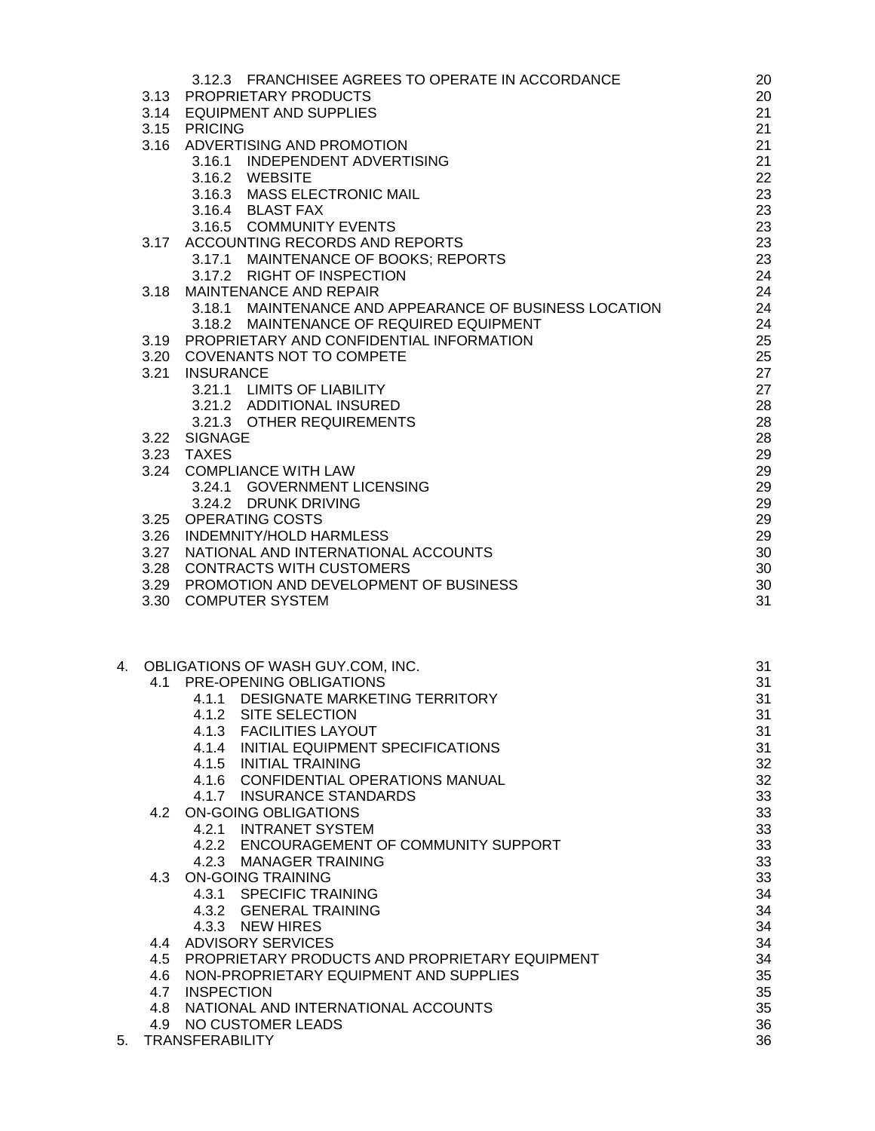|    |      | 3.12.3 FRANCHISEE AGREES TO OPERATE IN ACCORDANCE      | 20 |
|----|------|--------------------------------------------------------|----|
|    | 3.13 | PROPRIETARY PRODUCTS                                   | 20 |
|    |      | 3.14 EQUIPMENT AND SUPPLIES                            | 21 |
|    |      | 3.15 PRICING                                           | 21 |
|    |      | 3.16 ADVERTISING AND PROMOTION                         | 21 |
|    |      | 3.16.1 INDEPENDENT ADVERTISING                         | 21 |
|    |      | 3.16.2 WEBSITE                                         | 22 |
|    |      | 3.16.3 MASS ELECTRONIC MAIL                            | 23 |
|    |      | 3.16.4 BLAST FAX                                       | 23 |
|    |      | 3.16.5 COMMUNITY EVENTS                                | 23 |
|    |      | 3.17 ACCOUNTING RECORDS AND REPORTS                    | 23 |
|    |      | 3.17.1 MAINTENANCE OF BOOKS; REPORTS                   | 23 |
|    |      | 3.17.2 RIGHT OF INSPECTION                             | 24 |
|    | 3.18 | MAINTENANCE AND REPAIR                                 | 24 |
|    |      | 3.18.1 MAINTENANCE AND APPEARANCE OF BUSINESS LOCATION | 24 |
|    |      | 3.18.2 MAINTENANCE OF REQUIRED EQUIPMENT               | 24 |
|    |      | 3.19 PROPRIETARY AND CONFIDENTIAL INFORMATION          | 25 |
|    |      |                                                        | 25 |
|    | 3.20 | <b>COVENANTS NOT TO COMPETE</b>                        |    |
|    | 3.21 | <b>INSURANCE</b>                                       | 27 |
|    |      | 3.21.1 LIMITS OF LIABILITY                             | 27 |
|    |      | 3.21.2 ADDITIONAL INSURED                              | 28 |
|    |      | 3.21.3 OTHER REQUIREMENTS                              | 28 |
|    |      | 3.22 SIGNAGE                                           | 28 |
|    |      | 3.23 TAXES                                             | 29 |
|    | 3.24 | <b>COMPLIANCE WITH LAW</b>                             | 29 |
|    |      | 3.24.1 GOVERNMENT LICENSING                            | 29 |
|    |      | 3.24.2 DRUNK DRIVING                                   | 29 |
|    |      | 3.25 OPERATING COSTS                                   | 29 |
|    |      | 3.26 INDEMNITY/HOLD HARMLESS                           | 29 |
|    |      | 3.27 NATIONAL AND INTERNATIONAL ACCOUNTS               | 30 |
|    |      | 3.28 CONTRACTS WITH CUSTOMERS                          | 30 |
|    |      | 3.29 PROMOTION AND DEVELOPMENT OF BUSINESS             | 30 |
|    | 3.30 | <b>COMPUTER SYSTEM</b>                                 | 31 |
|    |      |                                                        |    |
| 4. |      | OBLIGATIONS OF WASH GUY.COM, INC.                      | 31 |
|    |      | 4.1 PRE-OPENING OBLIGATIONS                            | 31 |
|    |      | 4.1.1 DESIGNATE MARKETING TERRITORY                    | 31 |
|    |      | 4.1.2 SITE SELECTION                                   | 31 |
|    |      | 4.1.3 FACILITIES LAYOUT                                | 31 |
|    |      | 4.1.4 INITIAL EQUIPMENT SPECIFICATIONS                 | 31 |
|    |      | 4.1.5 INITIAL TRAINING                                 | 32 |
|    |      | 4.1.6 CONFIDENTIAL OPERATIONS MANUAL                   | 32 |
|    |      | 4.1.7 INSURANCE STANDARDS                              | 33 |
|    | 4.2  | <b>ON-GOING OBLIGATIONS</b>                            | 33 |
|    |      | 4.2.1 INTRANET SYSTEM                                  | 33 |
|    |      | 4.2.2 ENCOURAGEMENT OF COMMUNITY SUPPORT               | 33 |
|    |      | 4.2.3 MANAGER TRAINING                                 | 33 |
|    | 4.3  | <b>ON-GOING TRAINING</b>                               | 33 |
|    |      | 4.3.1 SPECIFIC TRAINING                                | 34 |
|    |      | 4.3.2 GENERAL TRAINING                                 | 34 |
|    |      | 4.3.3 NEW HIRES                                        | 34 |
|    |      | 4.4 ADVISORY SERVICES                                  | 34 |
|    | 4.5  | PROPRIETARY PRODUCTS AND PROPRIETARY EQUIPMENT         | 34 |
|    | 4.6  | NON-PROPRIETARY EQUIPMENT AND SUPPLIES                 | 35 |
|    | 4.7  | <b>INSPECTION</b>                                      | 35 |
|    | 4.8  | NATIONAL AND INTERNATIONAL ACCOUNTS                    | 35 |
|    | 4.9  | NO CUSTOMER LEADS                                      | 36 |
|    |      |                                                        |    |

5. TRANSFERABILITY 36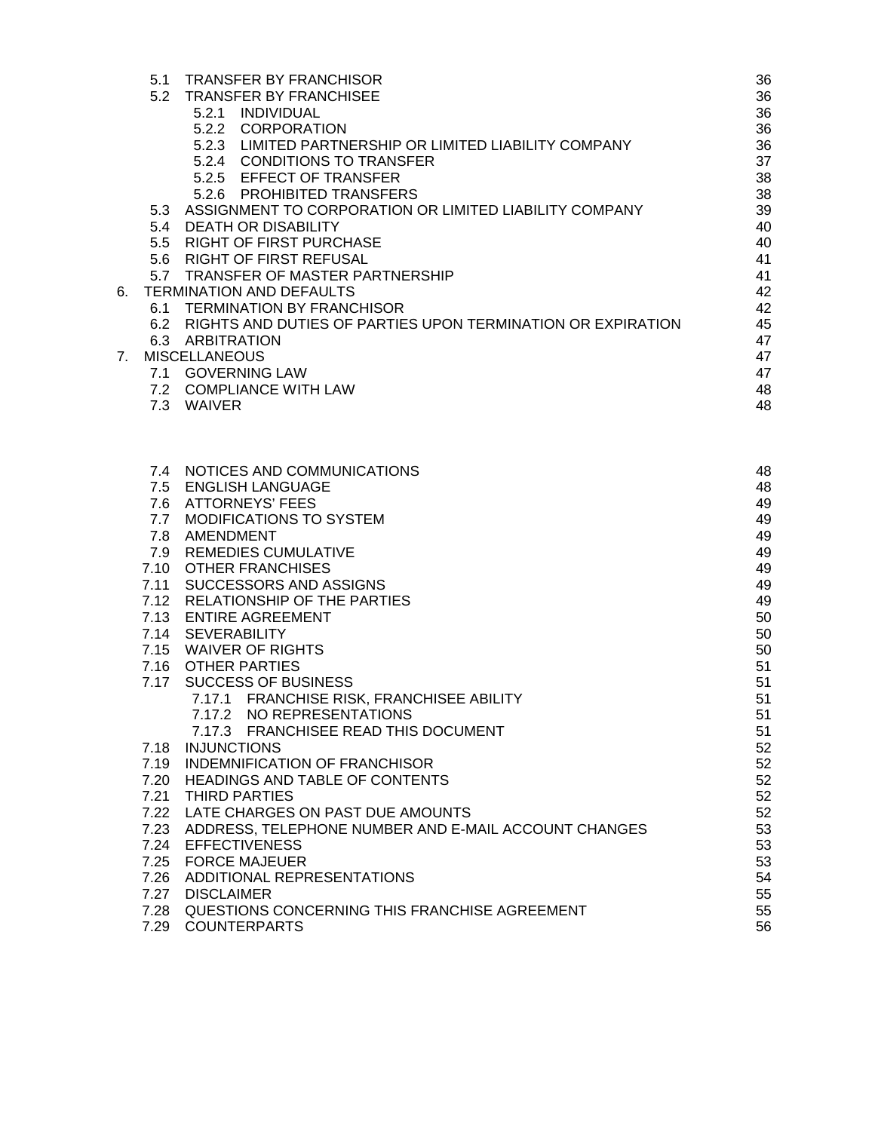|    | 5.1 | TRANSFER BY FRANCHISOR                                      | 36 |
|----|-----|-------------------------------------------------------------|----|
|    | 5.2 | TRANSFER BY FRANCHISEE                                      | 36 |
|    |     | <b>INDIVIDUAL</b><br>5.2.1                                  | 36 |
|    |     | <b>CORPORATION</b><br>5.2.2                                 | 36 |
|    |     | 5.2.3<br>LIMITED PARTNERSHIP OR LIMITED LIABILITY COMPANY   | 36 |
|    |     | CONDITIONS TO TRANSFER<br>5.2.4                             | 37 |
|    |     | 5.2.5 EFFECT OF TRANSFER                                    | 38 |
|    |     | 5.2.6 PROHIBITED TRANSFERS                                  | 38 |
|    | 5.3 | ASSIGNMENT TO CORPORATION OR LIMITED LIABILITY COMPANY      | 39 |
|    | 5.4 | <b>DEATH OR DISABILITY</b>                                  | 40 |
|    | 5.5 | RIGHT OF FIRST PURCHASE                                     | 40 |
|    | 5.6 | RIGHT OF FIRST REFUSAL                                      | 41 |
|    | 5.7 | TRANSFER OF MASTER PARTNERSHIP                              | 41 |
| 6. |     | <b>TERMINATION AND DEFAULTS</b>                             | 42 |
|    | 6.1 | <b>TERMINATION BY FRANCHISOR</b>                            | 42 |
|    | 6.2 | RIGHTS AND DUTIES OF PARTIES UPON TERMINATION OR EXPIRATION | 45 |
|    | 6.3 | <b>ARBITRATION</b>                                          | 47 |
| 7. |     | <b>MISCELLANEOUS</b>                                        | 47 |
|    | 7.1 | <b>GOVERNING LAW</b>                                        | 47 |
|    | 7.2 | <b>COMPLIANCE WITH LAW</b>                                  | 48 |
|    | 7.3 | <b>WAIVER</b>                                               | 48 |

| 7.4  | NOTICES AND COMMUNICATIONS                           | 48 |
|------|------------------------------------------------------|----|
| 7.5  | <b>ENGLISH LANGUAGE</b>                              | 48 |
| 7.6  | <b>ATTORNEYS' FEES</b>                               | 49 |
| 7.7  | MODIFICATIONS TO SYSTEM                              | 49 |
| 7.8  | AMENDMENT                                            | 49 |
| 7.9  | REMEDIES CUMULATIVE                                  | 49 |
| 7.10 | <b>OTHER FRANCHISES</b>                              | 49 |
|      | 7.11 SUCCESSORS AND ASSIGNS                          | 49 |
|      | 7.12 RELATIONSHIP OF THE PARTIES                     | 49 |
|      | 7.13 ENTIRE AGREEMENT                                | 50 |
|      | 7.14 SEVERABILITY                                    | 50 |
|      | 7.15 WAIVER OF RIGHTS                                | 50 |
|      | 7.16 OTHER PARTIES                                   | 51 |
|      | 7.17 SUCCESS OF BUSINESS                             | 51 |
|      | 7.17.1 FRANCHISE RISK, FRANCHISEE ABILITY            | 51 |
|      | 7.17.2 NO REPRESENTATIONS                            | 51 |
|      | 7.17.3 FRANCHISEE READ THIS DOCUMENT                 | 51 |
| 7.18 | <b>INJUNCTIONS</b>                                   | 52 |
| 7.19 | INDEMNIFICATION OF FRANCHISOR                        | 52 |
| 7.20 | <b>HEADINGS AND TABLE OF CONTENTS</b>                | 52 |
| 7.21 | THIRD PARTIES                                        | 52 |
|      | 7.22 LATE CHARGES ON PAST DUE AMOUNTS                | 52 |
| 7.23 | ADDRESS, TELEPHONE NUMBER AND E-MAIL ACCOUNT CHANGES | 53 |
| 7.24 | <b>EFFECTIVENESS</b>                                 | 53 |
| 7.25 | <b>FORCE MAJEUER</b>                                 | 53 |
| 7.26 | ADDITIONAL REPRESENTATIONS                           | 54 |
| 7.27 | <b>DISCLAIMER</b>                                    | 55 |
| 7.28 | QUESTIONS CONCERNING THIS FRANCHISE AGREEMENT        | 55 |
| 7.29 | <b>COUNTERPARTS</b>                                  | 56 |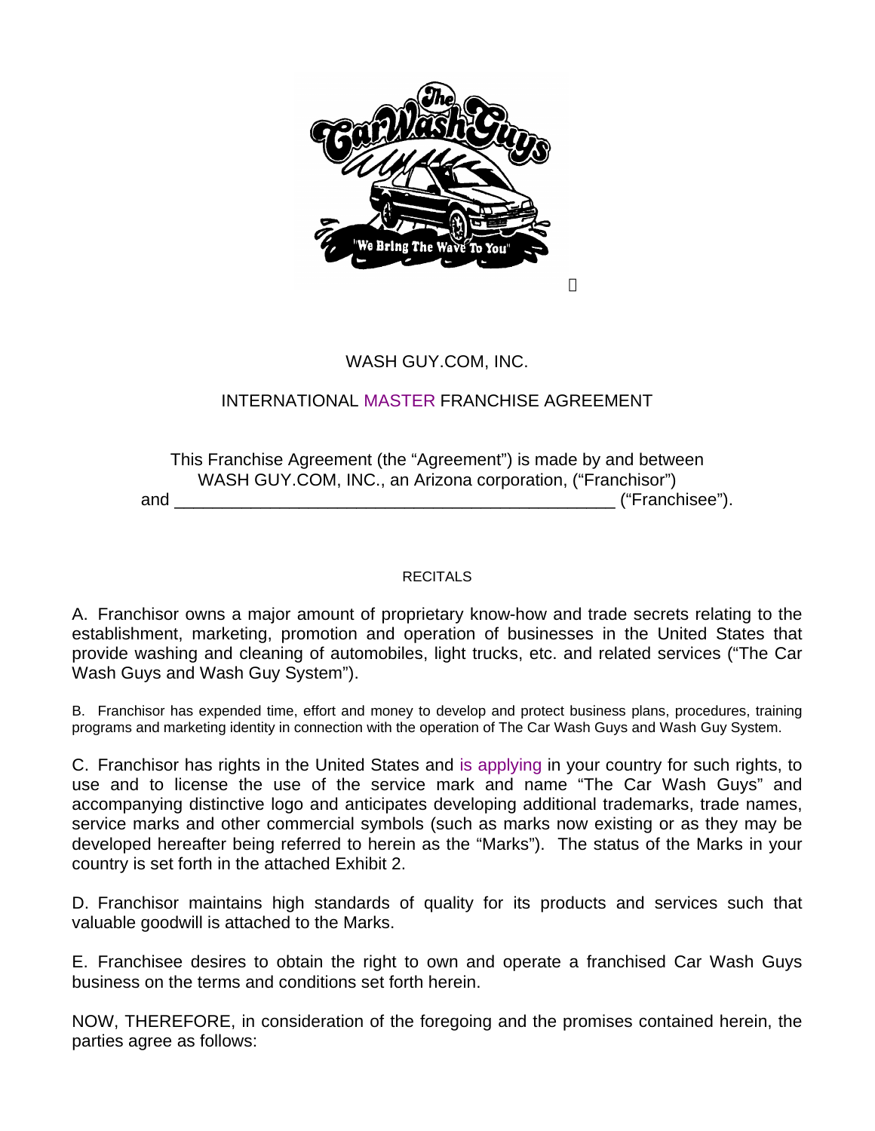

# WASH GUY.COM, INC.

# INTERNATIONAL MASTER FRANCHISE AGREEMENT

# This Franchise Agreement (the "Agreement") is made by and between WASH GUY.COM, INC., an Arizona corporation, ("Franchisor") and  $($ "Franchisee").

## **RECITALS**

A. Franchisor owns a major amount of proprietary know-how and trade secrets relating to the establishment, marketing, promotion and operation of businesses in the United States that provide washing and cleaning of automobiles, light trucks, etc. and related services ("The Car Wash Guys and Wash Guy System").

B. Franchisor has expended time, effort and money to develop and protect business plans, procedures, training programs and marketing identity in connection with the operation of The Car Wash Guys and Wash Guy System.

C. Franchisor has rights in the United States and is applying in your country for such rights, to use and to license the use of the service mark and name "The Car Wash Guys" and accompanying distinctive logo and anticipates developing additional trademarks, trade names, service marks and other commercial symbols (such as marks now existing or as they may be developed hereafter being referred to herein as the "Marks"). The status of the Marks in your country is set forth in the attached Exhibit 2.

D. Franchisor maintains high standards of quality for its products and services such that valuable goodwill is attached to the Marks.

E. Franchisee desires to obtain the right to own and operate a franchised Car Wash Guys business on the terms and conditions set forth herein.

NOW, THEREFORE, in consideration of the foregoing and the promises contained herein, the parties agree as follows: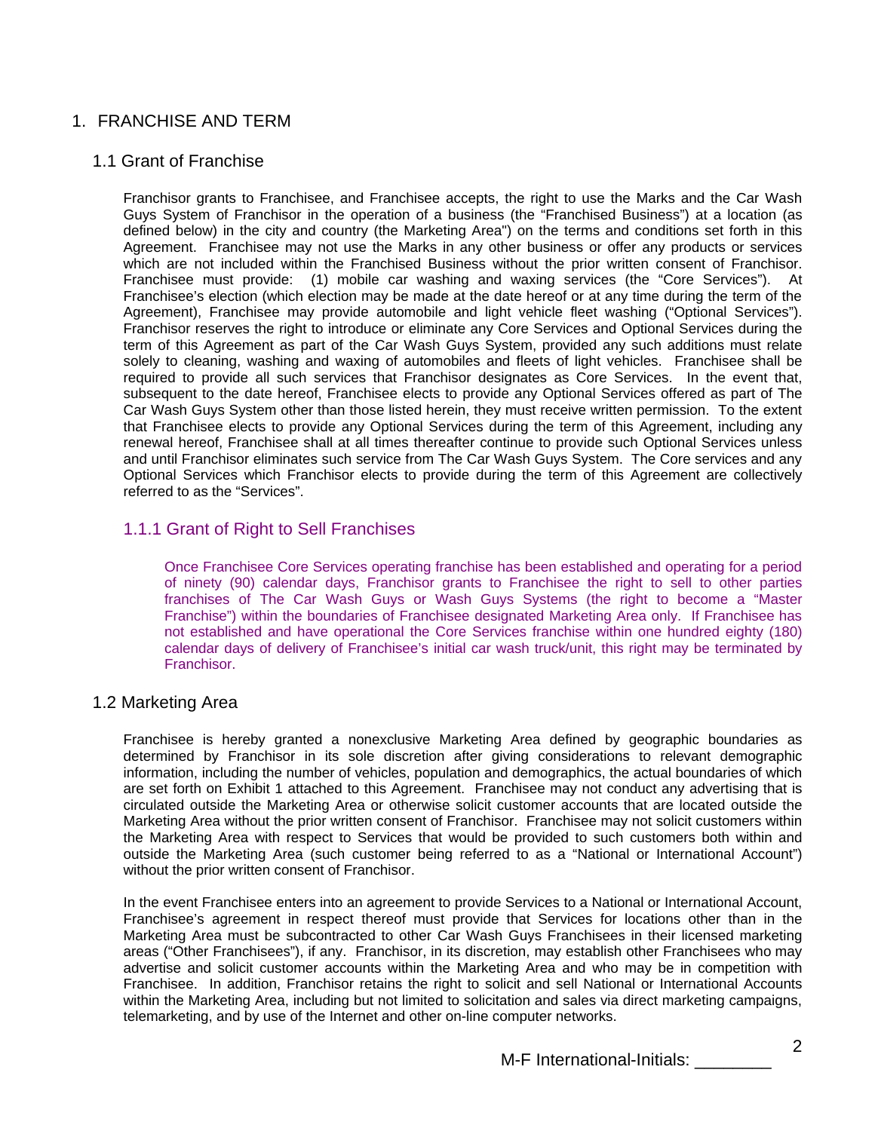# 1. FRANCHISE AND TERM

#### 1.1 Grant of Franchise

Franchisor grants to Franchisee, and Franchisee accepts, the right to use the Marks and the Car Wash Guys System of Franchisor in the operation of a business (the "Franchised Business") at a location (as defined below) in the city and country (the Marketing Area") on the terms and conditions set forth in this Agreement. Franchisee may not use the Marks in any other business or offer any products or services which are not included within the Franchised Business without the prior written consent of Franchisor. Franchisee must provide: (1) mobile car washing and waxing services (the "Core Services"). At Franchisee's election (which election may be made at the date hereof or at any time during the term of the Agreement), Franchisee may provide automobile and light vehicle fleet washing ("Optional Services"). Franchisor reserves the right to introduce or eliminate any Core Services and Optional Services during the term of this Agreement as part of the Car Wash Guys System, provided any such additions must relate solely to cleaning, washing and waxing of automobiles and fleets of light vehicles. Franchisee shall be required to provide all such services that Franchisor designates as Core Services. In the event that, subsequent to the date hereof, Franchisee elects to provide any Optional Services offered as part of The Car Wash Guys System other than those listed herein, they must receive written permission. To the extent that Franchisee elects to provide any Optional Services during the term of this Agreement, including any renewal hereof, Franchisee shall at all times thereafter continue to provide such Optional Services unless and until Franchisor eliminates such service from The Car Wash Guys System. The Core services and any Optional Services which Franchisor elects to provide during the term of this Agreement are collectively referred to as the "Services".

## 1.1.1 Grant of Right to Sell Franchises

Once Franchisee Core Services operating franchise has been established and operating for a period of ninety (90) calendar days, Franchisor grants to Franchisee the right to sell to other parties franchises of The Car Wash Guys or Wash Guys Systems (the right to become a "Master Franchise") within the boundaries of Franchisee designated Marketing Area only. If Franchisee has not established and have operational the Core Services franchise within one hundred eighty (180) calendar days of delivery of Franchisee's initial car wash truck/unit, this right may be terminated by Franchisor.

#### 1.2 Marketing Area

Franchisee is hereby granted a nonexclusive Marketing Area defined by geographic boundaries as determined by Franchisor in its sole discretion after giving considerations to relevant demographic information, including the number of vehicles, population and demographics, the actual boundaries of which are set forth on Exhibit 1 attached to this Agreement. Franchisee may not conduct any advertising that is circulated outside the Marketing Area or otherwise solicit customer accounts that are located outside the Marketing Area without the prior written consent of Franchisor. Franchisee may not solicit customers within the Marketing Area with respect to Services that would be provided to such customers both within and outside the Marketing Area (such customer being referred to as a "National or International Account") without the prior written consent of Franchisor.

In the event Franchisee enters into an agreement to provide Services to a National or International Account, Franchisee's agreement in respect thereof must provide that Services for locations other than in the Marketing Area must be subcontracted to other Car Wash Guys Franchisees in their licensed marketing areas ("Other Franchisees"), if any. Franchisor, in its discretion, may establish other Franchisees who may advertise and solicit customer accounts within the Marketing Area and who may be in competition with Franchisee. In addition, Franchisor retains the right to solicit and sell National or International Accounts within the Marketing Area, including but not limited to solicitation and sales via direct marketing campaigns, telemarketing, and by use of the Internet and other on-line computer networks.

2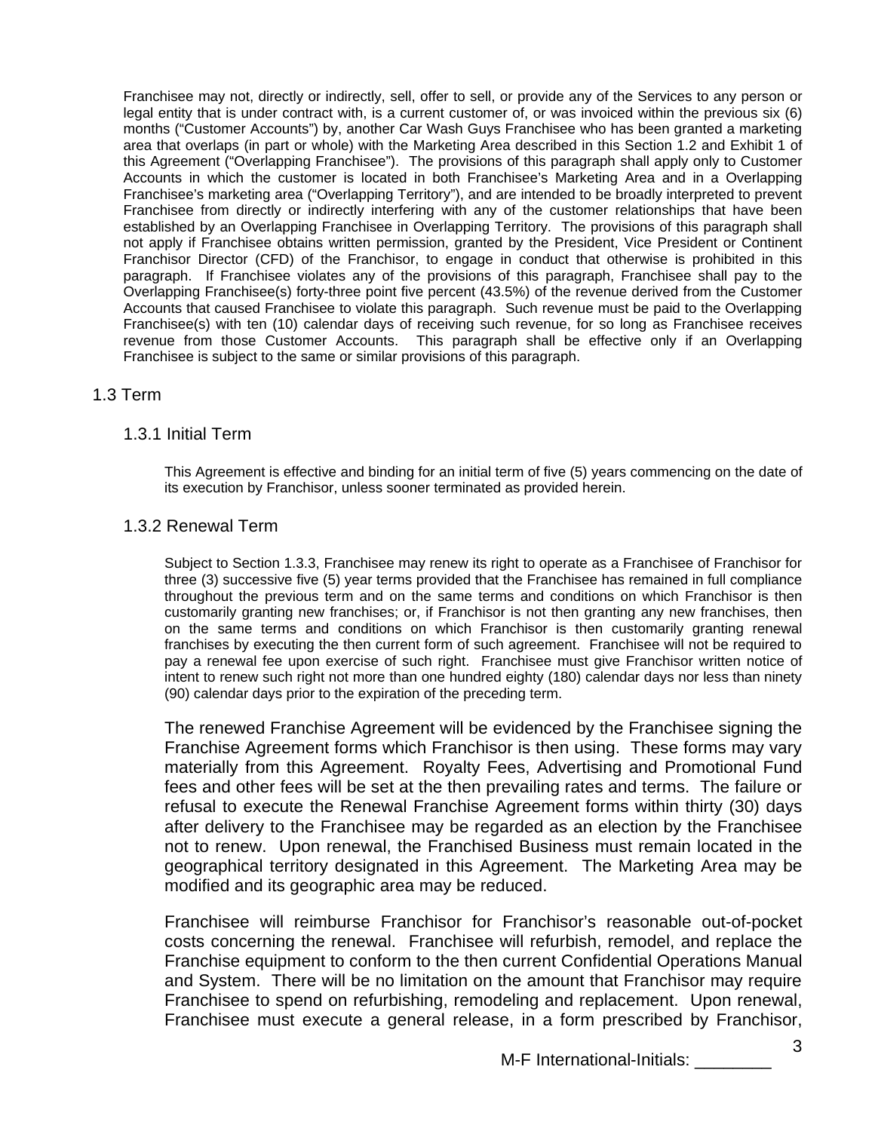Franchisee may not, directly or indirectly, sell, offer to sell, or provide any of the Services to any person or legal entity that is under contract with, is a current customer of, or was invoiced within the previous six (6) months ("Customer Accounts") by, another Car Wash Guys Franchisee who has been granted a marketing area that overlaps (in part or whole) with the Marketing Area described in this Section 1.2 and Exhibit 1 of this Agreement ("Overlapping Franchisee"). The provisions of this paragraph shall apply only to Customer Accounts in which the customer is located in both Franchisee's Marketing Area and in a Overlapping Franchisee's marketing area ("Overlapping Territory"), and are intended to be broadly interpreted to prevent Franchisee from directly or indirectly interfering with any of the customer relationships that have been established by an Overlapping Franchisee in Overlapping Territory. The provisions of this paragraph shall not apply if Franchisee obtains written permission, granted by the President, Vice President or Continent Franchisor Director (CFD) of the Franchisor, to engage in conduct that otherwise is prohibited in this paragraph. If Franchisee violates any of the provisions of this paragraph, Franchisee shall pay to the Overlapping Franchisee(s) forty-three point five percent (43.5%) of the revenue derived from the Customer Accounts that caused Franchisee to violate this paragraph. Such revenue must be paid to the Overlapping Franchisee(s) with ten (10) calendar days of receiving such revenue, for so long as Franchisee receives revenue from those Customer Accounts. This paragraph shall be effective only if an Overlapping Franchisee is subject to the same or similar provisions of this paragraph.

## 1.3 Term

#### 1.3.1 Initial Term

This Agreement is effective and binding for an initial term of five (5) years commencing on the date of its execution by Franchisor, unless sooner terminated as provided herein.

#### 1.3.2 Renewal Term

Subject to Section 1.3.3, Franchisee may renew its right to operate as a Franchisee of Franchisor for three (3) successive five (5) year terms provided that the Franchisee has remained in full compliance throughout the previous term and on the same terms and conditions on which Franchisor is then customarily granting new franchises; or, if Franchisor is not then granting any new franchises, then on the same terms and conditions on which Franchisor is then customarily granting renewal franchises by executing the then current form of such agreement. Franchisee will not be required to pay a renewal fee upon exercise of such right. Franchisee must give Franchisor written notice of intent to renew such right not more than one hundred eighty (180) calendar days nor less than ninety (90) calendar days prior to the expiration of the preceding term.

The renewed Franchise Agreement will be evidenced by the Franchisee signing the Franchise Agreement forms which Franchisor is then using. These forms may vary materially from this Agreement. Royalty Fees, Advertising and Promotional Fund fees and other fees will be set at the then prevailing rates and terms. The failure or refusal to execute the Renewal Franchise Agreement forms within thirty (30) days after delivery to the Franchisee may be regarded as an election by the Franchisee not to renew. Upon renewal, the Franchised Business must remain located in the geographical territory designated in this Agreement. The Marketing Area may be modified and its geographic area may be reduced.

Franchisee will reimburse Franchisor for Franchisor's reasonable out-of-pocket costs concerning the renewal. Franchisee will refurbish, remodel, and replace the Franchise equipment to conform to the then current Confidential Operations Manual and System. There will be no limitation on the amount that Franchisor may require Franchisee to spend on refurbishing, remodeling and replacement. Upon renewal, Franchisee must execute a general release, in a form prescribed by Franchisor,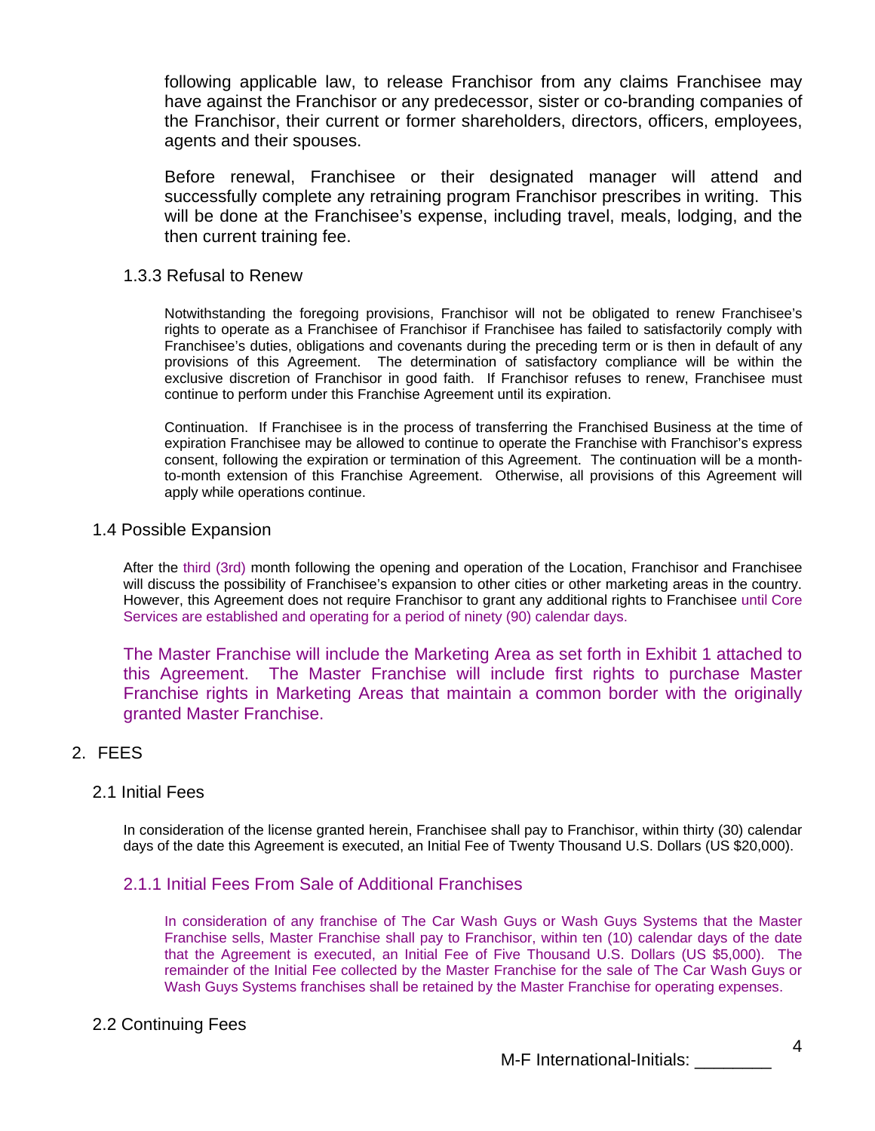following applicable law, to release Franchisor from any claims Franchisee may have against the Franchisor or any predecessor, sister or co-branding companies of the Franchisor, their current or former shareholders, directors, officers, employees, agents and their spouses.

Before renewal, Franchisee or their designated manager will attend and successfully complete any retraining program Franchisor prescribes in writing. This will be done at the Franchisee's expense, including travel, meals, lodging, and the then current training fee.

#### 1.3.3 Refusal to Renew

Notwithstanding the foregoing provisions, Franchisor will not be obligated to renew Franchisee's rights to operate as a Franchisee of Franchisor if Franchisee has failed to satisfactorily comply with Franchisee's duties, obligations and covenants during the preceding term or is then in default of any provisions of this Agreement. The determination of satisfactory compliance will be within the exclusive discretion of Franchisor in good faith. If Franchisor refuses to renew, Franchisee must continue to perform under this Franchise Agreement until its expiration.

Continuation. If Franchisee is in the process of transferring the Franchised Business at the time of expiration Franchisee may be allowed to continue to operate the Franchise with Franchisor's express consent, following the expiration or termination of this Agreement. The continuation will be a monthto-month extension of this Franchise Agreement. Otherwise, all provisions of this Agreement will apply while operations continue.

#### 1.4 Possible Expansion

After the third (3rd) month following the opening and operation of the Location, Franchisor and Franchisee will discuss the possibility of Franchisee's expansion to other cities or other marketing areas in the country. However, this Agreement does not require Franchisor to grant any additional rights to Franchisee until Core Services are established and operating for a period of ninety (90) calendar days.

The Master Franchise will include the Marketing Area as set forth in Exhibit 1 attached to this Agreement. The Master Franchise will include first rights to purchase Master Franchise rights in Marketing Areas that maintain a common border with the originally granted Master Franchise.

## 2. FEES

## 2.1 Initial Fees

In consideration of the license granted herein, Franchisee shall pay to Franchisor, within thirty (30) calendar days of the date this Agreement is executed, an Initial Fee of Twenty Thousand U.S. Dollars (US \$20,000).

## 2.1.1 Initial Fees From Sale of Additional Franchises

In consideration of any franchise of The Car Wash Guys or Wash Guys Systems that the Master Franchise sells, Master Franchise shall pay to Franchisor, within ten (10) calendar days of the date that the Agreement is executed, an Initial Fee of Five Thousand U.S. Dollars (US \$5,000). The remainder of the Initial Fee collected by the Master Franchise for the sale of The Car Wash Guys or Wash Guys Systems franchises shall be retained by the Master Franchise for operating expenses.

# 2.2 Continuing Fees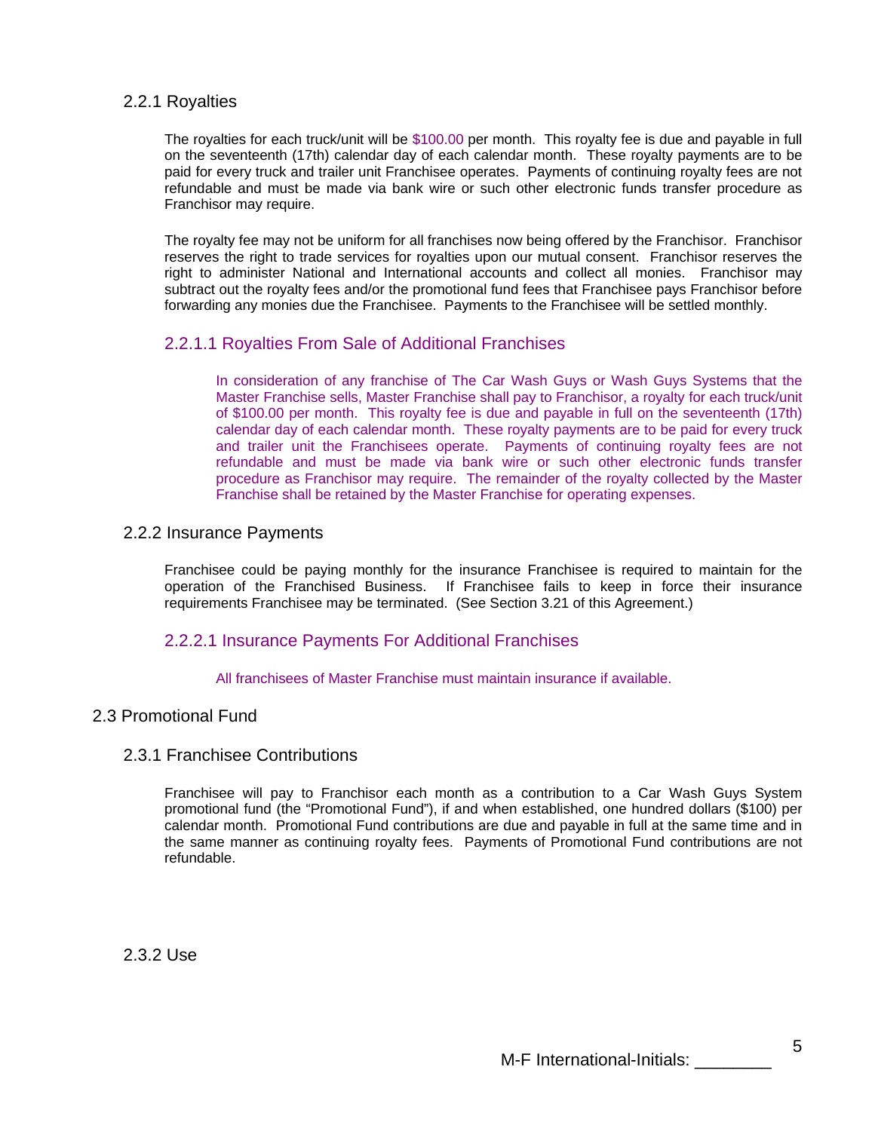### 2.2.1 Royalties

The royalties for each truck/unit will be \$100.00 per month. This royalty fee is due and payable in full on the seventeenth (17th) calendar day of each calendar month. These royalty payments are to be paid for every truck and trailer unit Franchisee operates. Payments of continuing royalty fees are not refundable and must be made via bank wire or such other electronic funds transfer procedure as Franchisor may require.

The royalty fee may not be uniform for all franchises now being offered by the Franchisor. Franchisor reserves the right to trade services for royalties upon our mutual consent. Franchisor reserves the right to administer National and International accounts and collect all monies. Franchisor may subtract out the royalty fees and/or the promotional fund fees that Franchisee pays Franchisor before forwarding any monies due the Franchisee. Payments to the Franchisee will be settled monthly.

## 2.2.1.1 Royalties From Sale of Additional Franchises

In consideration of any franchise of The Car Wash Guys or Wash Guys Systems that the Master Franchise sells, Master Franchise shall pay to Franchisor, a royalty for each truck/unit of \$100.00 per month. This royalty fee is due and payable in full on the seventeenth (17th) calendar day of each calendar month. These royalty payments are to be paid for every truck and trailer unit the Franchisees operate. Payments of continuing royalty fees are not refundable and must be made via bank wire or such other electronic funds transfer procedure as Franchisor may require. The remainder of the royalty collected by the Master Franchise shall be retained by the Master Franchise for operating expenses.

#### 2.2.2 Insurance Payments

Franchisee could be paying monthly for the insurance Franchisee is required to maintain for the operation of the Franchised Business. If Franchisee fails to keep in force their insurance requirements Franchisee may be terminated. (See Section 3.21 of this Agreement.)

## 2.2.2.1 Insurance Payments For Additional Franchises

#### All franchisees of Master Franchise must maintain insurance if available.

## 2.3 Promotional Fund

#### 2.3.1 Franchisee Contributions

Franchisee will pay to Franchisor each month as a contribution to a Car Wash Guys System promotional fund (the "Promotional Fund"), if and when established, one hundred dollars (\$100) per calendar month. Promotional Fund contributions are due and payable in full at the same time and in the same manner as continuing royalty fees. Payments of Promotional Fund contributions are not refundable.

2.3.2 Use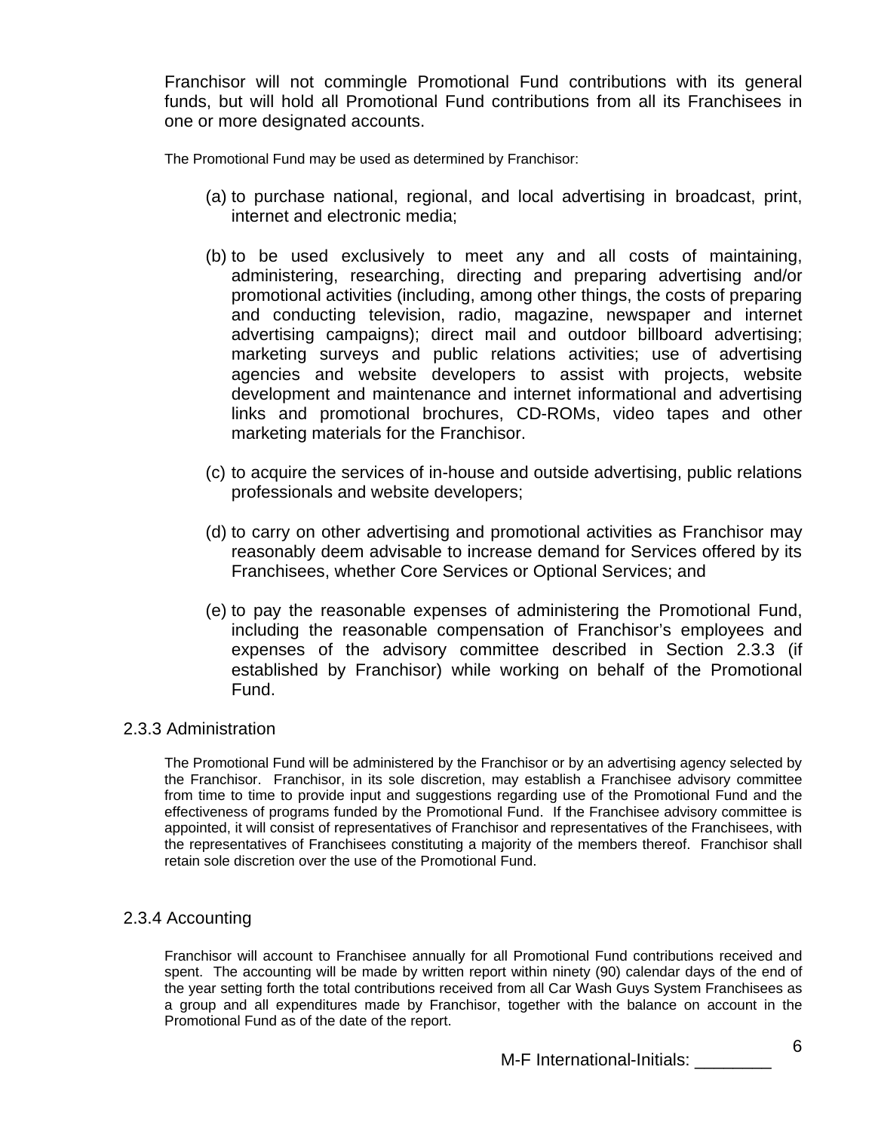Franchisor will not commingle Promotional Fund contributions with its general funds, but will hold all Promotional Fund contributions from all its Franchisees in one or more designated accounts.

The Promotional Fund may be used as determined by Franchisor:

- (a) to purchase national, regional, and local advertising in broadcast, print, internet and electronic media;
- (b) to be used exclusively to meet any and all costs of maintaining, administering, researching, directing and preparing advertising and/or promotional activities (including, among other things, the costs of preparing and conducting television, radio, magazine, newspaper and internet advertising campaigns); direct mail and outdoor billboard advertising; marketing surveys and public relations activities; use of advertising agencies and website developers to assist with projects, website development and maintenance and internet informational and advertising links and promotional brochures, CD-ROMs, video tapes and other marketing materials for the Franchisor.
- (c) to acquire the services of in-house and outside advertising, public relations professionals and website developers;
- (d) to carry on other advertising and promotional activities as Franchisor may reasonably deem advisable to increase demand for Services offered by its Franchisees, whether Core Services or Optional Services; and
- (e) to pay the reasonable expenses of administering the Promotional Fund, including the reasonable compensation of Franchisor's employees and expenses of the advisory committee described in Section 2.3.3 (if established by Franchisor) while working on behalf of the Promotional Fund.

## 2.3.3 Administration

The Promotional Fund will be administered by the Franchisor or by an advertising agency selected by the Franchisor. Franchisor, in its sole discretion, may establish a Franchisee advisory committee from time to time to provide input and suggestions regarding use of the Promotional Fund and the effectiveness of programs funded by the Promotional Fund. If the Franchisee advisory committee is appointed, it will consist of representatives of Franchisor and representatives of the Franchisees, with the representatives of Franchisees constituting a majority of the members thereof. Franchisor shall retain sole discretion over the use of the Promotional Fund.

## 2.3.4 Accounting

Franchisor will account to Franchisee annually for all Promotional Fund contributions received and spent. The accounting will be made by written report within ninety (90) calendar days of the end of the year setting forth the total contributions received from all Car Wash Guys System Franchisees as a group and all expenditures made by Franchisor, together with the balance on account in the Promotional Fund as of the date of the report.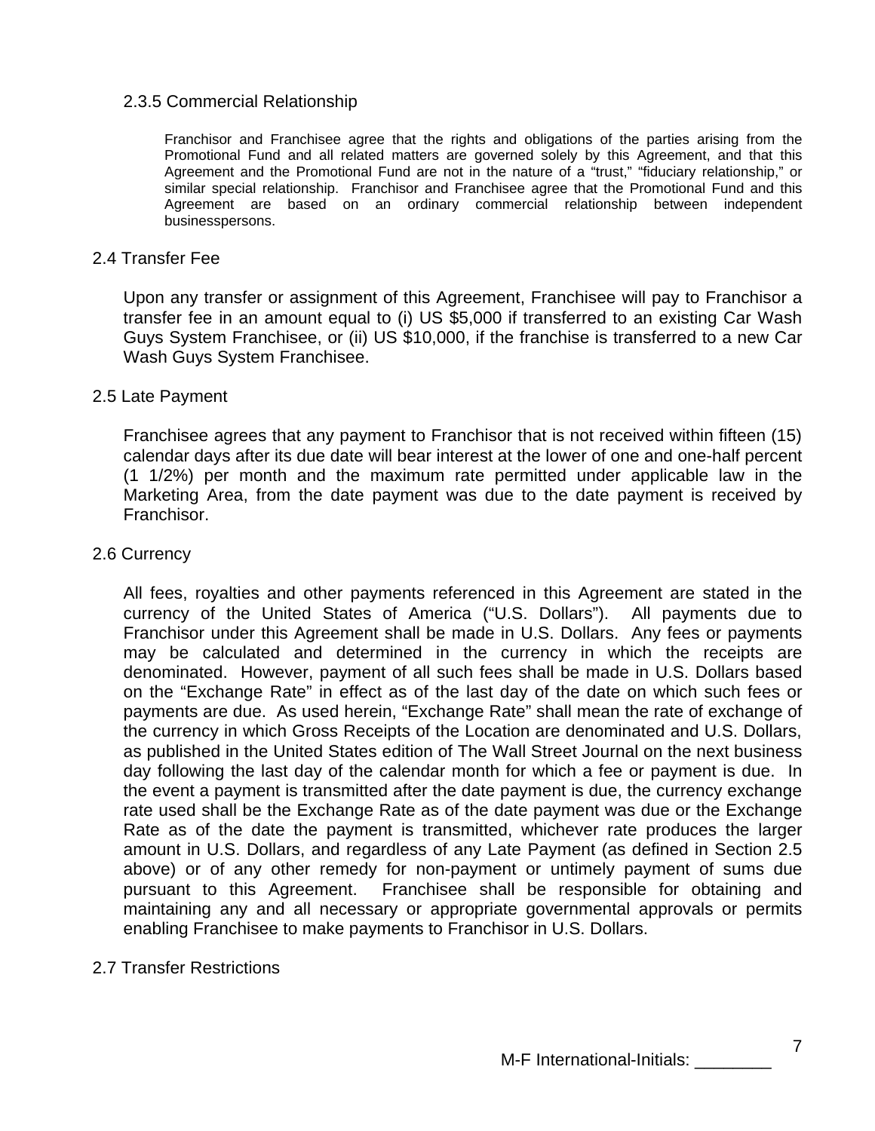# 2.3.5 Commercial Relationship

Franchisor and Franchisee agree that the rights and obligations of the parties arising from the Promotional Fund and all related matters are governed solely by this Agreement, and that this Agreement and the Promotional Fund are not in the nature of a "trust," "fiduciary relationship," or similar special relationship. Franchisor and Franchisee agree that the Promotional Fund and this Agreement are based on an ordinary commercial relationship between independent businesspersons.

# 2.4 Transfer Fee

Upon any transfer or assignment of this Agreement, Franchisee will pay to Franchisor a transfer fee in an amount equal to (i) US \$5,000 if transferred to an existing Car Wash Guys System Franchisee, or (ii) US \$10,000, if the franchise is transferred to a new Car Wash Guys System Franchisee.

# 2.5 Late Payment

Franchisee agrees that any payment to Franchisor that is not received within fifteen (15) calendar days after its due date will bear interest at the lower of one and one-half percent (1 1/2%) per month and the maximum rate permitted under applicable law in the Marketing Area, from the date payment was due to the date payment is received by Franchisor.

# 2.6 Currency

All fees, royalties and other payments referenced in this Agreement are stated in the currency of the United States of America ("U.S. Dollars"). All payments due to Franchisor under this Agreement shall be made in U.S. Dollars. Any fees or payments may be calculated and determined in the currency in which the receipts are denominated. However, payment of all such fees shall be made in U.S. Dollars based on the "Exchange Rate" in effect as of the last day of the date on which such fees or payments are due. As used herein, "Exchange Rate" shall mean the rate of exchange of the currency in which Gross Receipts of the Location are denominated and U.S. Dollars, as published in the United States edition of The Wall Street Journal on the next business day following the last day of the calendar month for which a fee or payment is due. In the event a payment is transmitted after the date payment is due, the currency exchange rate used shall be the Exchange Rate as of the date payment was due or the Exchange Rate as of the date the payment is transmitted, whichever rate produces the larger amount in U.S. Dollars, and regardless of any Late Payment (as defined in Section 2.5 above) or of any other remedy for non-payment or untimely payment of sums due pursuant to this Agreement. Franchisee shall be responsible for obtaining and maintaining any and all necessary or appropriate governmental approvals or permits enabling Franchisee to make payments to Franchisor in U.S. Dollars.

## 2.7 Transfer Restrictions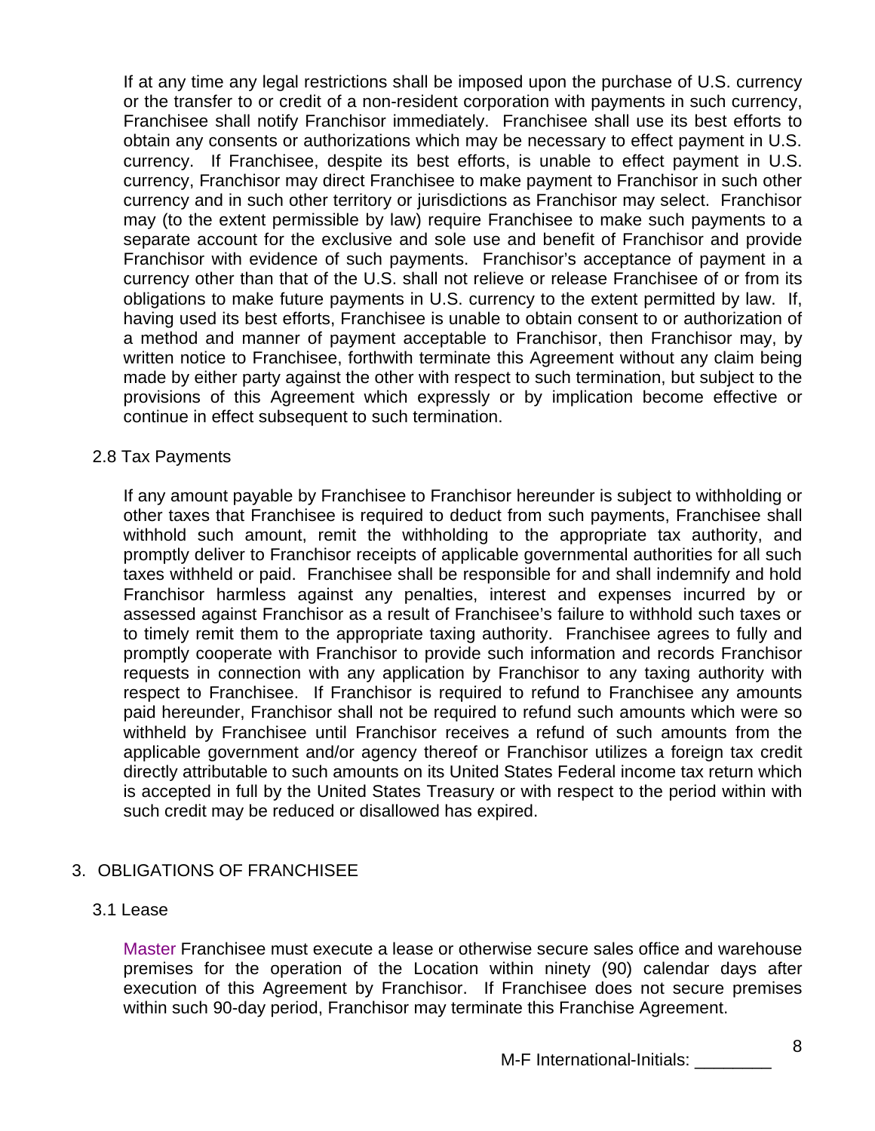If at any time any legal restrictions shall be imposed upon the purchase of U.S. currency or the transfer to or credit of a non-resident corporation with payments in such currency, Franchisee shall notify Franchisor immediately. Franchisee shall use its best efforts to obtain any consents or authorizations which may be necessary to effect payment in U.S. currency. If Franchisee, despite its best efforts, is unable to effect payment in U.S. currency, Franchisor may direct Franchisee to make payment to Franchisor in such other currency and in such other territory or jurisdictions as Franchisor may select. Franchisor may (to the extent permissible by law) require Franchisee to make such payments to a separate account for the exclusive and sole use and benefit of Franchisor and provide Franchisor with evidence of such payments. Franchisor's acceptance of payment in a currency other than that of the U.S. shall not relieve or release Franchisee of or from its obligations to make future payments in U.S. currency to the extent permitted by law. If, having used its best efforts, Franchisee is unable to obtain consent to or authorization of a method and manner of payment acceptable to Franchisor, then Franchisor may, by written notice to Franchisee, forthwith terminate this Agreement without any claim being made by either party against the other with respect to such termination, but subject to the provisions of this Agreement which expressly or by implication become effective or continue in effect subsequent to such termination.

# 2.8 Tax Payments

If any amount payable by Franchisee to Franchisor hereunder is subject to withholding or other taxes that Franchisee is required to deduct from such payments, Franchisee shall withhold such amount, remit the withholding to the appropriate tax authority, and promptly deliver to Franchisor receipts of applicable governmental authorities for all such taxes withheld or paid. Franchisee shall be responsible for and shall indemnify and hold Franchisor harmless against any penalties, interest and expenses incurred by or assessed against Franchisor as a result of Franchisee's failure to withhold such taxes or to timely remit them to the appropriate taxing authority. Franchisee agrees to fully and promptly cooperate with Franchisor to provide such information and records Franchisor requests in connection with any application by Franchisor to any taxing authority with respect to Franchisee. If Franchisor is required to refund to Franchisee any amounts paid hereunder, Franchisor shall not be required to refund such amounts which were so withheld by Franchisee until Franchisor receives a refund of such amounts from the applicable government and/or agency thereof or Franchisor utilizes a foreign tax credit directly attributable to such amounts on its United States Federal income tax return which is accepted in full by the United States Treasury or with respect to the period within with such credit may be reduced or disallowed has expired.

# 3. OBLIGATIONS OF FRANCHISEE

# 3.1 Lease

Master Franchisee must execute a lease or otherwise secure sales office and warehouse premises for the operation of the Location within ninety (90) calendar days after execution of this Agreement by Franchisor. If Franchisee does not secure premises within such 90-day period, Franchisor may terminate this Franchise Agreement.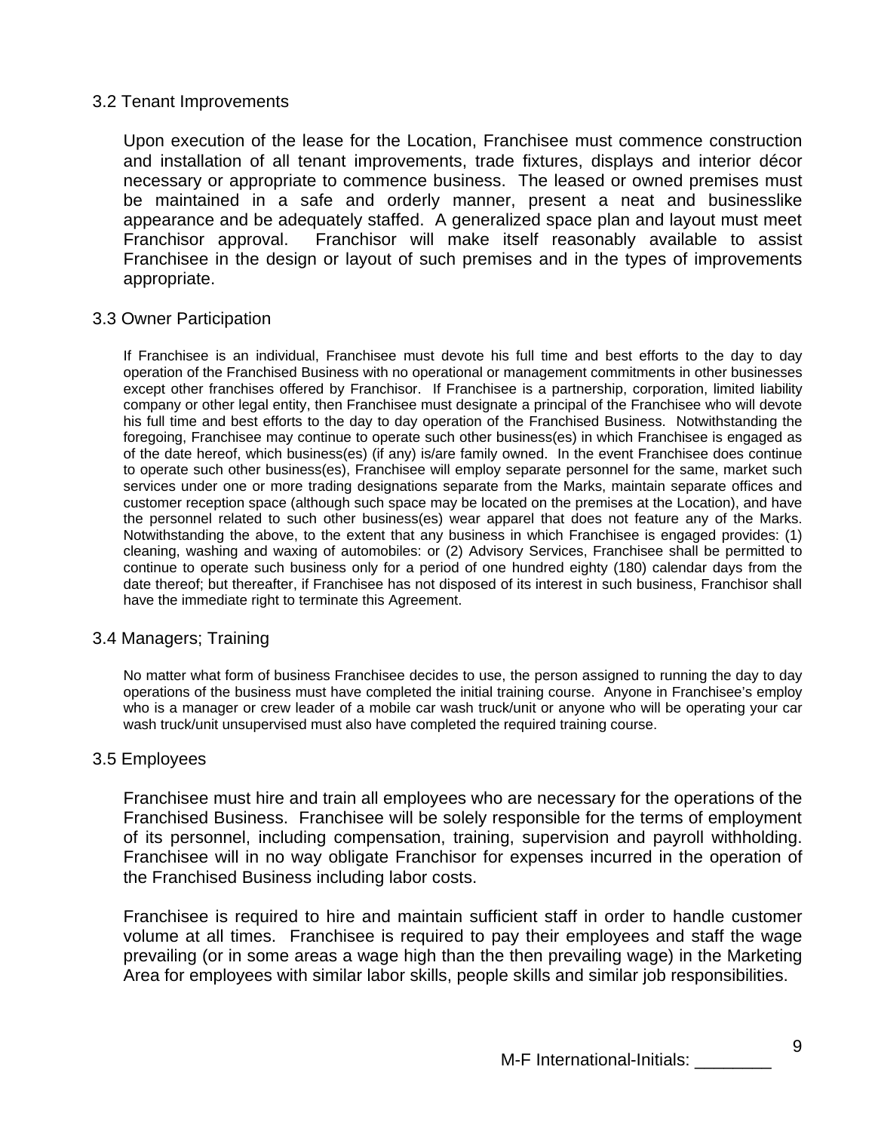# 3.2 Tenant Improvements

Upon execution of the lease for the Location, Franchisee must commence construction and installation of all tenant improvements, trade fixtures, displays and interior décor necessary or appropriate to commence business. The leased or owned premises must be maintained in a safe and orderly manner, present a neat and businesslike appearance and be adequately staffed. A generalized space plan and layout must meet Franchisor approval. Franchisor will make itself reasonably available to assist Franchisee in the design or layout of such premises and in the types of improvements appropriate.

# 3.3 Owner Participation

If Franchisee is an individual, Franchisee must devote his full time and best efforts to the day to day operation of the Franchised Business with no operational or management commitments in other businesses except other franchises offered by Franchisor. If Franchisee is a partnership, corporation, limited liability company or other legal entity, then Franchisee must designate a principal of the Franchisee who will devote his full time and best efforts to the day to day operation of the Franchised Business. Notwithstanding the foregoing, Franchisee may continue to operate such other business(es) in which Franchisee is engaged as of the date hereof, which business(es) (if any) is/are family owned. In the event Franchisee does continue to operate such other business(es), Franchisee will employ separate personnel for the same, market such services under one or more trading designations separate from the Marks, maintain separate offices and customer reception space (although such space may be located on the premises at the Location), and have the personnel related to such other business(es) wear apparel that does not feature any of the Marks. Notwithstanding the above, to the extent that any business in which Franchisee is engaged provides: (1) cleaning, washing and waxing of automobiles: or (2) Advisory Services, Franchisee shall be permitted to continue to operate such business only for a period of one hundred eighty (180) calendar days from the date thereof; but thereafter, if Franchisee has not disposed of its interest in such business, Franchisor shall have the immediate right to terminate this Agreement.

## 3.4 Managers; Training

No matter what form of business Franchisee decides to use, the person assigned to running the day to day operations of the business must have completed the initial training course. Anyone in Franchisee's employ who is a manager or crew leader of a mobile car wash truck/unit or anyone who will be operating your car wash truck/unit unsupervised must also have completed the required training course.

## 3.5 Employees

Franchisee must hire and train all employees who are necessary for the operations of the Franchised Business. Franchisee will be solely responsible for the terms of employment of its personnel, including compensation, training, supervision and payroll withholding. Franchisee will in no way obligate Franchisor for expenses incurred in the operation of the Franchised Business including labor costs.

Franchisee is required to hire and maintain sufficient staff in order to handle customer volume at all times. Franchisee is required to pay their employees and staff the wage prevailing (or in some areas a wage high than the then prevailing wage) in the Marketing Area for employees with similar labor skills, people skills and similar job responsibilities.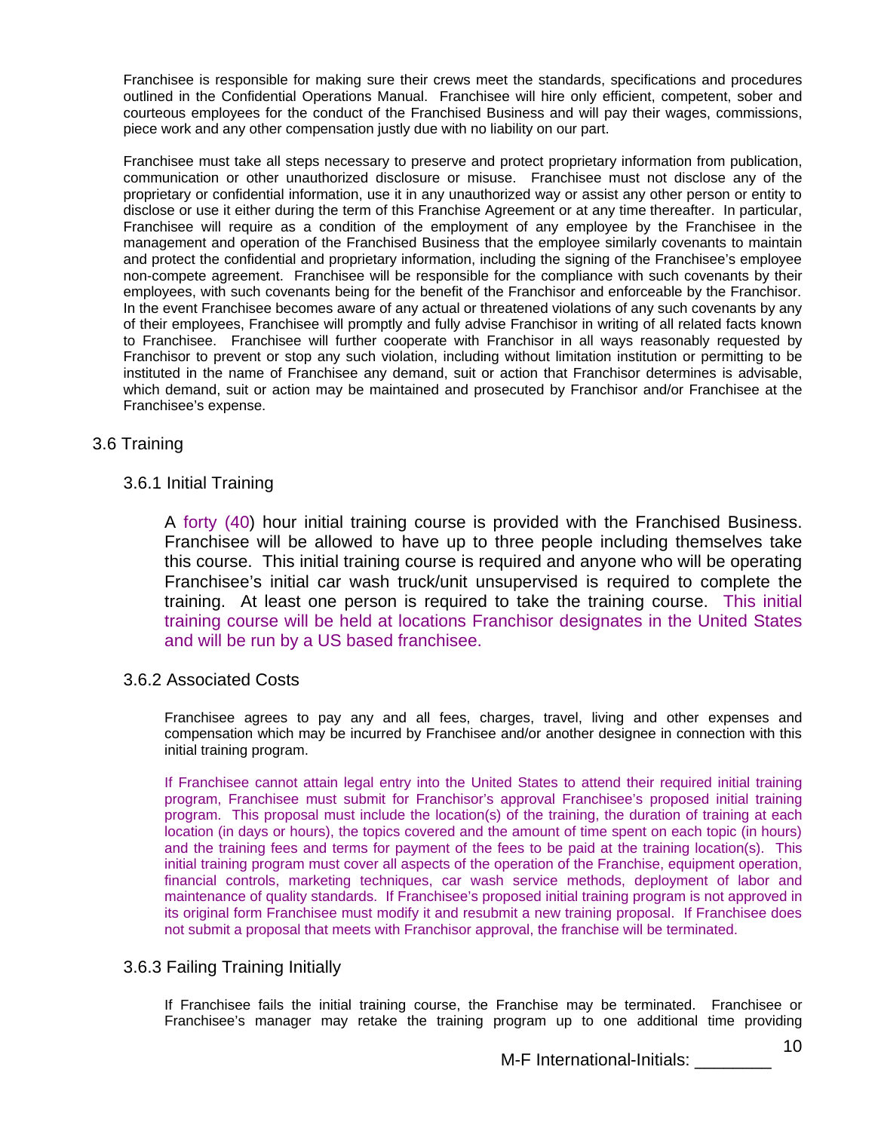Franchisee is responsible for making sure their crews meet the standards, specifications and procedures outlined in the Confidential Operations Manual. Franchisee will hire only efficient, competent, sober and courteous employees for the conduct of the Franchised Business and will pay their wages, commissions, piece work and any other compensation justly due with no liability on our part.

Franchisee must take all steps necessary to preserve and protect proprietary information from publication, communication or other unauthorized disclosure or misuse. Franchisee must not disclose any of the proprietary or confidential information, use it in any unauthorized way or assist any other person or entity to disclose or use it either during the term of this Franchise Agreement or at any time thereafter. In particular, Franchisee will require as a condition of the employment of any employee by the Franchisee in the management and operation of the Franchised Business that the employee similarly covenants to maintain and protect the confidential and proprietary information, including the signing of the Franchisee's employee non-compete agreement. Franchisee will be responsible for the compliance with such covenants by their employees, with such covenants being for the benefit of the Franchisor and enforceable by the Franchisor. In the event Franchisee becomes aware of any actual or threatened violations of any such covenants by any of their employees, Franchisee will promptly and fully advise Franchisor in writing of all related facts known to Franchisee. Franchisee will further cooperate with Franchisor in all ways reasonably requested by Franchisor to prevent or stop any such violation, including without limitation institution or permitting to be instituted in the name of Franchisee any demand, suit or action that Franchisor determines is advisable, which demand, suit or action may be maintained and prosecuted by Franchisor and/or Franchisee at the Franchisee's expense.

## 3.6 Training

#### 3.6.1 Initial Training

A forty (40) hour initial training course is provided with the Franchised Business. Franchisee will be allowed to have up to three people including themselves take this course. This initial training course is required and anyone who will be operating Franchisee's initial car wash truck/unit unsupervised is required to complete the training. At least one person is required to take the training course. This initial training course will be held at locations Franchisor designates in the United States and will be run by a US based franchisee.

#### 3.6.2 Associated Costs

Franchisee agrees to pay any and all fees, charges, travel, living and other expenses and compensation which may be incurred by Franchisee and/or another designee in connection with this initial training program.

If Franchisee cannot attain legal entry into the United States to attend their required initial training program, Franchisee must submit for Franchisor's approval Franchisee's proposed initial training program. This proposal must include the location(s) of the training, the duration of training at each location (in days or hours), the topics covered and the amount of time spent on each topic (in hours) and the training fees and terms for payment of the fees to be paid at the training location(s). This initial training program must cover all aspects of the operation of the Franchise, equipment operation, financial controls, marketing techniques, car wash service methods, deployment of labor and maintenance of quality standards. If Franchisee's proposed initial training program is not approved in its original form Franchisee must modify it and resubmit a new training proposal. If Franchisee does not submit a proposal that meets with Franchisor approval, the franchise will be terminated.

## 3.6.3 Failing Training Initially

If Franchisee fails the initial training course, the Franchise may be terminated. Franchisee or Franchisee's manager may retake the training program up to one additional time providing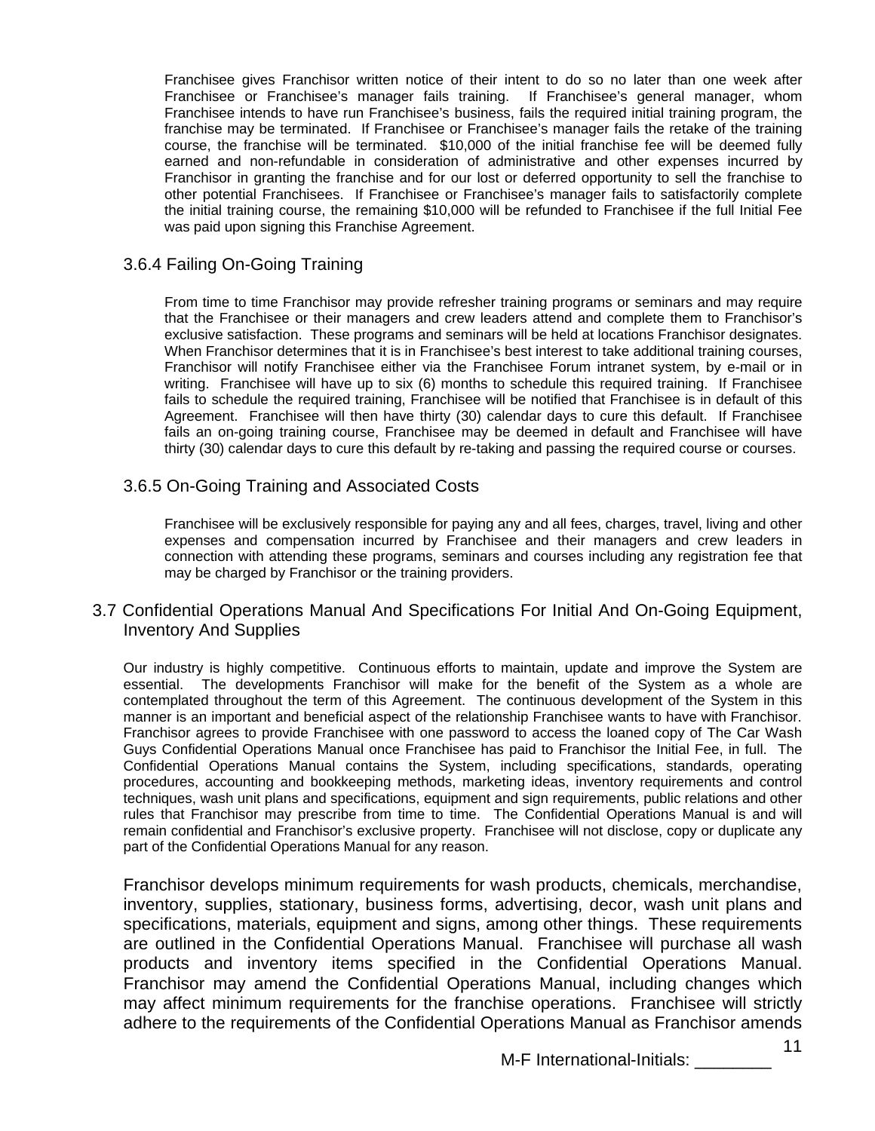Franchisee gives Franchisor written notice of their intent to do so no later than one week after Franchisee or Franchisee's manager fails training. If Franchisee's general manager, whom Franchisee intends to have run Franchisee's business, fails the required initial training program, the franchise may be terminated. If Franchisee or Franchisee's manager fails the retake of the training course, the franchise will be terminated. \$10,000 of the initial franchise fee will be deemed fully earned and non-refundable in consideration of administrative and other expenses incurred by Franchisor in granting the franchise and for our lost or deferred opportunity to sell the franchise to other potential Franchisees. If Franchisee or Franchisee's manager fails to satisfactorily complete the initial training course, the remaining \$10,000 will be refunded to Franchisee if the full Initial Fee was paid upon signing this Franchise Agreement.

# 3.6.4 Failing On-Going Training

From time to time Franchisor may provide refresher training programs or seminars and may require that the Franchisee or their managers and crew leaders attend and complete them to Franchisor's exclusive satisfaction. These programs and seminars will be held at locations Franchisor designates. When Franchisor determines that it is in Franchisee's best interest to take additional training courses, Franchisor will notify Franchisee either via the Franchisee Forum intranet system, by e-mail or in writing. Franchisee will have up to six (6) months to schedule this required training. If Franchisee fails to schedule the required training, Franchisee will be notified that Franchisee is in default of this Agreement. Franchisee will then have thirty (30) calendar days to cure this default. If Franchisee fails an on-going training course, Franchisee may be deemed in default and Franchisee will have thirty (30) calendar days to cure this default by re-taking and passing the required course or courses.

# 3.6.5 On-Going Training and Associated Costs

Franchisee will be exclusively responsible for paying any and all fees, charges, travel, living and other expenses and compensation incurred by Franchisee and their managers and crew leaders in connection with attending these programs, seminars and courses including any registration fee that may be charged by Franchisor or the training providers.

## 3.7 Confidential Operations Manual And Specifications For Initial And On-Going Equipment, Inventory And Supplies

Our industry is highly competitive. Continuous efforts to maintain, update and improve the System are essential. The developments Franchisor will make for the benefit of the System as a whole are contemplated throughout the term of this Agreement. The continuous development of the System in this manner is an important and beneficial aspect of the relationship Franchisee wants to have with Franchisor. Franchisor agrees to provide Franchisee with one password to access the loaned copy of The Car Wash Guys Confidential Operations Manual once Franchisee has paid to Franchisor the Initial Fee, in full. The Confidential Operations Manual contains the System, including specifications, standards, operating procedures, accounting and bookkeeping methods, marketing ideas, inventory requirements and control techniques, wash unit plans and specifications, equipment and sign requirements, public relations and other rules that Franchisor may prescribe from time to time. The Confidential Operations Manual is and will remain confidential and Franchisor's exclusive property. Franchisee will not disclose, copy or duplicate any part of the Confidential Operations Manual for any reason.

Franchisor develops minimum requirements for wash products, chemicals, merchandise, inventory, supplies, stationary, business forms, advertising, decor, wash unit plans and specifications, materials, equipment and signs, among other things. These requirements are outlined in the Confidential Operations Manual. Franchisee will purchase all wash products and inventory items specified in the Confidential Operations Manual. Franchisor may amend the Confidential Operations Manual, including changes which may affect minimum requirements for the franchise operations. Franchisee will strictly adhere to the requirements of the Confidential Operations Manual as Franchisor amends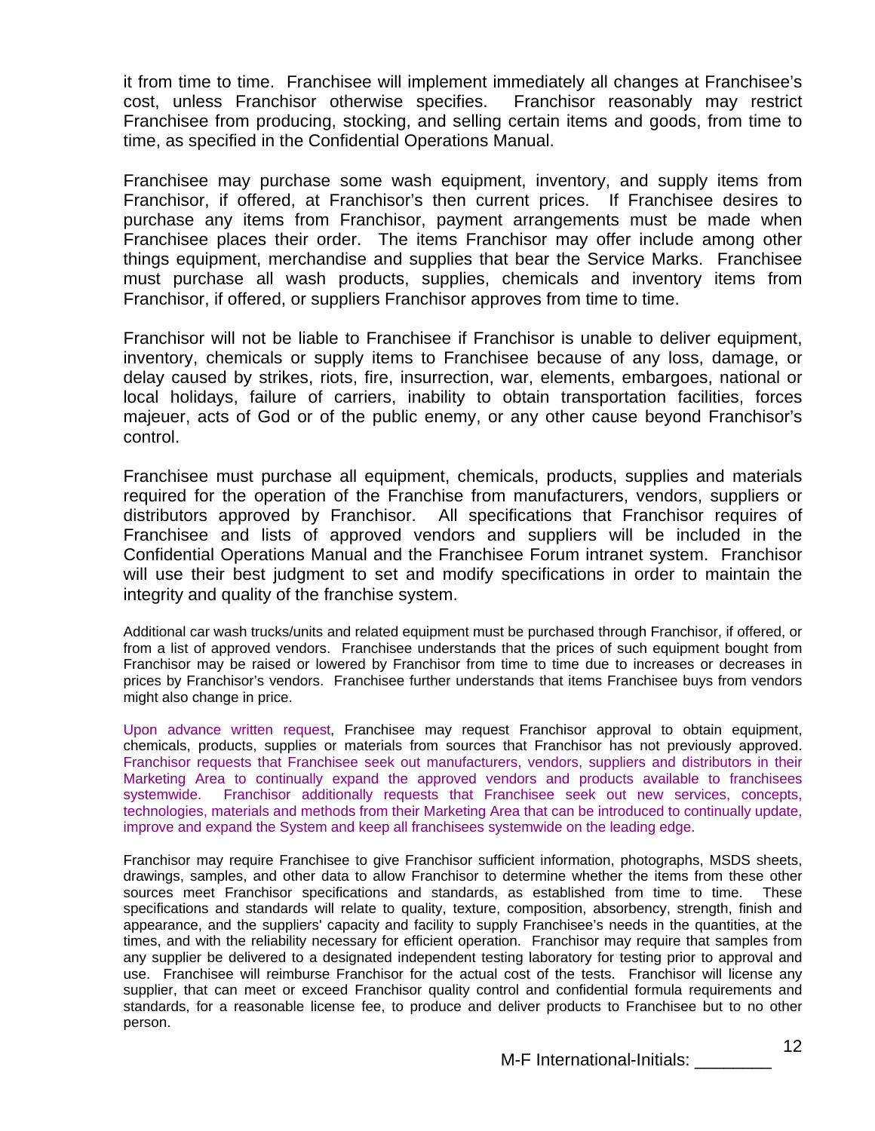it from time to time. Franchisee will implement immediately all changes at Franchisee's cost, unless Franchisor otherwise specifies. Franchisor reasonably may restrict Franchisee from producing, stocking, and selling certain items and goods, from time to time, as specified in the Confidential Operations Manual.

Franchisee may purchase some wash equipment, inventory, and supply items from Franchisor, if offered, at Franchisor's then current prices. If Franchisee desires to purchase any items from Franchisor, payment arrangements must be made when Franchisee places their order. The items Franchisor may offer include among other things equipment, merchandise and supplies that bear the Service Marks. Franchisee must purchase all wash products, supplies, chemicals and inventory items from Franchisor, if offered, or suppliers Franchisor approves from time to time.

Franchisor will not be liable to Franchisee if Franchisor is unable to deliver equipment, inventory, chemicals or supply items to Franchisee because of any loss, damage, or delay caused by strikes, riots, fire, insurrection, war, elements, embargoes, national or local holidays, failure of carriers, inability to obtain transportation facilities, forces majeuer, acts of God or of the public enemy, or any other cause beyond Franchisor's control.

Franchisee must purchase all equipment, chemicals, products, supplies and materials required for the operation of the Franchise from manufacturers, vendors, suppliers or distributors approved by Franchisor. All specifications that Franchisor requires of Franchisee and lists of approved vendors and suppliers will be included in the Confidential Operations Manual and the Franchisee Forum intranet system. Franchisor will use their best judgment to set and modify specifications in order to maintain the integrity and quality of the franchise system.

Additional car wash trucks/units and related equipment must be purchased through Franchisor, if offered, or from a list of approved vendors. Franchisee understands that the prices of such equipment bought from Franchisor may be raised or lowered by Franchisor from time to time due to increases or decreases in prices by Franchisor's vendors. Franchisee further understands that items Franchisee buys from vendors might also change in price.

Upon advance written request, Franchisee may request Franchisor approval to obtain equipment, chemicals, products, supplies or materials from sources that Franchisor has not previously approved. Franchisor requests that Franchisee seek out manufacturers, vendors, suppliers and distributors in their Marketing Area to continually expand the approved vendors and products available to franchisees systemwide. Franchisor additionally requests that Franchisee seek out new services, concepts, technologies, materials and methods from their Marketing Area that can be introduced to continually update, improve and expand the System and keep all franchisees systemwide on the leading edge.

Franchisor may require Franchisee to give Franchisor sufficient information, photographs, MSDS sheets, drawings, samples, and other data to allow Franchisor to determine whether the items from these other sources meet Franchisor specifications and standards, as established from time to time. These specifications and standards will relate to quality, texture, composition, absorbency, strength, finish and appearance, and the suppliers' capacity and facility to supply Franchisee's needs in the quantities, at the times, and with the reliability necessary for efficient operation. Franchisor may require that samples from any supplier be delivered to a designated independent testing laboratory for testing prior to approval and use. Franchisee will reimburse Franchisor for the actual cost of the tests. Franchisor will license any supplier, that can meet or exceed Franchisor quality control and confidential formula requirements and standards, for a reasonable license fee, to produce and deliver products to Franchisee but to no other person.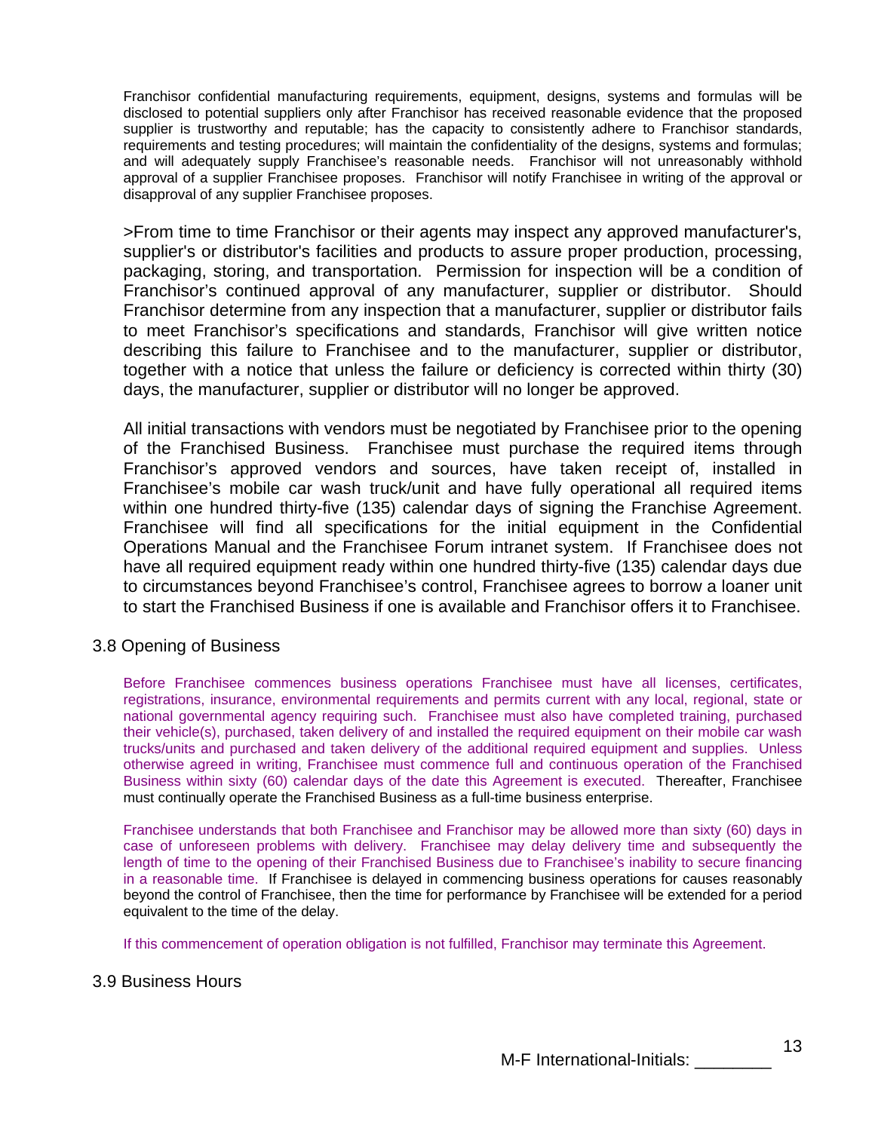Franchisor confidential manufacturing requirements, equipment, designs, systems and formulas will be disclosed to potential suppliers only after Franchisor has received reasonable evidence that the proposed supplier is trustworthy and reputable; has the capacity to consistently adhere to Franchisor standards, requirements and testing procedures; will maintain the confidentiality of the designs, systems and formulas; and will adequately supply Franchisee's reasonable needs. Franchisor will not unreasonably withhold approval of a supplier Franchisee proposes. Franchisor will notify Franchisee in writing of the approval or disapproval of any supplier Franchisee proposes.

>From time to time Franchisor or their agents may inspect any approved manufacturer's, supplier's or distributor's facilities and products to assure proper production, processing, packaging, storing, and transportation. Permission for inspection will be a condition of Franchisor's continued approval of any manufacturer, supplier or distributor. Should Franchisor determine from any inspection that a manufacturer, supplier or distributor fails to meet Franchisor's specifications and standards, Franchisor will give written notice describing this failure to Franchisee and to the manufacturer, supplier or distributor, together with a notice that unless the failure or deficiency is corrected within thirty (30) days, the manufacturer, supplier or distributor will no longer be approved.

All initial transactions with vendors must be negotiated by Franchisee prior to the opening of the Franchised Business. Franchisee must purchase the required items through Franchisor's approved vendors and sources, have taken receipt of, installed in Franchisee's mobile car wash truck/unit and have fully operational all required items within one hundred thirty-five (135) calendar days of signing the Franchise Agreement. Franchisee will find all specifications for the initial equipment in the Confidential Operations Manual and the Franchisee Forum intranet system. If Franchisee does not have all required equipment ready within one hundred thirty-five (135) calendar days due to circumstances beyond Franchisee's control, Franchisee agrees to borrow a loaner unit to start the Franchised Business if one is available and Franchisor offers it to Franchisee.

## 3.8 Opening of Business

Before Franchisee commences business operations Franchisee must have all licenses, certificates, registrations, insurance, environmental requirements and permits current with any local, regional, state or national governmental agency requiring such. Franchisee must also have completed training, purchased their vehicle(s), purchased, taken delivery of and installed the required equipment on their mobile car wash trucks/units and purchased and taken delivery of the additional required equipment and supplies. Unless otherwise agreed in writing, Franchisee must commence full and continuous operation of the Franchised Business within sixty (60) calendar days of the date this Agreement is executed. Thereafter, Franchisee must continually operate the Franchised Business as a full-time business enterprise.

Franchisee understands that both Franchisee and Franchisor may be allowed more than sixty (60) days in case of unforeseen problems with delivery. Franchisee may delay delivery time and subsequently the length of time to the opening of their Franchised Business due to Franchisee's inability to secure financing in a reasonable time. If Franchisee is delayed in commencing business operations for causes reasonably beyond the control of Franchisee, then the time for performance by Franchisee will be extended for a period equivalent to the time of the delay.

If this commencement of operation obligation is not fulfilled, Franchisor may terminate this Agreement.

## 3.9 Business Hours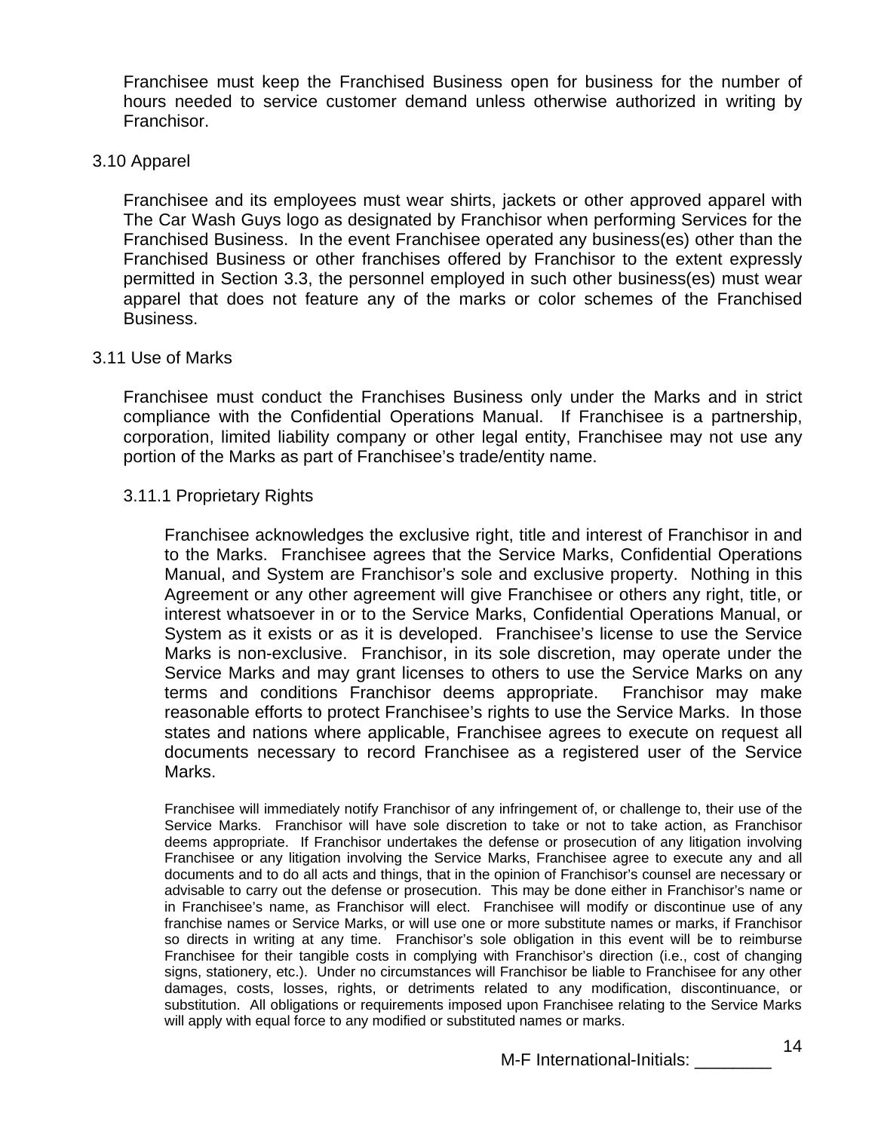Franchisee must keep the Franchised Business open for business for the number of hours needed to service customer demand unless otherwise authorized in writing by Franchisor.

# 3.10 Apparel

Franchisee and its employees must wear shirts, jackets or other approved apparel with The Car Wash Guys logo as designated by Franchisor when performing Services for the Franchised Business. In the event Franchisee operated any business(es) other than the Franchised Business or other franchises offered by Franchisor to the extent expressly permitted in Section 3.3, the personnel employed in such other business(es) must wear apparel that does not feature any of the marks or color schemes of the Franchised Business.

## 3.11 Use of Marks

Franchisee must conduct the Franchises Business only under the Marks and in strict compliance with the Confidential Operations Manual. If Franchisee is a partnership, corporation, limited liability company or other legal entity, Franchisee may not use any portion of the Marks as part of Franchisee's trade/entity name.

# 3.11.1 Proprietary Rights

Franchisee acknowledges the exclusive right, title and interest of Franchisor in and to the Marks. Franchisee agrees that the Service Marks, Confidential Operations Manual, and System are Franchisor's sole and exclusive property. Nothing in this Agreement or any other agreement will give Franchisee or others any right, title, or interest whatsoever in or to the Service Marks, Confidential Operations Manual, or System as it exists or as it is developed. Franchisee's license to use the Service Marks is non-exclusive. Franchisor, in its sole discretion, may operate under the Service Marks and may grant licenses to others to use the Service Marks on any terms and conditions Franchisor deems appropriate. Franchisor may make reasonable efforts to protect Franchisee's rights to use the Service Marks. In those states and nations where applicable, Franchisee agrees to execute on request all documents necessary to record Franchisee as a registered user of the Service Marks.

Franchisee will immediately notify Franchisor of any infringement of, or challenge to, their use of the Service Marks. Franchisor will have sole discretion to take or not to take action, as Franchisor deems appropriate. If Franchisor undertakes the defense or prosecution of any litigation involving Franchisee or any litigation involving the Service Marks, Franchisee agree to execute any and all documents and to do all acts and things, that in the opinion of Franchisor's counsel are necessary or advisable to carry out the defense or prosecution. This may be done either in Franchisor's name or in Franchisee's name, as Franchisor will elect. Franchisee will modify or discontinue use of any franchise names or Service Marks, or will use one or more substitute names or marks, if Franchisor so directs in writing at any time. Franchisor's sole obligation in this event will be to reimburse Franchisee for their tangible costs in complying with Franchisor's direction (i.e., cost of changing signs, stationery, etc.). Under no circumstances will Franchisor be liable to Franchisee for any other damages, costs, losses, rights, or detriments related to any modification, discontinuance, or substitution. All obligations or requirements imposed upon Franchisee relating to the Service Marks will apply with equal force to any modified or substituted names or marks.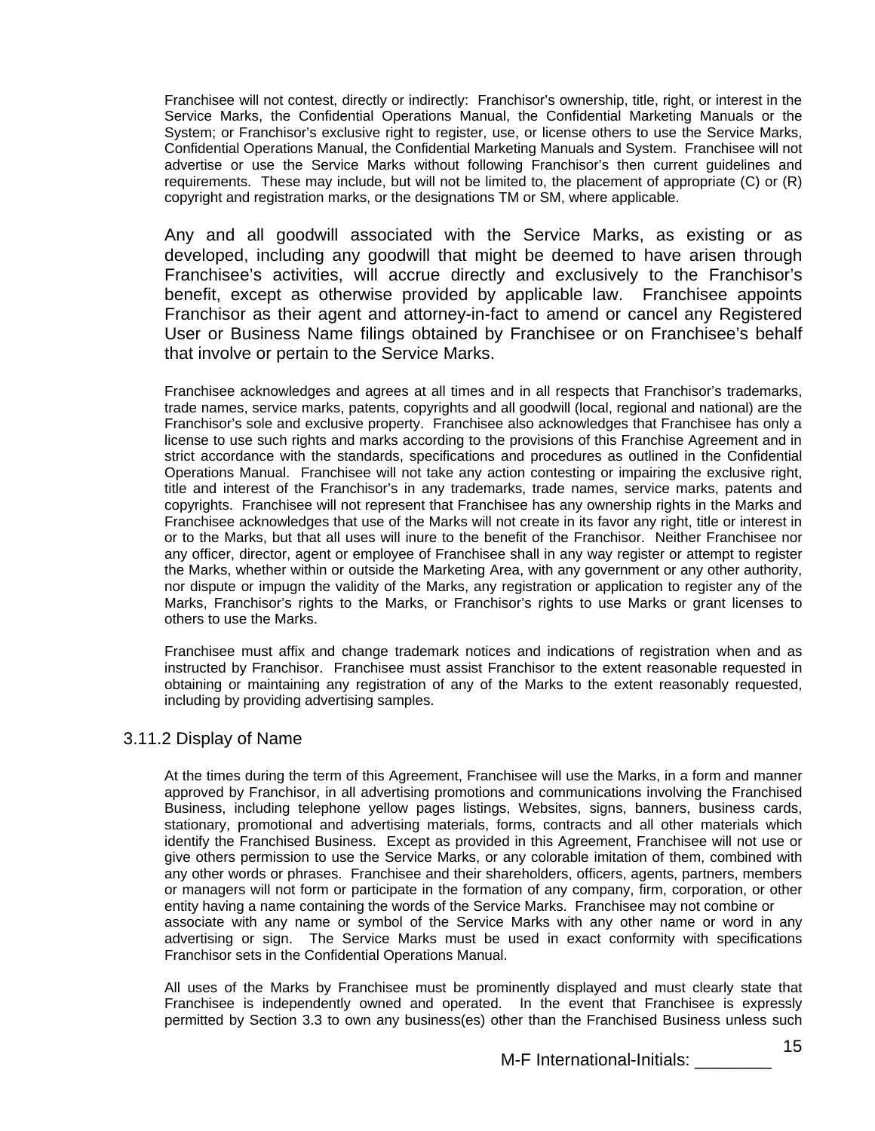Franchisee will not contest, directly or indirectly: Franchisor's ownership, title, right, or interest in the Service Marks, the Confidential Operations Manual, the Confidential Marketing Manuals or the System; or Franchisor's exclusive right to register, use, or license others to use the Service Marks, Confidential Operations Manual, the Confidential Marketing Manuals and System. Franchisee will not advertise or use the Service Marks without following Franchisor's then current guidelines and requirements. These may include, but will not be limited to, the placement of appropriate (C) or (R) copyright and registration marks, or the designations TM or SM, where applicable.

Any and all goodwill associated with the Service Marks, as existing or as developed, including any goodwill that might be deemed to have arisen through Franchisee's activities, will accrue directly and exclusively to the Franchisor's benefit, except as otherwise provided by applicable law. Franchisee appoints Franchisor as their agent and attorney-in-fact to amend or cancel any Registered User or Business Name filings obtained by Franchisee or on Franchisee's behalf that involve or pertain to the Service Marks.

Franchisee acknowledges and agrees at all times and in all respects that Franchisor's trademarks, trade names, service marks, patents, copyrights and all goodwill (local, regional and national) are the Franchisor's sole and exclusive property. Franchisee also acknowledges that Franchisee has only a license to use such rights and marks according to the provisions of this Franchise Agreement and in strict accordance with the standards, specifications and procedures as outlined in the Confidential Operations Manual. Franchisee will not take any action contesting or impairing the exclusive right, title and interest of the Franchisor's in any trademarks, trade names, service marks, patents and copyrights. Franchisee will not represent that Franchisee has any ownership rights in the Marks and Franchisee acknowledges that use of the Marks will not create in its favor any right, title or interest in or to the Marks, but that all uses will inure to the benefit of the Franchisor. Neither Franchisee nor any officer, director, agent or employee of Franchisee shall in any way register or attempt to register the Marks, whether within or outside the Marketing Area, with any government or any other authority, nor dispute or impugn the validity of the Marks, any registration or application to register any of the Marks, Franchisor's rights to the Marks, or Franchisor's rights to use Marks or grant licenses to others to use the Marks.

Franchisee must affix and change trademark notices and indications of registration when and as instructed by Franchisor. Franchisee must assist Franchisor to the extent reasonable requested in obtaining or maintaining any registration of any of the Marks to the extent reasonably requested, including by providing advertising samples.

## 3.11.2 Display of Name

At the times during the term of this Agreement, Franchisee will use the Marks, in a form and manner approved by Franchisor, in all advertising promotions and communications involving the Franchised Business, including telephone yellow pages listings, Websites, signs, banners, business cards, stationary, promotional and advertising materials, forms, contracts and all other materials which identify the Franchised Business. Except as provided in this Agreement, Franchisee will not use or give others permission to use the Service Marks, or any colorable imitation of them, combined with any other words or phrases. Franchisee and their shareholders, officers, agents, partners, members or managers will not form or participate in the formation of any company, firm, corporation, or other entity having a name containing the words of the Service Marks. Franchisee may not combine or associate with any name or symbol of the Service Marks with any other name or word in any advertising or sign. The Service Marks must be used in exact conformity with specifications Franchisor sets in the Confidential Operations Manual.

All uses of the Marks by Franchisee must be prominently displayed and must clearly state that Franchisee is independently owned and operated. In the event that Franchisee is expressly permitted by Section 3.3 to own any business(es) other than the Franchised Business unless such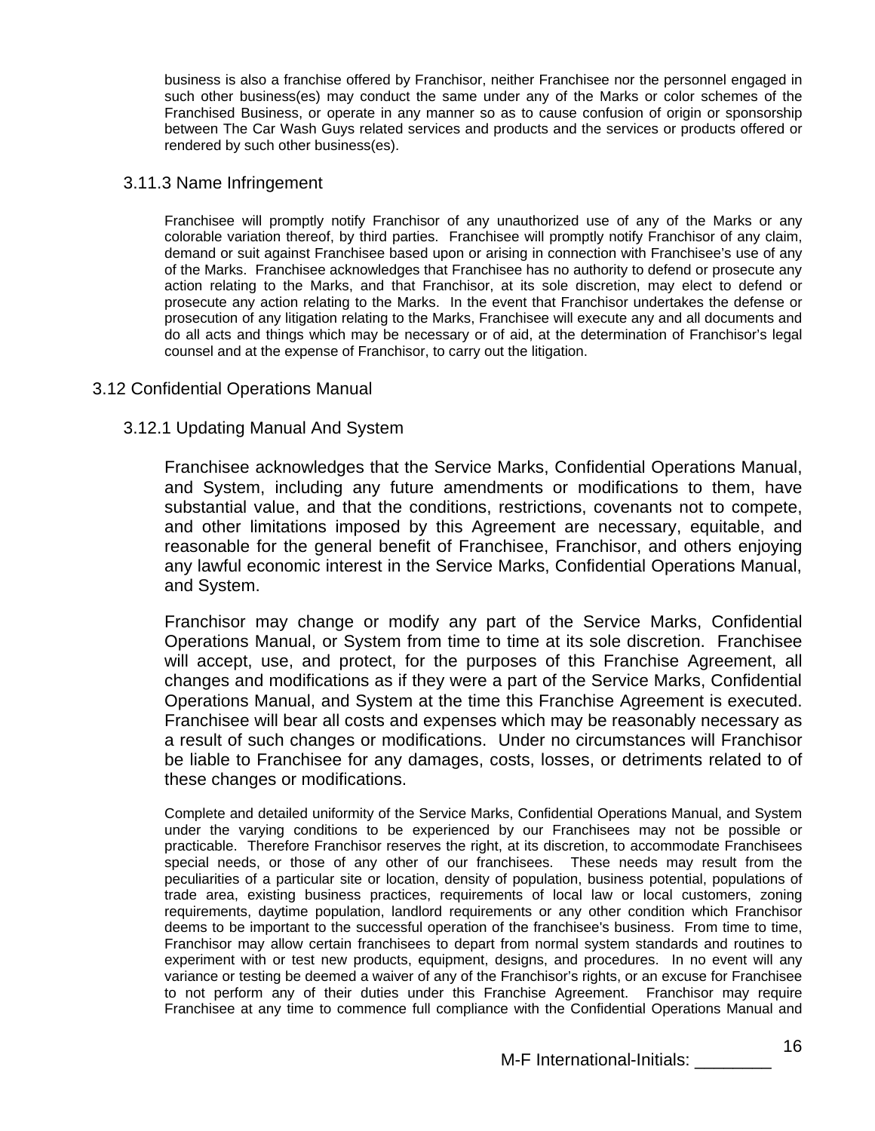business is also a franchise offered by Franchisor, neither Franchisee nor the personnel engaged in such other business(es) may conduct the same under any of the Marks or color schemes of the Franchised Business, or operate in any manner so as to cause confusion of origin or sponsorship between The Car Wash Guys related services and products and the services or products offered or rendered by such other business(es).

#### 3.11.3 Name Infringement

Franchisee will promptly notify Franchisor of any unauthorized use of any of the Marks or any colorable variation thereof, by third parties. Franchisee will promptly notify Franchisor of any claim, demand or suit against Franchisee based upon or arising in connection with Franchisee's use of any of the Marks. Franchisee acknowledges that Franchisee has no authority to defend or prosecute any action relating to the Marks, and that Franchisor, at its sole discretion, may elect to defend or prosecute any action relating to the Marks. In the event that Franchisor undertakes the defense or prosecution of any litigation relating to the Marks, Franchisee will execute any and all documents and do all acts and things which may be necessary or of aid, at the determination of Franchisor's legal counsel and at the expense of Franchisor, to carry out the litigation.

## 3.12 Confidential Operations Manual

#### 3.12.1 Updating Manual And System

Franchisee acknowledges that the Service Marks, Confidential Operations Manual, and System, including any future amendments or modifications to them, have substantial value, and that the conditions, restrictions, covenants not to compete, and other limitations imposed by this Agreement are necessary, equitable, and reasonable for the general benefit of Franchisee, Franchisor, and others enjoying any lawful economic interest in the Service Marks, Confidential Operations Manual, and System.

Franchisor may change or modify any part of the Service Marks, Confidential Operations Manual, or System from time to time at its sole discretion. Franchisee will accept, use, and protect, for the purposes of this Franchise Agreement, all changes and modifications as if they were a part of the Service Marks, Confidential Operations Manual, and System at the time this Franchise Agreement is executed. Franchisee will bear all costs and expenses which may be reasonably necessary as a result of such changes or modifications. Under no circumstances will Franchisor be liable to Franchisee for any damages, costs, losses, or detriments related to of these changes or modifications.

Complete and detailed uniformity of the Service Marks, Confidential Operations Manual, and System under the varying conditions to be experienced by our Franchisees may not be possible or practicable. Therefore Franchisor reserves the right, at its discretion, to accommodate Franchisees special needs, or those of any other of our franchisees. These needs may result from the peculiarities of a particular site or location, density of population, business potential, populations of trade area, existing business practices, requirements of local law or local customers, zoning requirements, daytime population, landlord requirements or any other condition which Franchisor deems to be important to the successful operation of the franchisee's business. From time to time, Franchisor may allow certain franchisees to depart from normal system standards and routines to experiment with or test new products, equipment, designs, and procedures. In no event will any variance or testing be deemed a waiver of any of the Franchisor's rights, or an excuse for Franchisee to not perform any of their duties under this Franchise Agreement. Franchisor may require Franchisee at any time to commence full compliance with the Confidential Operations Manual and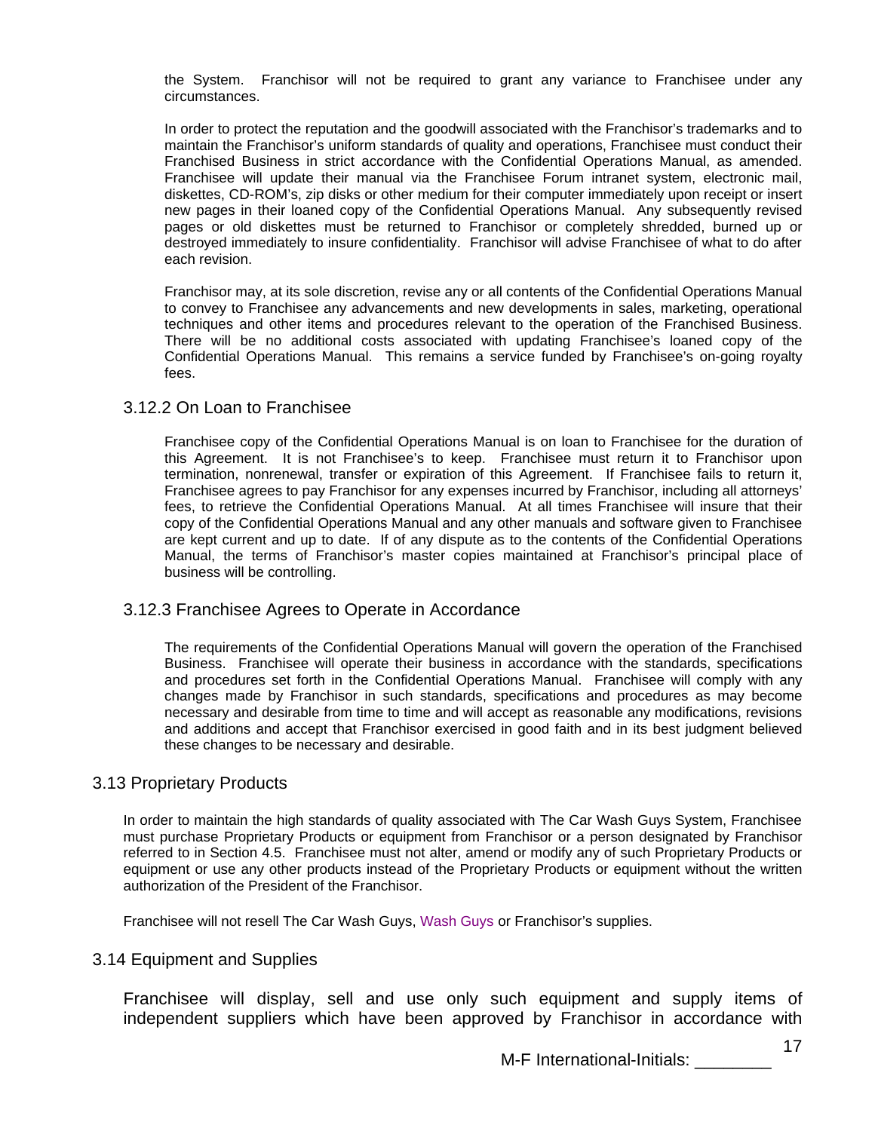the System. Franchisor will not be required to grant any variance to Franchisee under any circumstances.

In order to protect the reputation and the goodwill associated with the Franchisor's trademarks and to maintain the Franchisor's uniform standards of quality and operations, Franchisee must conduct their Franchised Business in strict accordance with the Confidential Operations Manual, as amended. Franchisee will update their manual via the Franchisee Forum intranet system, electronic mail, diskettes, CD-ROM's, zip disks or other medium for their computer immediately upon receipt or insert new pages in their loaned copy of the Confidential Operations Manual. Any subsequently revised pages or old diskettes must be returned to Franchisor or completely shredded, burned up or destroyed immediately to insure confidentiality. Franchisor will advise Franchisee of what to do after each revision.

Franchisor may, at its sole discretion, revise any or all contents of the Confidential Operations Manual to convey to Franchisee any advancements and new developments in sales, marketing, operational techniques and other items and procedures relevant to the operation of the Franchised Business. There will be no additional costs associated with updating Franchisee's loaned copy of the Confidential Operations Manual. This remains a service funded by Franchisee's on-going royalty fees.

#### 3.12.2 On Loan to Franchisee

Franchisee copy of the Confidential Operations Manual is on loan to Franchisee for the duration of this Agreement. It is not Franchisee's to keep. Franchisee must return it to Franchisor upon termination, nonrenewal, transfer or expiration of this Agreement. If Franchisee fails to return it, Franchisee agrees to pay Franchisor for any expenses incurred by Franchisor, including all attorneys' fees, to retrieve the Confidential Operations Manual. At all times Franchisee will insure that their copy of the Confidential Operations Manual and any other manuals and software given to Franchisee are kept current and up to date. If of any dispute as to the contents of the Confidential Operations Manual, the terms of Franchisor's master copies maintained at Franchisor's principal place of business will be controlling.

#### 3.12.3 Franchisee Agrees to Operate in Accordance

The requirements of the Confidential Operations Manual will govern the operation of the Franchised Business. Franchisee will operate their business in accordance with the standards, specifications and procedures set forth in the Confidential Operations Manual. Franchisee will comply with any changes made by Franchisor in such standards, specifications and procedures as may become necessary and desirable from time to time and will accept as reasonable any modifications, revisions and additions and accept that Franchisor exercised in good faith and in its best judgment believed these changes to be necessary and desirable.

#### 3.13 Proprietary Products

In order to maintain the high standards of quality associated with The Car Wash Guys System, Franchisee must purchase Proprietary Products or equipment from Franchisor or a person designated by Franchisor referred to in Section 4.5. Franchisee must not alter, amend or modify any of such Proprietary Products or equipment or use any other products instead of the Proprietary Products or equipment without the written authorization of the President of the Franchisor.

Franchisee will not resell The Car Wash Guys, Wash Guys or Franchisor's supplies.

#### 3.14 Equipment and Supplies

Franchisee will display, sell and use only such equipment and supply items of independent suppliers which have been approved by Franchisor in accordance with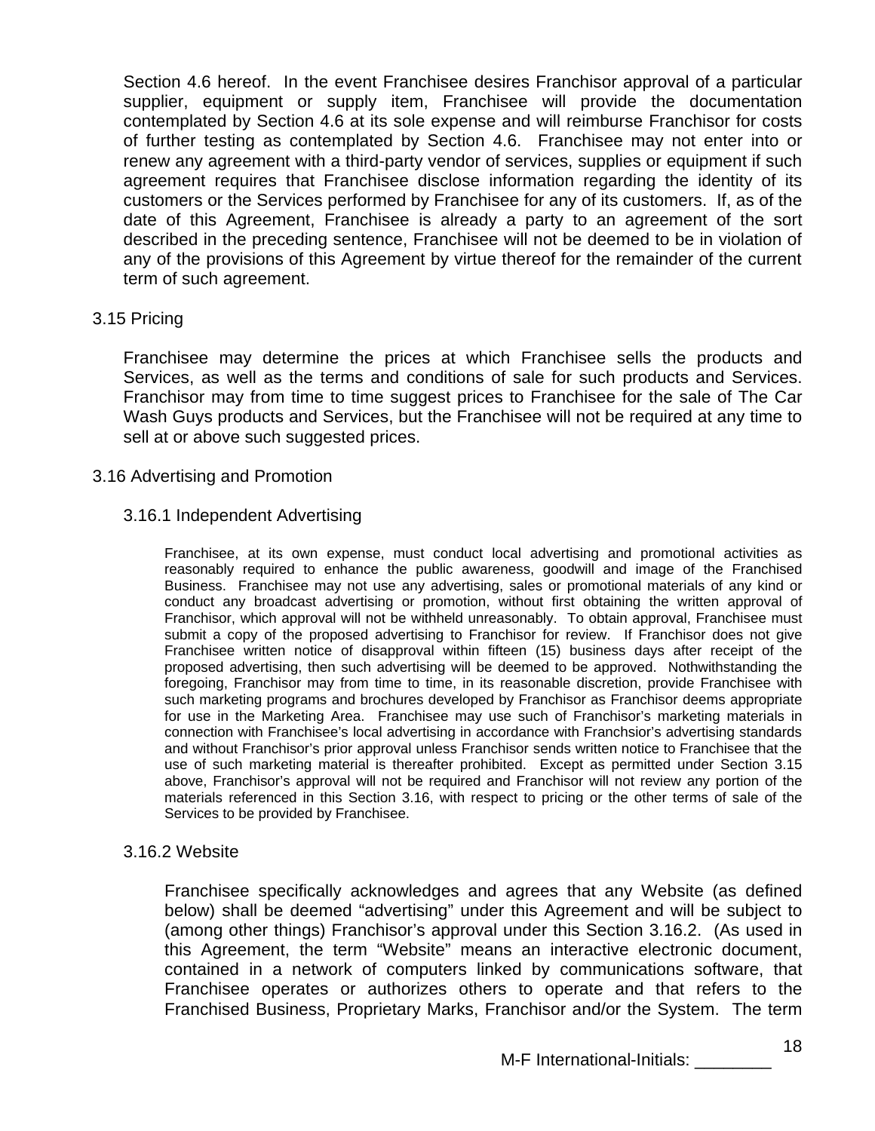Section 4.6 hereof. In the event Franchisee desires Franchisor approval of a particular supplier, equipment or supply item, Franchisee will provide the documentation contemplated by Section 4.6 at its sole expense and will reimburse Franchisor for costs of further testing as contemplated by Section 4.6. Franchisee may not enter into or renew any agreement with a third-party vendor of services, supplies or equipment if such agreement requires that Franchisee disclose information regarding the identity of its customers or the Services performed by Franchisee for any of its customers. If, as of the date of this Agreement, Franchisee is already a party to an agreement of the sort described in the preceding sentence, Franchisee will not be deemed to be in violation of any of the provisions of this Agreement by virtue thereof for the remainder of the current term of such agreement.

# 3.15 Pricing

Franchisee may determine the prices at which Franchisee sells the products and Services, as well as the terms and conditions of sale for such products and Services. Franchisor may from time to time suggest prices to Franchisee for the sale of The Car Wash Guys products and Services, but the Franchisee will not be required at any time to sell at or above such suggested prices.

## 3.16 Advertising and Promotion

# 3.16.1 Independent Advertising

Franchisee, at its own expense, must conduct local advertising and promotional activities as reasonably required to enhance the public awareness, goodwill and image of the Franchised Business. Franchisee may not use any advertising, sales or promotional materials of any kind or conduct any broadcast advertising or promotion, without first obtaining the written approval of Franchisor, which approval will not be withheld unreasonably. To obtain approval, Franchisee must submit a copy of the proposed advertising to Franchisor for review. If Franchisor does not give Franchisee written notice of disapproval within fifteen (15) business days after receipt of the proposed advertising, then such advertising will be deemed to be approved. Nothwithstanding the foregoing, Franchisor may from time to time, in its reasonable discretion, provide Franchisee with such marketing programs and brochures developed by Franchisor as Franchisor deems appropriate for use in the Marketing Area. Franchisee may use such of Franchisor's marketing materials in connection with Franchisee's local advertising in accordance with Franchsior's advertising standards and without Franchisor's prior approval unless Franchisor sends written notice to Franchisee that the use of such marketing material is thereafter prohibited. Except as permitted under Section 3.15 above, Franchisor's approval will not be required and Franchisor will not review any portion of the materials referenced in this Section 3.16, with respect to pricing or the other terms of sale of the Services to be provided by Franchisee.

# 3.16.2 Website

Franchisee specifically acknowledges and agrees that any Website (as defined below) shall be deemed "advertising" under this Agreement and will be subject to (among other things) Franchisor's approval under this Section 3.16.2. (As used in this Agreement, the term "Website" means an interactive electronic document, contained in a network of computers linked by communications software, that Franchisee operates or authorizes others to operate and that refers to the Franchised Business, Proprietary Marks, Franchisor and/or the System. The term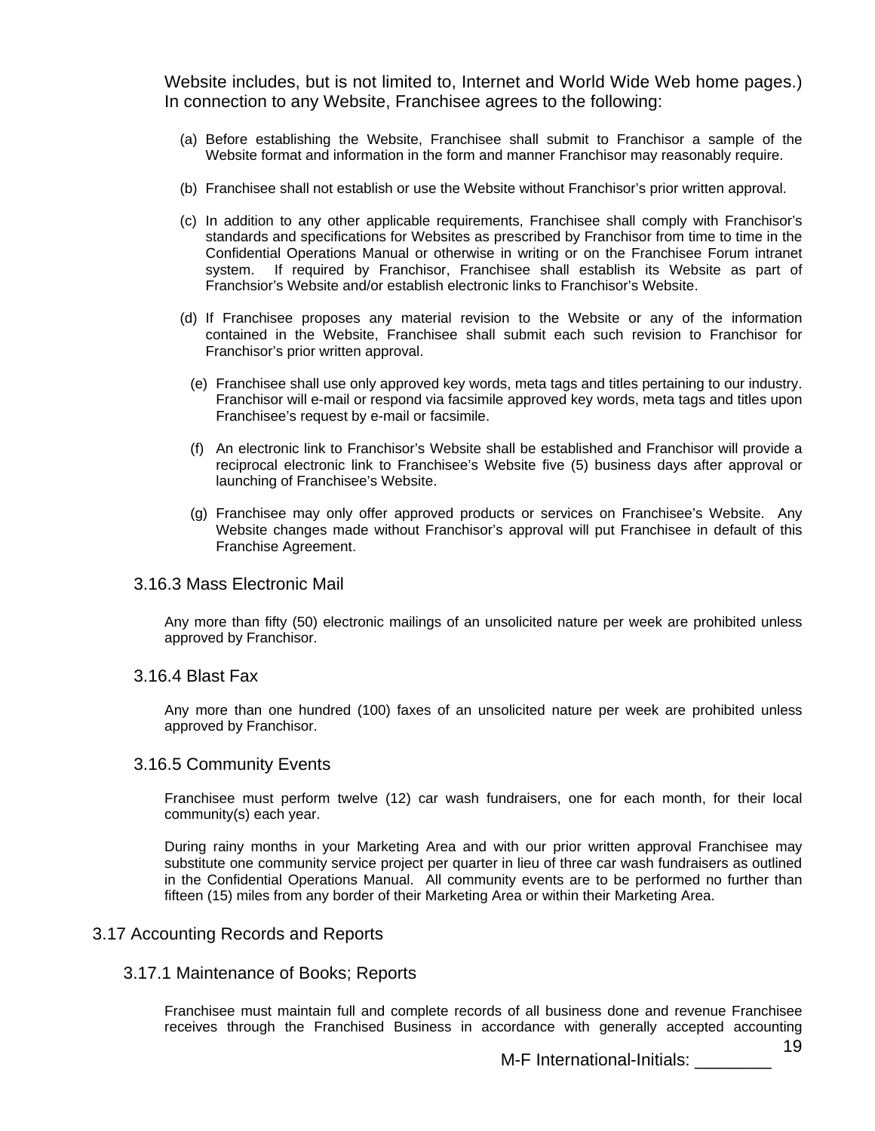Website includes, but is not limited to, Internet and World Wide Web home pages.) In connection to any Website, Franchisee agrees to the following:

- (a) Before establishing the Website, Franchisee shall submit to Franchisor a sample of the Website format and information in the form and manner Franchisor may reasonably require.
- (b) Franchisee shall not establish or use the Website without Franchisor's prior written approval.
- (c) In addition to any other applicable requirements, Franchisee shall comply with Franchisor's standards and specifications for Websites as prescribed by Franchisor from time to time in the Confidential Operations Manual or otherwise in writing or on the Franchisee Forum intranet system. If required by Franchisor, Franchisee shall establish its Website as part of Franchsior's Website and/or establish electronic links to Franchisor's Website.
- (d) If Franchisee proposes any material revision to the Website or any of the information contained in the Website, Franchisee shall submit each such revision to Franchisor for Franchisor's prior written approval.
	- (e) Franchisee shall use only approved key words, meta tags and titles pertaining to our industry. Franchisor will e-mail or respond via facsimile approved key words, meta tags and titles upon Franchisee's request by e-mail or facsimile.
	- (f) An electronic link to Franchisor's Website shall be established and Franchisor will provide a reciprocal electronic link to Franchisee's Website five (5) business days after approval or launching of Franchisee's Website.
	- (g) Franchisee may only offer approved products or services on Franchisee's Website. Any Website changes made without Franchisor's approval will put Franchisee in default of this Franchise Agreement.

#### 3.16.3 Mass Electronic Mail

Any more than fifty (50) electronic mailings of an unsolicited nature per week are prohibited unless approved by Franchisor.

#### 3.16.4 Blast Fax

Any more than one hundred (100) faxes of an unsolicited nature per week are prohibited unless approved by Franchisor.

#### 3.16.5 Community Events

Franchisee must perform twelve (12) car wash fundraisers, one for each month, for their local community(s) each year.

During rainy months in your Marketing Area and with our prior written approval Franchisee may substitute one community service project per quarter in lieu of three car wash fundraisers as outlined in the Confidential Operations Manual. All community events are to be performed no further than fifteen (15) miles from any border of their Marketing Area or within their Marketing Area.

## 3.17 Accounting Records and Reports

## 3.17.1 Maintenance of Books; Reports

Franchisee must maintain full and complete records of all business done and revenue Franchisee receives through the Franchised Business in accordance with generally accepted accounting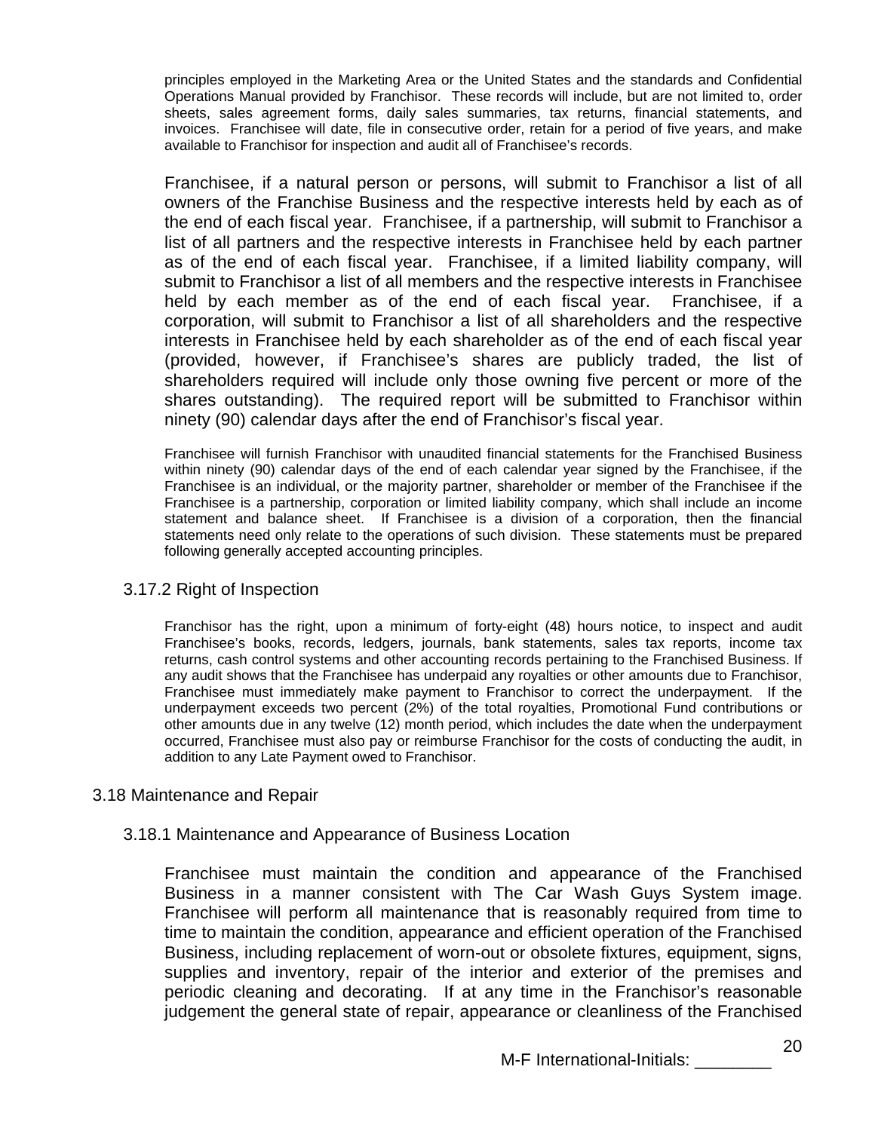principles employed in the Marketing Area or the United States and the standards and Confidential Operations Manual provided by Franchisor. These records will include, but are not limited to, order sheets, sales agreement forms, daily sales summaries, tax returns, financial statements, and invoices. Franchisee will date, file in consecutive order, retain for a period of five years, and make available to Franchisor for inspection and audit all of Franchisee's records.

Franchisee, if a natural person or persons, will submit to Franchisor a list of all owners of the Franchise Business and the respective interests held by each as of the end of each fiscal year. Franchisee, if a partnership, will submit to Franchisor a list of all partners and the respective interests in Franchisee held by each partner as of the end of each fiscal year. Franchisee, if a limited liability company, will submit to Franchisor a list of all members and the respective interests in Franchisee held by each member as of the end of each fiscal year. Franchisee, if a corporation, will submit to Franchisor a list of all shareholders and the respective interests in Franchisee held by each shareholder as of the end of each fiscal year (provided, however, if Franchisee's shares are publicly traded, the list of shareholders required will include only those owning five percent or more of the shares outstanding). The required report will be submitted to Franchisor within ninety (90) calendar days after the end of Franchisor's fiscal year.

Franchisee will furnish Franchisor with unaudited financial statements for the Franchised Business within ninety (90) calendar days of the end of each calendar year signed by the Franchisee, if the Franchisee is an individual, or the majority partner, shareholder or member of the Franchisee if the Franchisee is a partnership, corporation or limited liability company, which shall include an income statement and balance sheet. If Franchisee is a division of a corporation, then the financial statements need only relate to the operations of such division. These statements must be prepared following generally accepted accounting principles.

## 3.17.2 Right of Inspection

Franchisor has the right, upon a minimum of forty-eight (48) hours notice, to inspect and audit Franchisee's books, records, ledgers, journals, bank statements, sales tax reports, income tax returns, cash control systems and other accounting records pertaining to the Franchised Business. If any audit shows that the Franchisee has underpaid any royalties or other amounts due to Franchisor, Franchisee must immediately make payment to Franchisor to correct the underpayment. If the underpayment exceeds two percent (2%) of the total royalties, Promotional Fund contributions or other amounts due in any twelve (12) month period, which includes the date when the underpayment occurred, Franchisee must also pay or reimburse Franchisor for the costs of conducting the audit, in addition to any Late Payment owed to Franchisor.

## 3.18 Maintenance and Repair

## 3.18.1 Maintenance and Appearance of Business Location

Franchisee must maintain the condition and appearance of the Franchised Business in a manner consistent with The Car Wash Guys System image. Franchisee will perform all maintenance that is reasonably required from time to time to maintain the condition, appearance and efficient operation of the Franchised Business, including replacement of worn-out or obsolete fixtures, equipment, signs, supplies and inventory, repair of the interior and exterior of the premises and periodic cleaning and decorating. If at any time in the Franchisor's reasonable judgement the general state of repair, appearance or cleanliness of the Franchised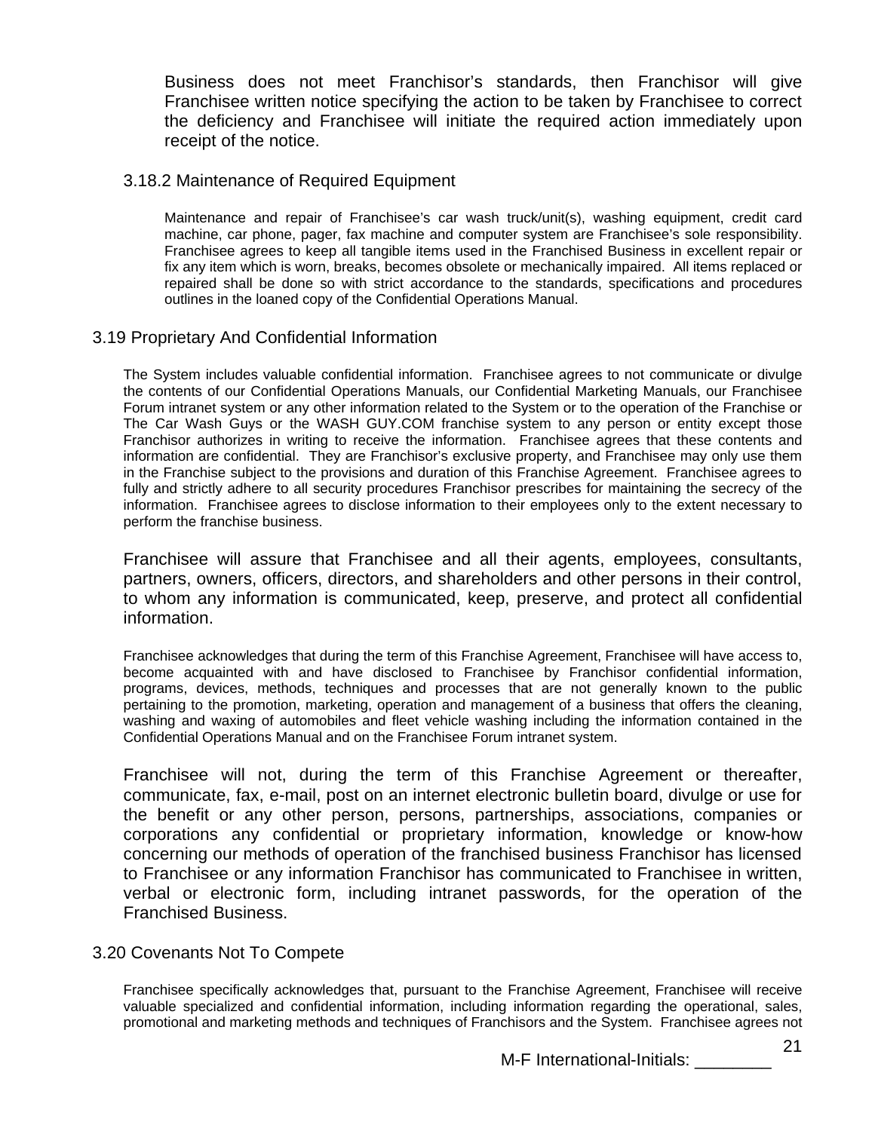Business does not meet Franchisor's standards, then Franchisor will give Franchisee written notice specifying the action to be taken by Franchisee to correct the deficiency and Franchisee will initiate the required action immediately upon receipt of the notice.

## 3.18.2 Maintenance of Required Equipment

Maintenance and repair of Franchisee's car wash truck/unit(s), washing equipment, credit card machine, car phone, pager, fax machine and computer system are Franchisee's sole responsibility. Franchisee agrees to keep all tangible items used in the Franchised Business in excellent repair or fix any item which is worn, breaks, becomes obsolete or mechanically impaired. All items replaced or repaired shall be done so with strict accordance to the standards, specifications and procedures outlines in the loaned copy of the Confidential Operations Manual.

# 3.19 Proprietary And Confidential Information

The System includes valuable confidential information. Franchisee agrees to not communicate or divulge the contents of our Confidential Operations Manuals, our Confidential Marketing Manuals, our Franchisee Forum intranet system or any other information related to the System or to the operation of the Franchise or The Car Wash Guys or the WASH GUY.COM franchise system to any person or entity except those Franchisor authorizes in writing to receive the information. Franchisee agrees that these contents and information are confidential. They are Franchisor's exclusive property, and Franchisee may only use them in the Franchise subject to the provisions and duration of this Franchise Agreement. Franchisee agrees to fully and strictly adhere to all security procedures Franchisor prescribes for maintaining the secrecy of the information. Franchisee agrees to disclose information to their employees only to the extent necessary to perform the franchise business.

Franchisee will assure that Franchisee and all their agents, employees, consultants, partners, owners, officers, directors, and shareholders and other persons in their control, to whom any information is communicated, keep, preserve, and protect all confidential information.

Franchisee acknowledges that during the term of this Franchise Agreement, Franchisee will have access to, become acquainted with and have disclosed to Franchisee by Franchisor confidential information, programs, devices, methods, techniques and processes that are not generally known to the public pertaining to the promotion, marketing, operation and management of a business that offers the cleaning, washing and waxing of automobiles and fleet vehicle washing including the information contained in the Confidential Operations Manual and on the Franchisee Forum intranet system.

Franchisee will not, during the term of this Franchise Agreement or thereafter, communicate, fax, e-mail, post on an internet electronic bulletin board, divulge or use for the benefit or any other person, persons, partnerships, associations, companies or corporations any confidential or proprietary information, knowledge or know-how concerning our methods of operation of the franchised business Franchisor has licensed to Franchisee or any information Franchisor has communicated to Franchisee in written, verbal or electronic form, including intranet passwords, for the operation of the Franchised Business.

# 3.20 Covenants Not To Compete

Franchisee specifically acknowledges that, pursuant to the Franchise Agreement, Franchisee will receive valuable specialized and confidential information, including information regarding the operational, sales, promotional and marketing methods and techniques of Franchisors and the System. Franchisee agrees not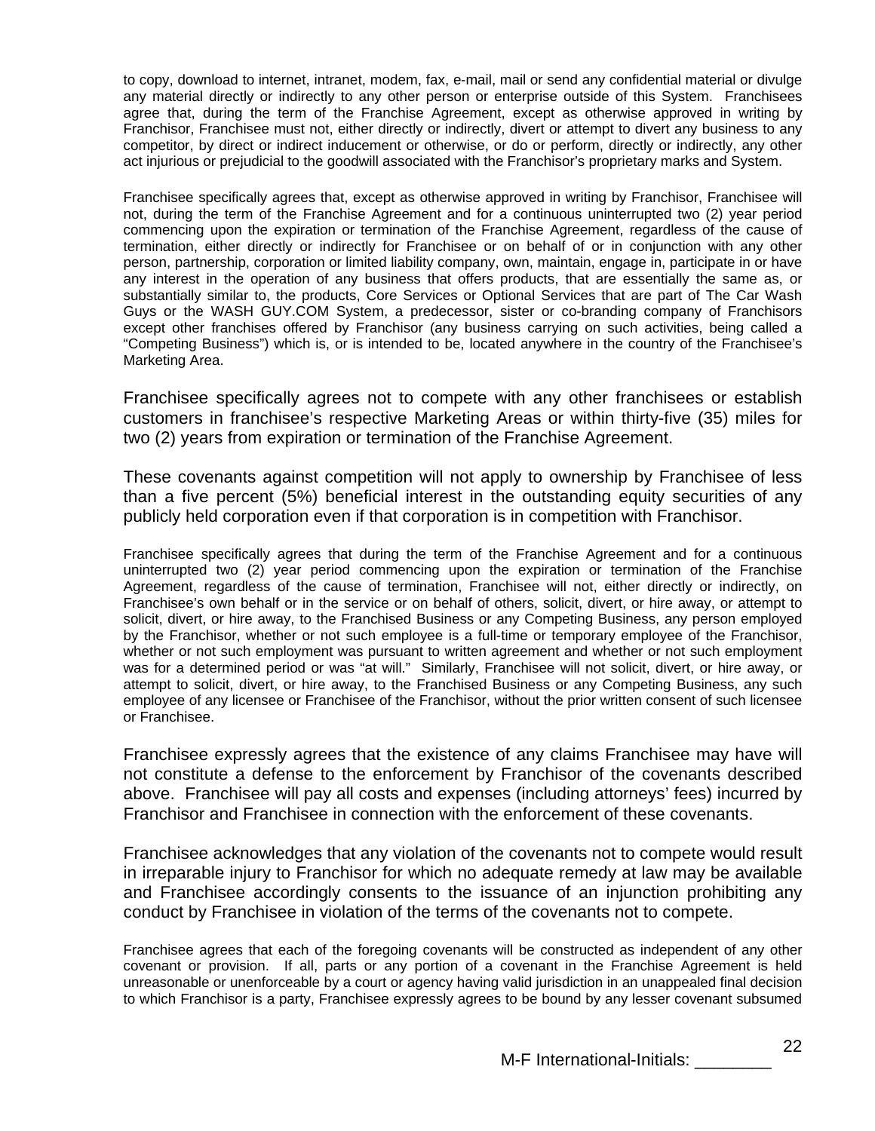to copy, download to internet, intranet, modem, fax, e-mail, mail or send any confidential material or divulge any material directly or indirectly to any other person or enterprise outside of this System. Franchisees agree that, during the term of the Franchise Agreement, except as otherwise approved in writing by Franchisor, Franchisee must not, either directly or indirectly, divert or attempt to divert any business to any competitor, by direct or indirect inducement or otherwise, or do or perform, directly or indirectly, any other act injurious or prejudicial to the goodwill associated with the Franchisor's proprietary marks and System.

Franchisee specifically agrees that, except as otherwise approved in writing by Franchisor, Franchisee will not, during the term of the Franchise Agreement and for a continuous uninterrupted two (2) year period commencing upon the expiration or termination of the Franchise Agreement, regardless of the cause of termination, either directly or indirectly for Franchisee or on behalf of or in conjunction with any other person, partnership, corporation or limited liability company, own, maintain, engage in, participate in or have any interest in the operation of any business that offers products, that are essentially the same as, or substantially similar to, the products, Core Services or Optional Services that are part of The Car Wash Guys or the WASH GUY.COM System, a predecessor, sister or co-branding company of Franchisors except other franchises offered by Franchisor (any business carrying on such activities, being called a "Competing Business") which is, or is intended to be, located anywhere in the country of the Franchisee's Marketing Area.

Franchisee specifically agrees not to compete with any other franchisees or establish customers in franchisee's respective Marketing Areas or within thirty-five (35) miles for two (2) years from expiration or termination of the Franchise Agreement.

These covenants against competition will not apply to ownership by Franchisee of less than a five percent (5%) beneficial interest in the outstanding equity securities of any publicly held corporation even if that corporation is in competition with Franchisor.

Franchisee specifically agrees that during the term of the Franchise Agreement and for a continuous uninterrupted two (2) year period commencing upon the expiration or termination of the Franchise Agreement, regardless of the cause of termination, Franchisee will not, either directly or indirectly, on Franchisee's own behalf or in the service or on behalf of others, solicit, divert, or hire away, or attempt to solicit, divert, or hire away, to the Franchised Business or any Competing Business, any person employed by the Franchisor, whether or not such employee is a full-time or temporary employee of the Franchisor, whether or not such employment was pursuant to written agreement and whether or not such employment was for a determined period or was "at will." Similarly, Franchisee will not solicit, divert, or hire away, or attempt to solicit, divert, or hire away, to the Franchised Business or any Competing Business, any such employee of any licensee or Franchisee of the Franchisor, without the prior written consent of such licensee or Franchisee.

Franchisee expressly agrees that the existence of any claims Franchisee may have will not constitute a defense to the enforcement by Franchisor of the covenants described above. Franchisee will pay all costs and expenses (including attorneys' fees) incurred by Franchisor and Franchisee in connection with the enforcement of these covenants.

Franchisee acknowledges that any violation of the covenants not to compete would result in irreparable injury to Franchisor for which no adequate remedy at law may be available and Franchisee accordingly consents to the issuance of an injunction prohibiting any conduct by Franchisee in violation of the terms of the covenants not to compete.

Franchisee agrees that each of the foregoing covenants will be constructed as independent of any other covenant or provision. If all, parts or any portion of a covenant in the Franchise Agreement is held unreasonable or unenforceable by a court or agency having valid jurisdiction in an unappealed final decision to which Franchisor is a party, Franchisee expressly agrees to be bound by any lesser covenant subsumed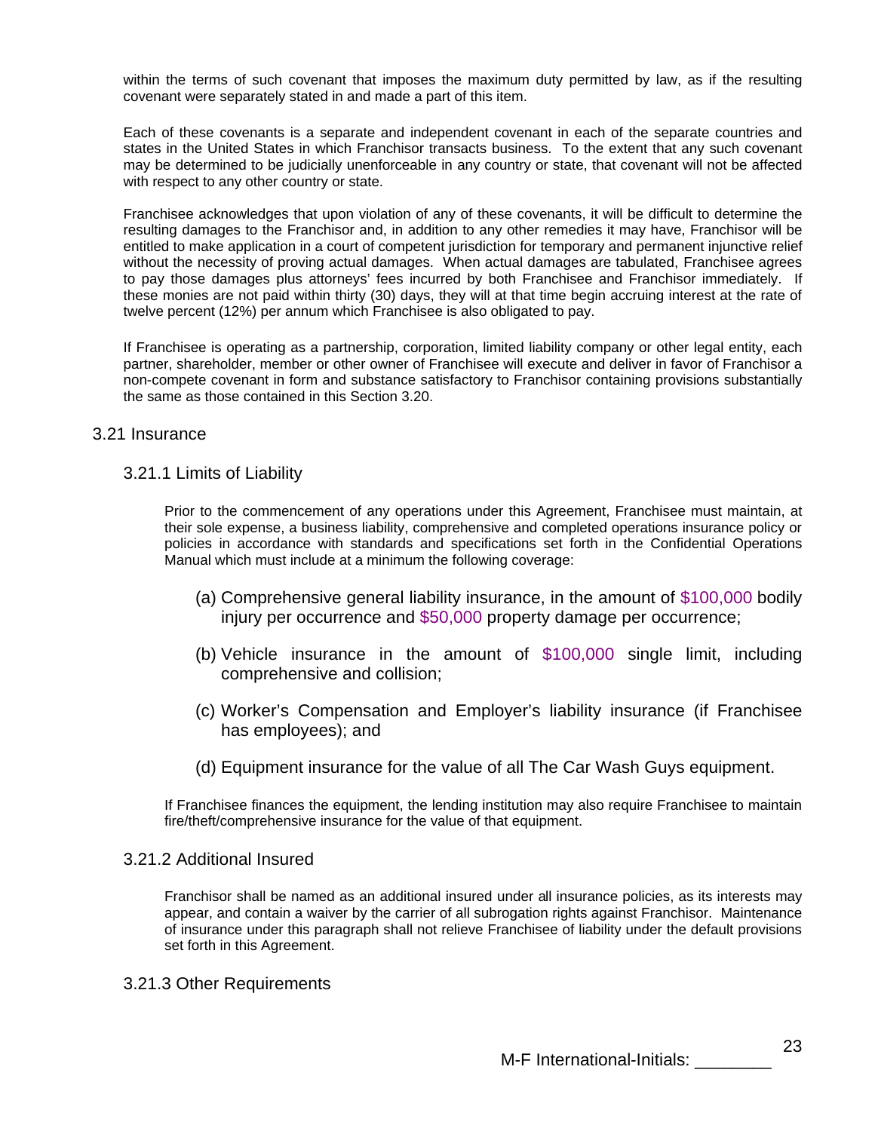within the terms of such covenant that imposes the maximum duty permitted by law, as if the resulting covenant were separately stated in and made a part of this item.

Each of these covenants is a separate and independent covenant in each of the separate countries and states in the United States in which Franchisor transacts business. To the extent that any such covenant may be determined to be judicially unenforceable in any country or state, that covenant will not be affected with respect to any other country or state.

Franchisee acknowledges that upon violation of any of these covenants, it will be difficult to determine the resulting damages to the Franchisor and, in addition to any other remedies it may have, Franchisor will be entitled to make application in a court of competent jurisdiction for temporary and permanent injunctive relief without the necessity of proving actual damages. When actual damages are tabulated, Franchisee agrees to pay those damages plus attorneys' fees incurred by both Franchisee and Franchisor immediately. If these monies are not paid within thirty (30) days, they will at that time begin accruing interest at the rate of twelve percent (12%) per annum which Franchisee is also obligated to pay.

If Franchisee is operating as a partnership, corporation, limited liability company or other legal entity, each partner, shareholder, member or other owner of Franchisee will execute and deliver in favor of Franchisor a non-compete covenant in form and substance satisfactory to Franchisor containing provisions substantially the same as those contained in this Section 3.20.

#### 3.21 Insurance

#### 3.21.1 Limits of Liability

Prior to the commencement of any operations under this Agreement, Franchisee must maintain, at their sole expense, a business liability, comprehensive and completed operations insurance policy or policies in accordance with standards and specifications set forth in the Confidential Operations Manual which must include at a minimum the following coverage:

- (a) Comprehensive general liability insurance, in the amount of \$100,000 bodily injury per occurrence and \$50,000 property damage per occurrence;
- (b) Vehicle insurance in the amount of \$100,000 single limit, including comprehensive and collision;
- (c) Worker's Compensation and Employer's liability insurance (if Franchisee has employees); and
- (d) Equipment insurance for the value of all The Car Wash Guys equipment.

If Franchisee finances the equipment, the lending institution may also require Franchisee to maintain fire/theft/comprehensive insurance for the value of that equipment.

#### 3.21.2 Additional Insured

Franchisor shall be named as an additional insured under all insurance policies, as its interests may appear, and contain a waiver by the carrier of all subrogation rights against Franchisor. Maintenance of insurance under this paragraph shall not relieve Franchisee of liability under the default provisions set forth in this Agreement.

#### 3.21.3 Other Requirements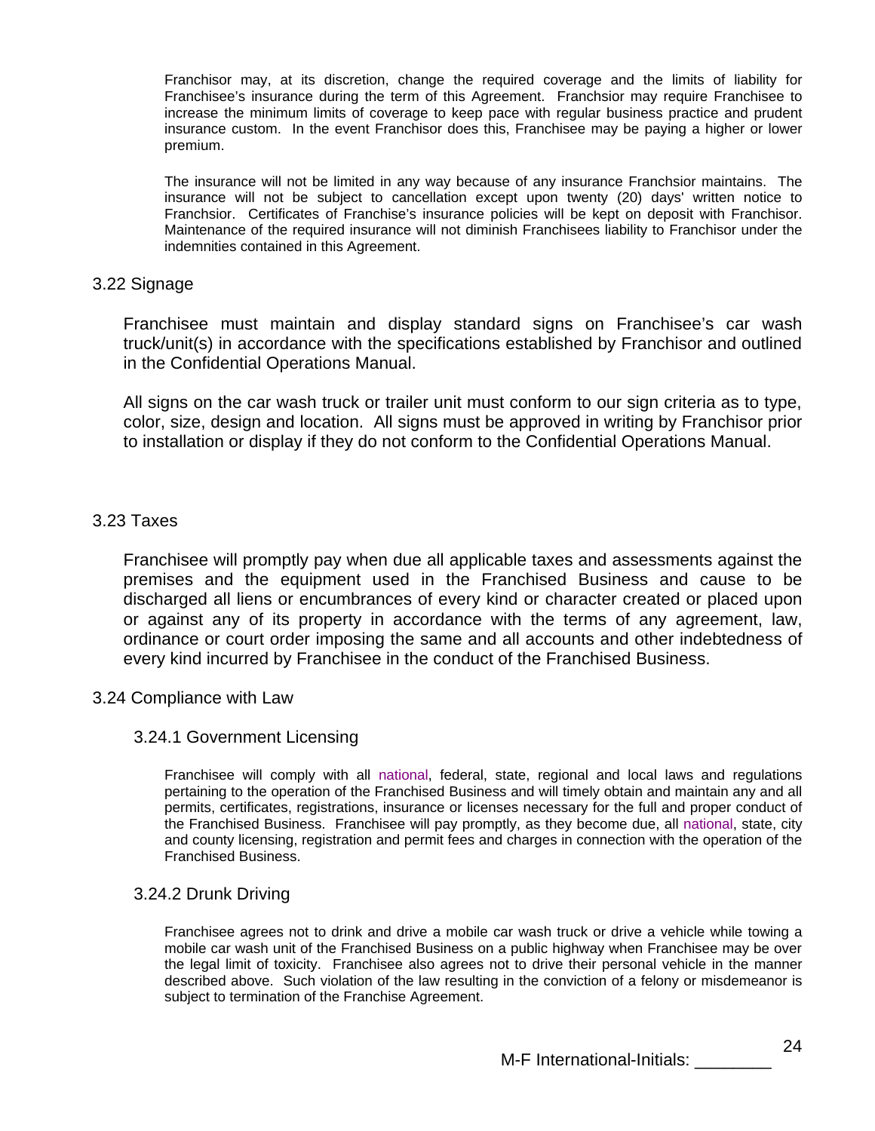Franchisor may, at its discretion, change the required coverage and the limits of liability for Franchisee's insurance during the term of this Agreement. Franchsior may require Franchisee to increase the minimum limits of coverage to keep pace with regular business practice and prudent insurance custom. In the event Franchisor does this, Franchisee may be paying a higher or lower premium.

The insurance will not be limited in any way because of any insurance Franchsior maintains. The insurance will not be subject to cancellation except upon twenty (20) days' written notice to Franchsior. Certificates of Franchise's insurance policies will be kept on deposit with Franchisor. Maintenance of the required insurance will not diminish Franchisees liability to Franchisor under the indemnities contained in this Agreement.

## 3.22 Signage

Franchisee must maintain and display standard signs on Franchisee's car wash truck/unit(s) in accordance with the specifications established by Franchisor and outlined in the Confidential Operations Manual.

All signs on the car wash truck or trailer unit must conform to our sign criteria as to type, color, size, design and location. All signs must be approved in writing by Franchisor prior to installation or display if they do not conform to the Confidential Operations Manual.

# 3.23 Taxes

Franchisee will promptly pay when due all applicable taxes and assessments against the premises and the equipment used in the Franchised Business and cause to be discharged all liens or encumbrances of every kind or character created or placed upon or against any of its property in accordance with the terms of any agreement, law, ordinance or court order imposing the same and all accounts and other indebtedness of every kind incurred by Franchisee in the conduct of the Franchised Business.

## 3.24 Compliance with Law

# 3.24.1 Government Licensing

Franchisee will comply with all national, federal, state, regional and local laws and regulations pertaining to the operation of the Franchised Business and will timely obtain and maintain any and all permits, certificates, registrations, insurance or licenses necessary for the full and proper conduct of the Franchised Business. Franchisee will pay promptly, as they become due, all national, state, city and county licensing, registration and permit fees and charges in connection with the operation of the Franchised Business.

## 3.24.2 Drunk Driving

Franchisee agrees not to drink and drive a mobile car wash truck or drive a vehicle while towing a mobile car wash unit of the Franchised Business on a public highway when Franchisee may be over the legal limit of toxicity. Franchisee also agrees not to drive their personal vehicle in the manner described above. Such violation of the law resulting in the conviction of a felony or misdemeanor is subject to termination of the Franchise Agreement.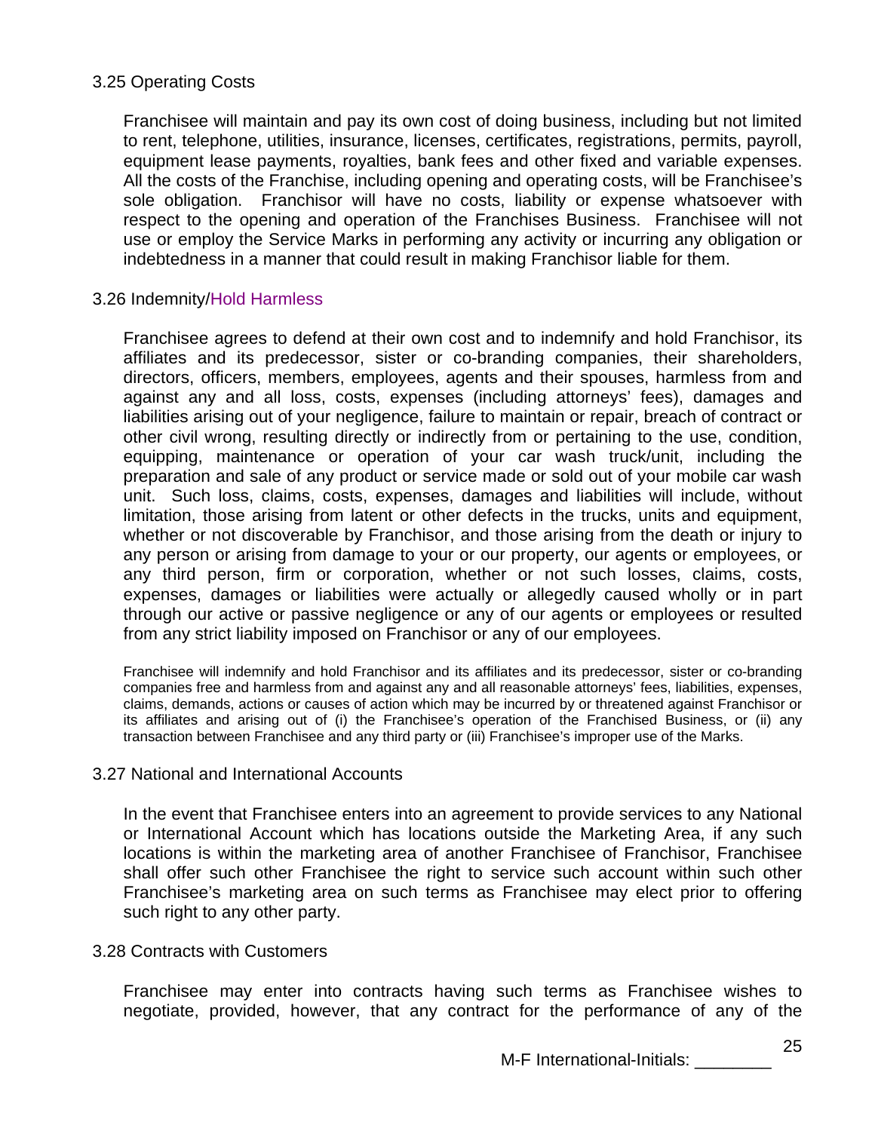# 3.25 Operating Costs

Franchisee will maintain and pay its own cost of doing business, including but not limited to rent, telephone, utilities, insurance, licenses, certificates, registrations, permits, payroll, equipment lease payments, royalties, bank fees and other fixed and variable expenses. All the costs of the Franchise, including opening and operating costs, will be Franchisee's sole obligation. Franchisor will have no costs, liability or expense whatsoever with respect to the opening and operation of the Franchises Business. Franchisee will not use or employ the Service Marks in performing any activity or incurring any obligation or indebtedness in a manner that could result in making Franchisor liable for them.

# 3.26 Indemnity/Hold Harmless

Franchisee agrees to defend at their own cost and to indemnify and hold Franchisor, its affiliates and its predecessor, sister or co-branding companies, their shareholders, directors, officers, members, employees, agents and their spouses, harmless from and against any and all loss, costs, expenses (including attorneys' fees), damages and liabilities arising out of your negligence, failure to maintain or repair, breach of contract or other civil wrong, resulting directly or indirectly from or pertaining to the use, condition, equipping, maintenance or operation of your car wash truck/unit, including the preparation and sale of any product or service made or sold out of your mobile car wash unit. Such loss, claims, costs, expenses, damages and liabilities will include, without limitation, those arising from latent or other defects in the trucks, units and equipment, whether or not discoverable by Franchisor, and those arising from the death or injury to any person or arising from damage to your or our property, our agents or employees, or any third person, firm or corporation, whether or not such losses, claims, costs, expenses, damages or liabilities were actually or allegedly caused wholly or in part through our active or passive negligence or any of our agents or employees or resulted from any strict liability imposed on Franchisor or any of our employees.

Franchisee will indemnify and hold Franchisor and its affiliates and its predecessor, sister or co-branding companies free and harmless from and against any and all reasonable attorneys' fees, liabilities, expenses, claims, demands, actions or causes of action which may be incurred by or threatened against Franchisor or its affiliates and arising out of (i) the Franchisee's operation of the Franchised Business, or (ii) any transaction between Franchisee and any third party or (iii) Franchisee's improper use of the Marks.

## 3.27 National and International Accounts

In the event that Franchisee enters into an agreement to provide services to any National or International Account which has locations outside the Marketing Area, if any such locations is within the marketing area of another Franchisee of Franchisor, Franchisee shall offer such other Franchisee the right to service such account within such other Franchisee's marketing area on such terms as Franchisee may elect prior to offering such right to any other party.

## 3.28 Contracts with Customers

Franchisee may enter into contracts having such terms as Franchisee wishes to negotiate, provided, however, that any contract for the performance of any of the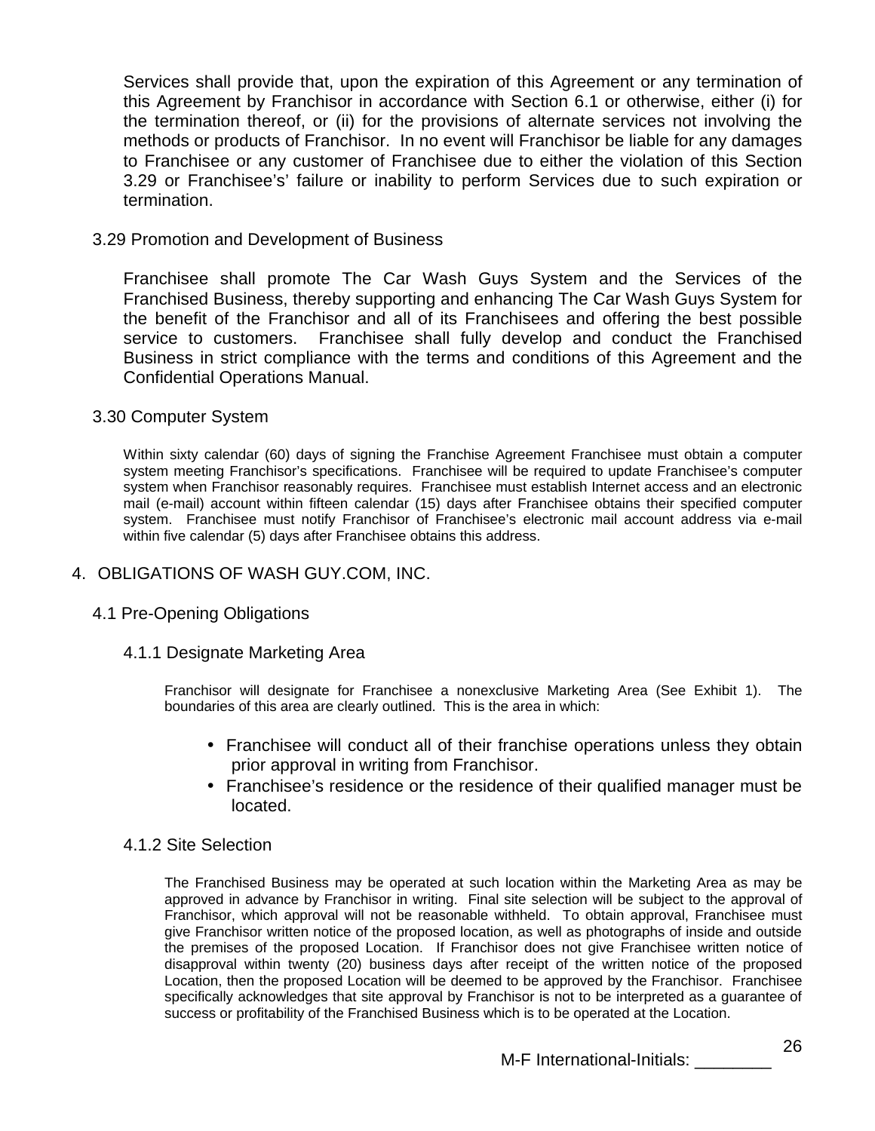Services shall provide that, upon the expiration of this Agreement or any termination of this Agreement by Franchisor in accordance with Section 6.1 or otherwise, either (i) for the termination thereof, or (ii) for the provisions of alternate services not involving the methods or products of Franchisor. In no event will Franchisor be liable for any damages to Franchisee or any customer of Franchisee due to either the violation of this Section 3.29 or Franchisee's' failure or inability to perform Services due to such expiration or termination.

#### 3.29 Promotion and Development of Business

Franchisee shall promote The Car Wash Guys System and the Services of the Franchised Business, thereby supporting and enhancing The Car Wash Guys System for the benefit of the Franchisor and all of its Franchisees and offering the best possible service to customers. Franchisee shall fully develop and conduct the Franchised Business in strict compliance with the terms and conditions of this Agreement and the Confidential Operations Manual.

#### 3.30 Computer System

Within sixty calendar (60) days of signing the Franchise Agreement Franchisee must obtain a computer system meeting Franchisor's specifications. Franchisee will be required to update Franchisee's computer system when Franchisor reasonably requires. Franchisee must establish Internet access and an electronic mail (e-mail) account within fifteen calendar (15) days after Franchisee obtains their specified computer system. Franchisee must notify Franchisor of Franchisee's electronic mail account address via e-mail within five calendar (5) days after Franchisee obtains this address.

## 4. OBLIGATIONS OF WASH GUY.COM, INC.

## 4.1 Pre-Opening Obligations

#### 4.1.1 Designate Marketing Area

Franchisor will designate for Franchisee a nonexclusive Marketing Area (See Exhibit 1). The boundaries of this area are clearly outlined. This is the area in which:

- Franchisee will conduct all of their franchise operations unless they obtain prior approval in writing from Franchisor.
- Franchisee's residence or the residence of their qualified manager must be located.

#### 4.1.2 Site Selection

The Franchised Business may be operated at such location within the Marketing Area as may be approved in advance by Franchisor in writing. Final site selection will be subject to the approval of Franchisor, which approval will not be reasonable withheld. To obtain approval, Franchisee must give Franchisor written notice of the proposed location, as well as photographs of inside and outside the premises of the proposed Location. If Franchisor does not give Franchisee written notice of disapproval within twenty (20) business days after receipt of the written notice of the proposed Location, then the proposed Location will be deemed to be approved by the Franchisor. Franchisee specifically acknowledges that site approval by Franchisor is not to be interpreted as a guarantee of success or profitability of the Franchised Business which is to be operated at the Location.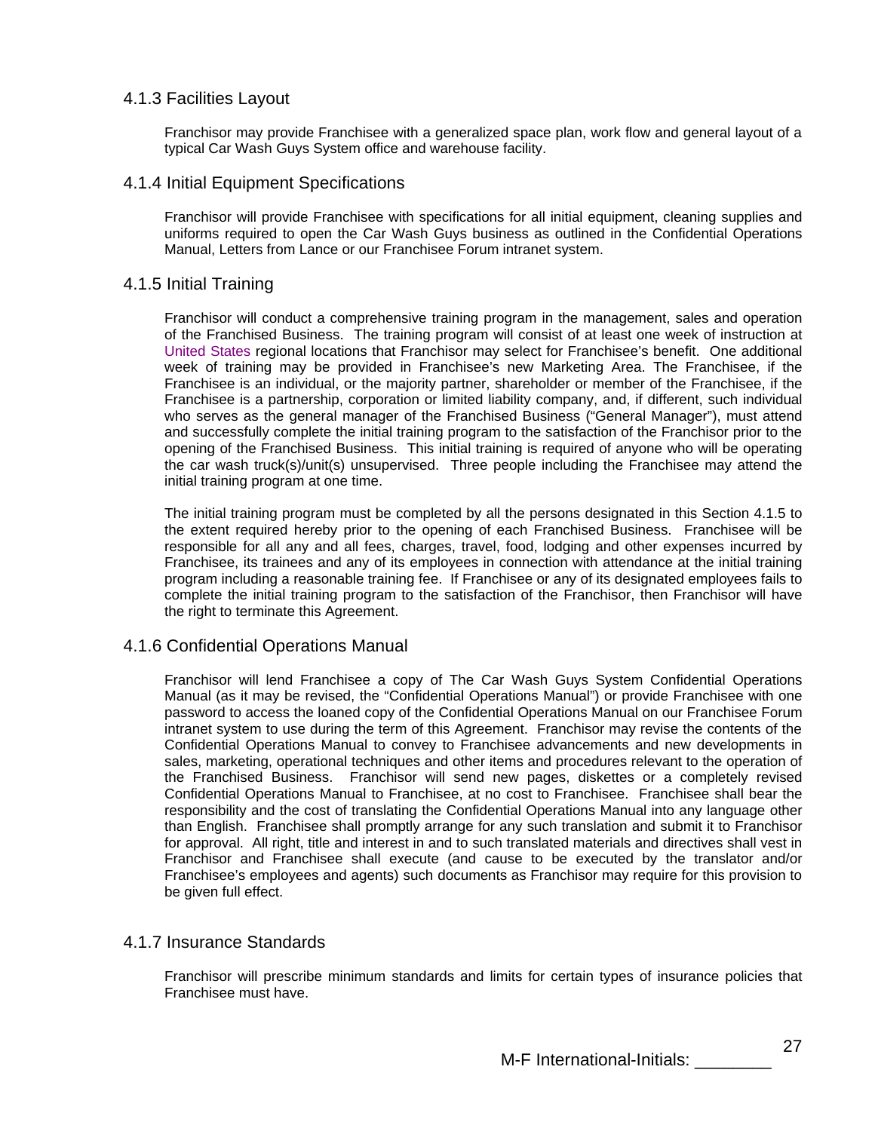#### 4.1.3 Facilities Layout

Franchisor may provide Franchisee with a generalized space plan, work flow and general layout of a typical Car Wash Guys System office and warehouse facility.

#### 4.1.4 Initial Equipment Specifications

Franchisor will provide Franchisee with specifications for all initial equipment, cleaning supplies and uniforms required to open the Car Wash Guys business as outlined in the Confidential Operations Manual, Letters from Lance or our Franchisee Forum intranet system.

#### 4.1.5 Initial Training

Franchisor will conduct a comprehensive training program in the management, sales and operation of the Franchised Business. The training program will consist of at least one week of instruction at United States regional locations that Franchisor may select for Franchisee's benefit. One additional week of training may be provided in Franchisee's new Marketing Area. The Franchisee, if the Franchisee is an individual, or the majority partner, shareholder or member of the Franchisee, if the Franchisee is a partnership, corporation or limited liability company, and, if different, such individual who serves as the general manager of the Franchised Business ("General Manager"), must attend and successfully complete the initial training program to the satisfaction of the Franchisor prior to the opening of the Franchised Business. This initial training is required of anyone who will be operating the car wash truck(s)/unit(s) unsupervised. Three people including the Franchisee may attend the initial training program at one time.

The initial training program must be completed by all the persons designated in this Section 4.1.5 to the extent required hereby prior to the opening of each Franchised Business. Franchisee will be responsible for all any and all fees, charges, travel, food, lodging and other expenses incurred by Franchisee, its trainees and any of its employees in connection with attendance at the initial training program including a reasonable training fee. If Franchisee or any of its designated employees fails to complete the initial training program to the satisfaction of the Franchisor, then Franchisor will have the right to terminate this Agreement.

## 4.1.6 Confidential Operations Manual

Franchisor will lend Franchisee a copy of The Car Wash Guys System Confidential Operations Manual (as it may be revised, the "Confidential Operations Manual") or provide Franchisee with one password to access the loaned copy of the Confidential Operations Manual on our Franchisee Forum intranet system to use during the term of this Agreement. Franchisor may revise the contents of the Confidential Operations Manual to convey to Franchisee advancements and new developments in sales, marketing, operational techniques and other items and procedures relevant to the operation of the Franchised Business. Franchisor will send new pages, diskettes or a completely revised Confidential Operations Manual to Franchisee, at no cost to Franchisee. Franchisee shall bear the responsibility and the cost of translating the Confidential Operations Manual into any language other than English. Franchisee shall promptly arrange for any such translation and submit it to Franchisor for approval. All right, title and interest in and to such translated materials and directives shall vest in Franchisor and Franchisee shall execute (and cause to be executed by the translator and/or Franchisee's employees and agents) such documents as Franchisor may require for this provision to be given full effect.

## 4.1.7 Insurance Standards

Franchisor will prescribe minimum standards and limits for certain types of insurance policies that Franchisee must have.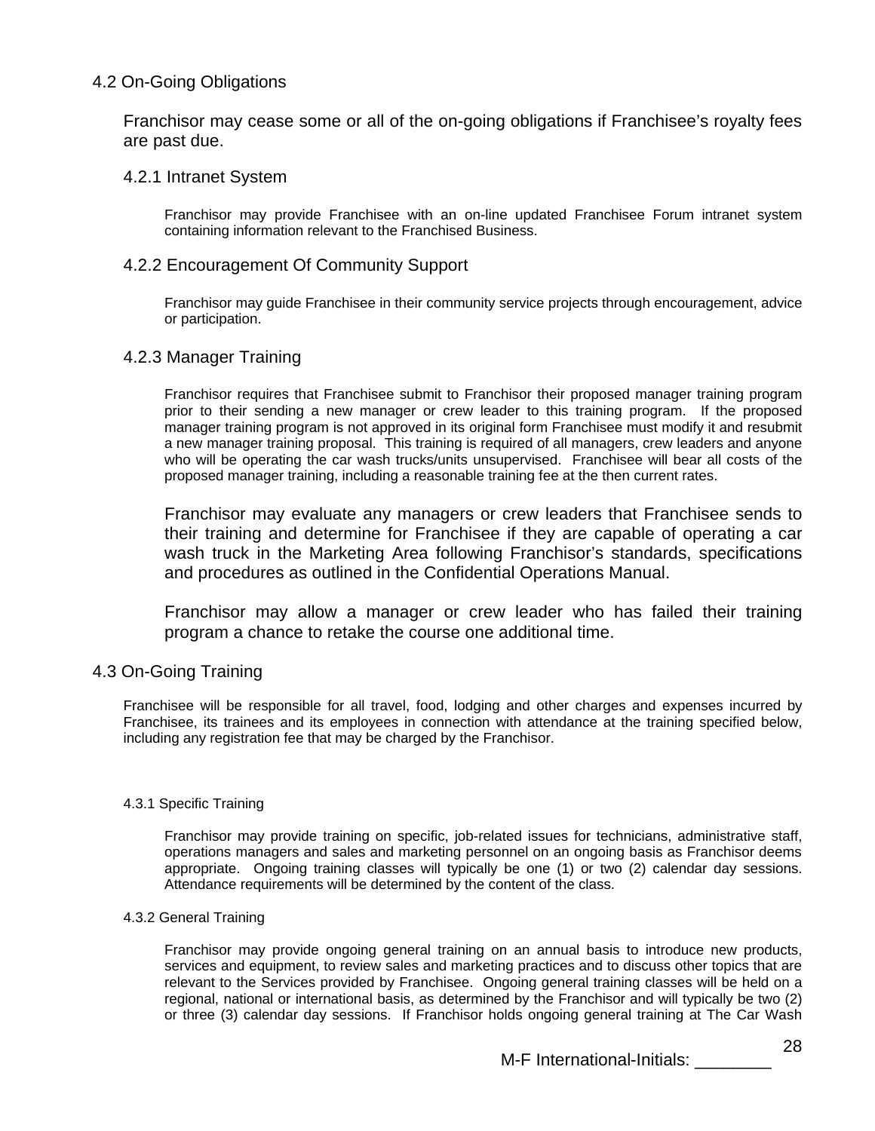## 4.2 On-Going Obligations

Franchisor may cease some or all of the on-going obligations if Franchisee's royalty fees are past due.

#### 4.2.1 Intranet System

Franchisor may provide Franchisee with an on-line updated Franchisee Forum intranet system containing information relevant to the Franchised Business.

## 4.2.2 Encouragement Of Community Support

Franchisor may guide Franchisee in their community service projects through encouragement, advice or participation.

#### 4.2.3 Manager Training

Franchisor requires that Franchisee submit to Franchisor their proposed manager training program prior to their sending a new manager or crew leader to this training program. If the proposed manager training program is not approved in its original form Franchisee must modify it and resubmit a new manager training proposal. This training is required of all managers, crew leaders and anyone who will be operating the car wash trucks/units unsupervised. Franchisee will bear all costs of the proposed manager training, including a reasonable training fee at the then current rates.

Franchisor may evaluate any managers or crew leaders that Franchisee sends to their training and determine for Franchisee if they are capable of operating a car wash truck in the Marketing Area following Franchisor's standards, specifications and procedures as outlined in the Confidential Operations Manual.

Franchisor may allow a manager or crew leader who has failed their training program a chance to retake the course one additional time.

## 4.3 On-Going Training

Franchisee will be responsible for all travel, food, lodging and other charges and expenses incurred by Franchisee, its trainees and its employees in connection with attendance at the training specified below, including any registration fee that may be charged by the Franchisor.

#### 4.3.1 Specific Training

Franchisor may provide training on specific, job-related issues for technicians, administrative staff, operations managers and sales and marketing personnel on an ongoing basis as Franchisor deems appropriate. Ongoing training classes will typically be one (1) or two (2) calendar day sessions. Attendance requirements will be determined by the content of the class.

#### 4.3.2 General Training

Franchisor may provide ongoing general training on an annual basis to introduce new products, services and equipment, to review sales and marketing practices and to discuss other topics that are relevant to the Services provided by Franchisee. Ongoing general training classes will be held on a regional, national or international basis, as determined by the Franchisor and will typically be two (2) or three (3) calendar day sessions. If Franchisor holds ongoing general training at The Car Wash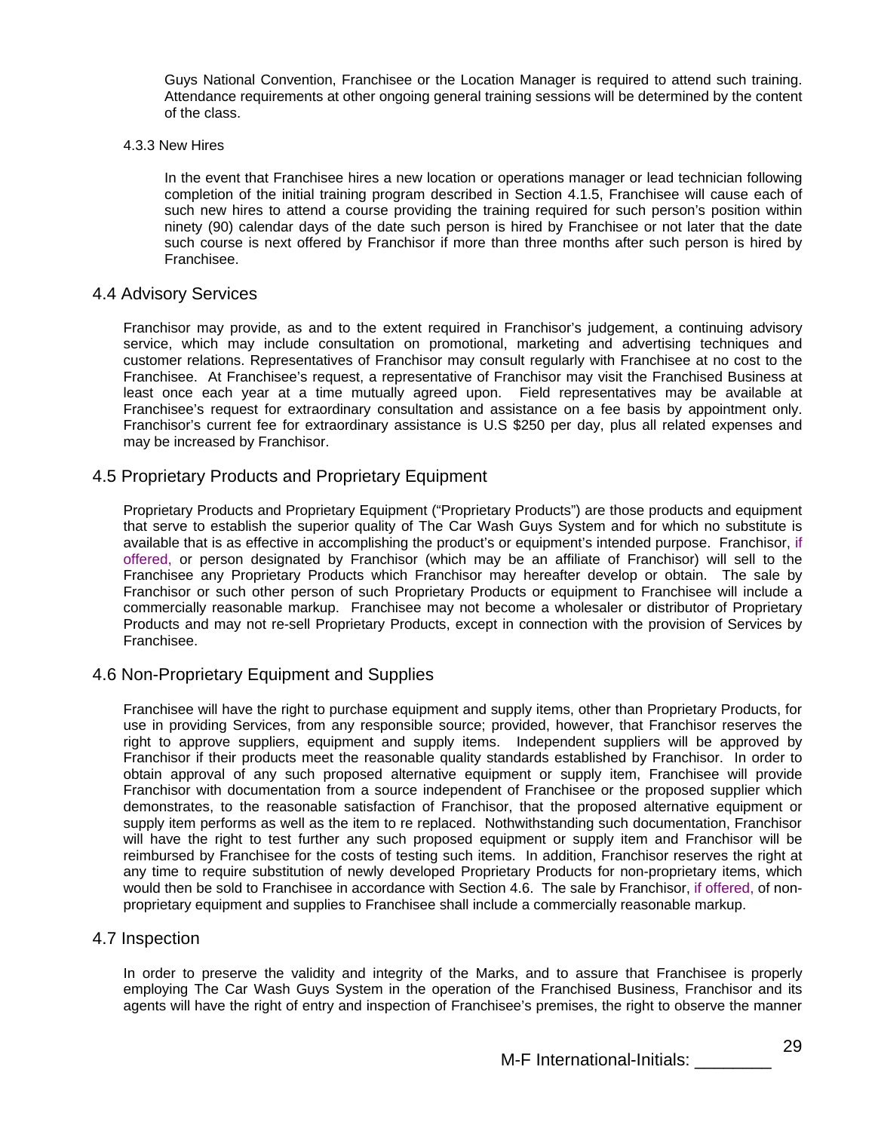Guys National Convention, Franchisee or the Location Manager is required to attend such training. Attendance requirements at other ongoing general training sessions will be determined by the content of the class.

#### 4.3.3 New Hires

In the event that Franchisee hires a new location or operations manager or lead technician following completion of the initial training program described in Section 4.1.5, Franchisee will cause each of such new hires to attend a course providing the training required for such person's position within ninety (90) calendar days of the date such person is hired by Franchisee or not later that the date such course is next offered by Franchisor if more than three months after such person is hired by Franchisee.

#### 4.4 Advisory Services

Franchisor may provide, as and to the extent required in Franchisor's judgement, a continuing advisory service, which may include consultation on promotional, marketing and advertising techniques and customer relations. Representatives of Franchisor may consult regularly with Franchisee at no cost to the Franchisee. At Franchisee's request, a representative of Franchisor may visit the Franchised Business at least once each year at a time mutually agreed upon. Field representatives may be available at Franchisee's request for extraordinary consultation and assistance on a fee basis by appointment only. Franchisor's current fee for extraordinary assistance is U.S \$250 per day, plus all related expenses and may be increased by Franchisor.

#### 4.5 Proprietary Products and Proprietary Equipment

Proprietary Products and Proprietary Equipment ("Proprietary Products") are those products and equipment that serve to establish the superior quality of The Car Wash Guys System and for which no substitute is available that is as effective in accomplishing the product's or equipment's intended purpose. Franchisor, if offered, or person designated by Franchisor (which may be an affiliate of Franchisor) will sell to the Franchisee any Proprietary Products which Franchisor may hereafter develop or obtain. The sale by Franchisor or such other person of such Proprietary Products or equipment to Franchisee will include a commercially reasonable markup. Franchisee may not become a wholesaler or distributor of Proprietary Products and may not re-sell Proprietary Products, except in connection with the provision of Services by Franchisee.

#### 4.6 Non-Proprietary Equipment and Supplies

Franchisee will have the right to purchase equipment and supply items, other than Proprietary Products, for use in providing Services, from any responsible source; provided, however, that Franchisor reserves the right to approve suppliers, equipment and supply items. Independent suppliers will be approved by Franchisor if their products meet the reasonable quality standards established by Franchisor. In order to obtain approval of any such proposed alternative equipment or supply item, Franchisee will provide Franchisor with documentation from a source independent of Franchisee or the proposed supplier which demonstrates, to the reasonable satisfaction of Franchisor, that the proposed alternative equipment or supply item performs as well as the item to re replaced. Nothwithstanding such documentation, Franchisor will have the right to test further any such proposed equipment or supply item and Franchisor will be reimbursed by Franchisee for the costs of testing such items. In addition, Franchisor reserves the right at any time to require substitution of newly developed Proprietary Products for non-proprietary items, which would then be sold to Franchisee in accordance with Section 4.6. The sale by Franchisor, if offered, of nonproprietary equipment and supplies to Franchisee shall include a commercially reasonable markup.

#### 4.7 Inspection

In order to preserve the validity and integrity of the Marks, and to assure that Franchisee is properly employing The Car Wash Guys System in the operation of the Franchised Business, Franchisor and its agents will have the right of entry and inspection of Franchisee's premises, the right to observe the manner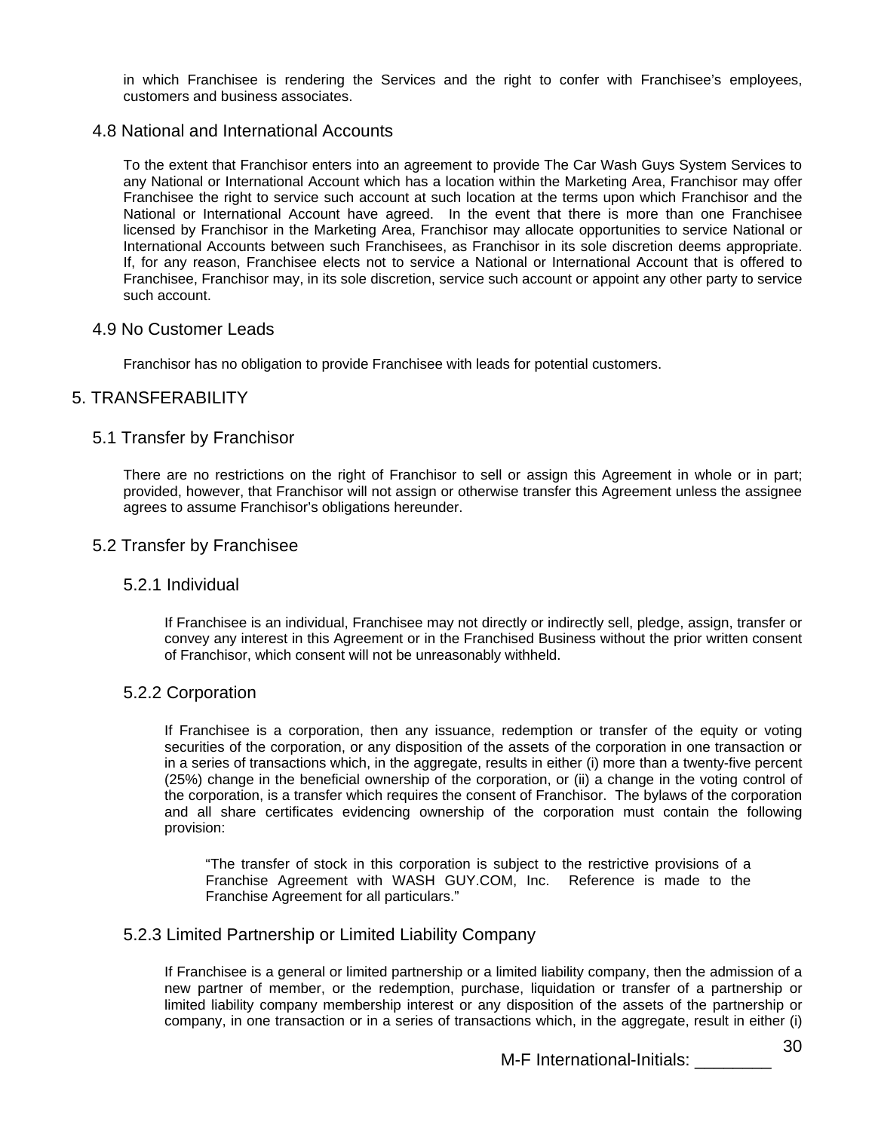in which Franchisee is rendering the Services and the right to confer with Franchisee's employees, customers and business associates.

#### 4.8 National and International Accounts

To the extent that Franchisor enters into an agreement to provide The Car Wash Guys System Services to any National or International Account which has a location within the Marketing Area, Franchisor may offer Franchisee the right to service such account at such location at the terms upon which Franchisor and the National or International Account have agreed. In the event that there is more than one Franchisee licensed by Franchisor in the Marketing Area, Franchisor may allocate opportunities to service National or International Accounts between such Franchisees, as Franchisor in its sole discretion deems appropriate. If, for any reason, Franchisee elects not to service a National or International Account that is offered to Franchisee, Franchisor may, in its sole discretion, service such account or appoint any other party to service such account.

#### 4.9 No Customer Leads

Franchisor has no obligation to provide Franchisee with leads for potential customers.

#### 5. TRANSFERABILITY

#### 5.1 Transfer by Franchisor

There are no restrictions on the right of Franchisor to sell or assign this Agreement in whole or in part; provided, however, that Franchisor will not assign or otherwise transfer this Agreement unless the assignee agrees to assume Franchisor's obligations hereunder.

#### 5.2 Transfer by Franchisee

#### 5.2.1 Individual

If Franchisee is an individual, Franchisee may not directly or indirectly sell, pledge, assign, transfer or convey any interest in this Agreement or in the Franchised Business without the prior written consent of Franchisor, which consent will not be unreasonably withheld.

#### 5.2.2 Corporation

If Franchisee is a corporation, then any issuance, redemption or transfer of the equity or voting securities of the corporation, or any disposition of the assets of the corporation in one transaction or in a series of transactions which, in the aggregate, results in either (i) more than a twenty-five percent (25%) change in the beneficial ownership of the corporation, or (ii) a change in the voting control of the corporation, is a transfer which requires the consent of Franchisor. The bylaws of the corporation and all share certificates evidencing ownership of the corporation must contain the following provision:

"The transfer of stock in this corporation is subject to the restrictive provisions of a Franchise Agreement with WASH GUY.COM, Inc. Reference is made to the Franchise Agreement for all particulars."

#### 5.2.3 Limited Partnership or Limited Liability Company

If Franchisee is a general or limited partnership or a limited liability company, then the admission of a new partner of member, or the redemption, purchase, liquidation or transfer of a partnership or limited liability company membership interest or any disposition of the assets of the partnership or company, in one transaction or in a series of transactions which, in the aggregate, result in either (i)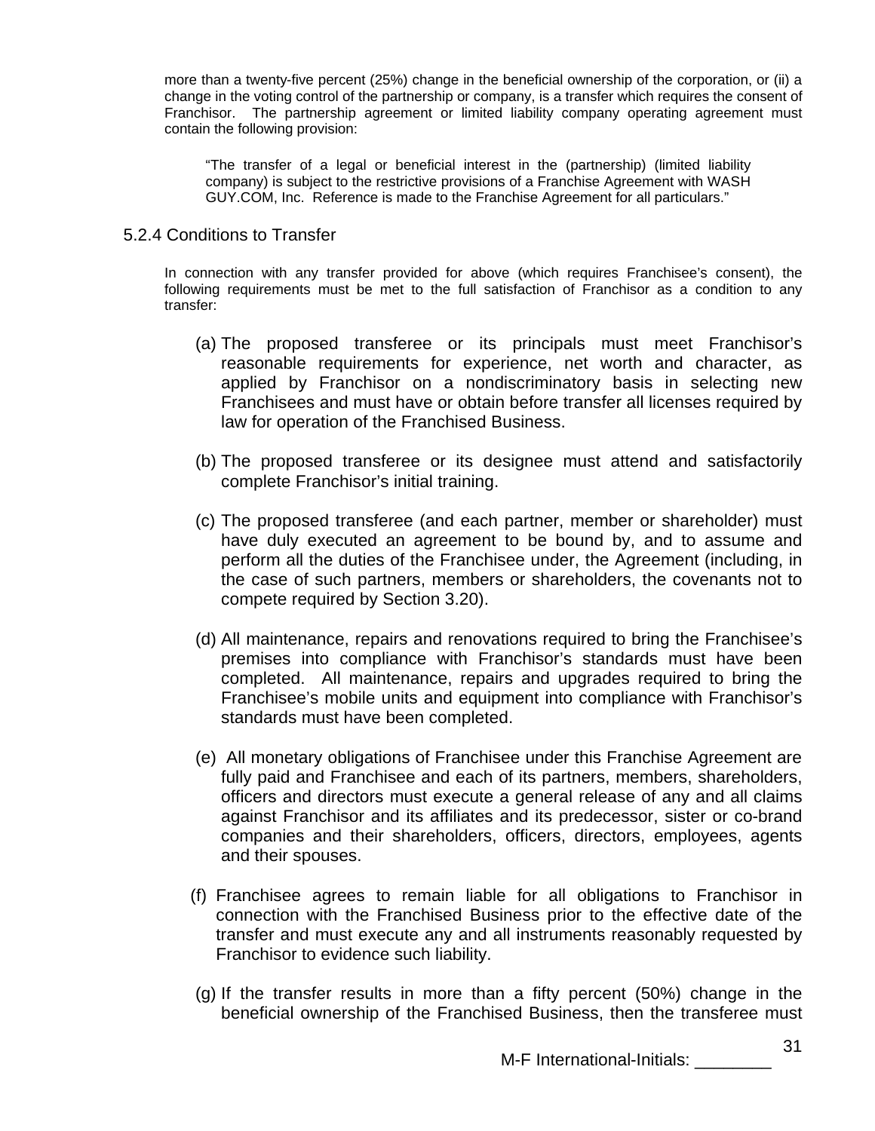more than a twenty-five percent (25%) change in the beneficial ownership of the corporation, or (ii) a change in the voting control of the partnership or company, is a transfer which requires the consent of Franchisor. The partnership agreement or limited liability company operating agreement must contain the following provision:

"The transfer of a legal or beneficial interest in the (partnership) (limited liability company) is subject to the restrictive provisions of a Franchise Agreement with WASH GUY.COM, Inc. Reference is made to the Franchise Agreement for all particulars."

## 5.2.4 Conditions to Transfer

In connection with any transfer provided for above (which requires Franchisee's consent), the following requirements must be met to the full satisfaction of Franchisor as a condition to any transfer:

- (a) The proposed transferee or its principals must meet Franchisor's reasonable requirements for experience, net worth and character, as applied by Franchisor on a nondiscriminatory basis in selecting new Franchisees and must have or obtain before transfer all licenses required by law for operation of the Franchised Business.
- (b) The proposed transferee or its designee must attend and satisfactorily complete Franchisor's initial training.
- (c) The proposed transferee (and each partner, member or shareholder) must have duly executed an agreement to be bound by, and to assume and perform all the duties of the Franchisee under, the Agreement (including, in the case of such partners, members or shareholders, the covenants not to compete required by Section 3.20).
- (d) All maintenance, repairs and renovations required to bring the Franchisee's premises into compliance with Franchisor's standards must have been completed. All maintenance, repairs and upgrades required to bring the Franchisee's mobile units and equipment into compliance with Franchisor's standards must have been completed.
- (e) All monetary obligations of Franchisee under this Franchise Agreement are fully paid and Franchisee and each of its partners, members, shareholders, officers and directors must execute a general release of any and all claims against Franchisor and its affiliates and its predecessor, sister or co-brand companies and their shareholders, officers, directors, employees, agents and their spouses.
- (f) Franchisee agrees to remain liable for all obligations to Franchisor in connection with the Franchised Business prior to the effective date of the transfer and must execute any and all instruments reasonably requested by Franchisor to evidence such liability.
- (g) If the transfer results in more than a fifty percent (50%) change in the beneficial ownership of the Franchised Business, then the transferee must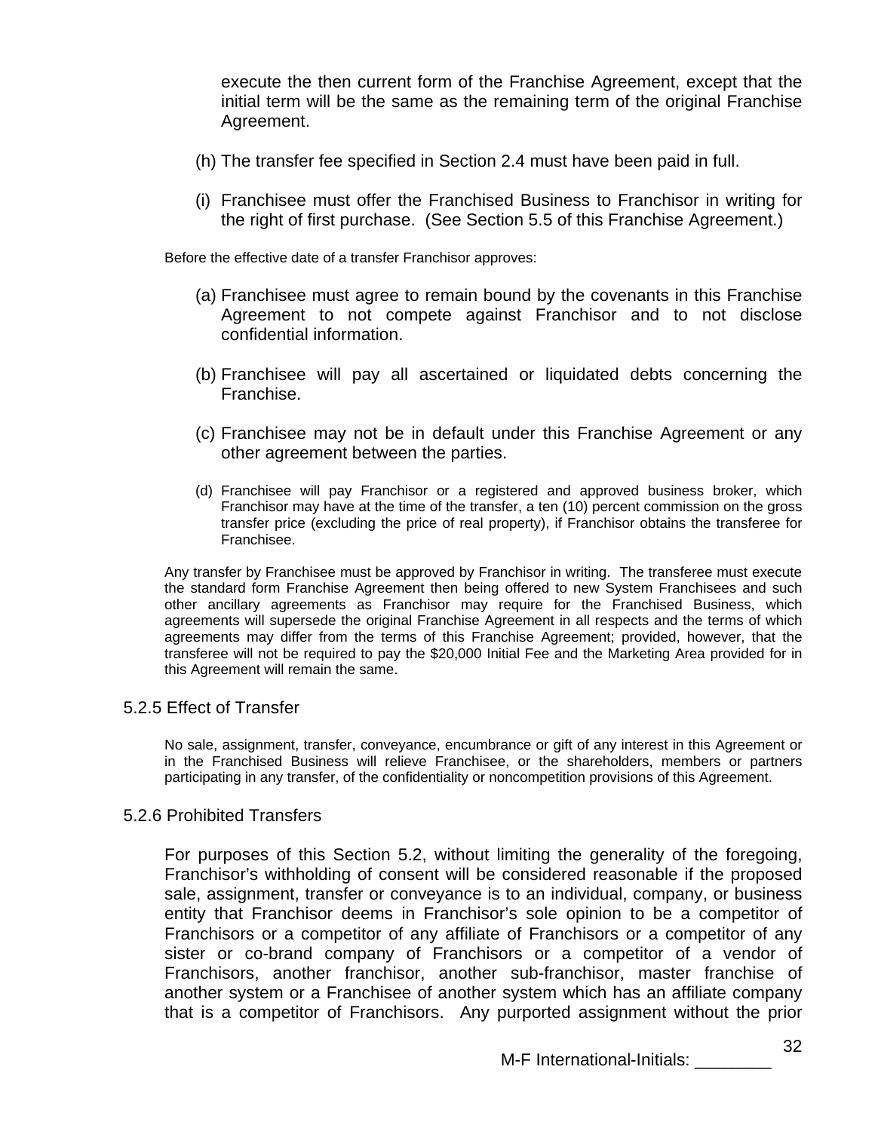execute the then current form of the Franchise Agreement, except that the initial term will be the same as the remaining term of the original Franchise Agreement.

- (h) The transfer fee specified in Section 2.4 must have been paid in full.
- (i) Franchisee must offer the Franchised Business to Franchisor in writing for the right of first purchase. (See Section 5.5 of this Franchise Agreement.)

Before the effective date of a transfer Franchisor approves:

- (a) Franchisee must agree to remain bound by the covenants in this Franchise Agreement to not compete against Franchisor and to not disclose confidential information.
- (b) Franchisee will pay all ascertained or liquidated debts concerning the Franchise.
- (c) Franchisee may not be in default under this Franchise Agreement or any other agreement between the parties.
- (d) Franchisee will pay Franchisor or a registered and approved business broker, which Franchisor may have at the time of the transfer, a ten (10) percent commission on the gross transfer price (excluding the price of real property), if Franchisor obtains the transferee for Franchisee.

Any transfer by Franchisee must be approved by Franchisor in writing. The transferee must execute the standard form Franchise Agreement then being offered to new System Franchisees and such other ancillary agreements as Franchisor may require for the Franchised Business, which agreements will supersede the original Franchise Agreement in all respects and the terms of which agreements may differ from the terms of this Franchise Agreement; provided, however, that the transferee will not be required to pay the \$20,000 Initial Fee and the Marketing Area provided for in this Agreement will remain the same.

## 5.2.5 Effect of Transfer

No sale, assignment, transfer, conveyance, encumbrance or gift of any interest in this Agreement or in the Franchised Business will relieve Franchisee, or the shareholders, members or partners participating in any transfer, of the confidentiality or noncompetition provisions of this Agreement.

## 5.2.6 Prohibited Transfers

For purposes of this Section 5.2, without limiting the generality of the foregoing, Franchisor's withholding of consent will be considered reasonable if the proposed sale, assignment, transfer or conveyance is to an individual, company, or business entity that Franchisor deems in Franchisor's sole opinion to be a competitor of Franchisors or a competitor of any affiliate of Franchisors or a competitor of any sister or co-brand company of Franchisors or a competitor of a vendor of Franchisors, another franchisor, another sub-franchisor, master franchise of another system or a Franchisee of another system which has an affiliate company that is a competitor of Franchisors. Any purported assignment without the prior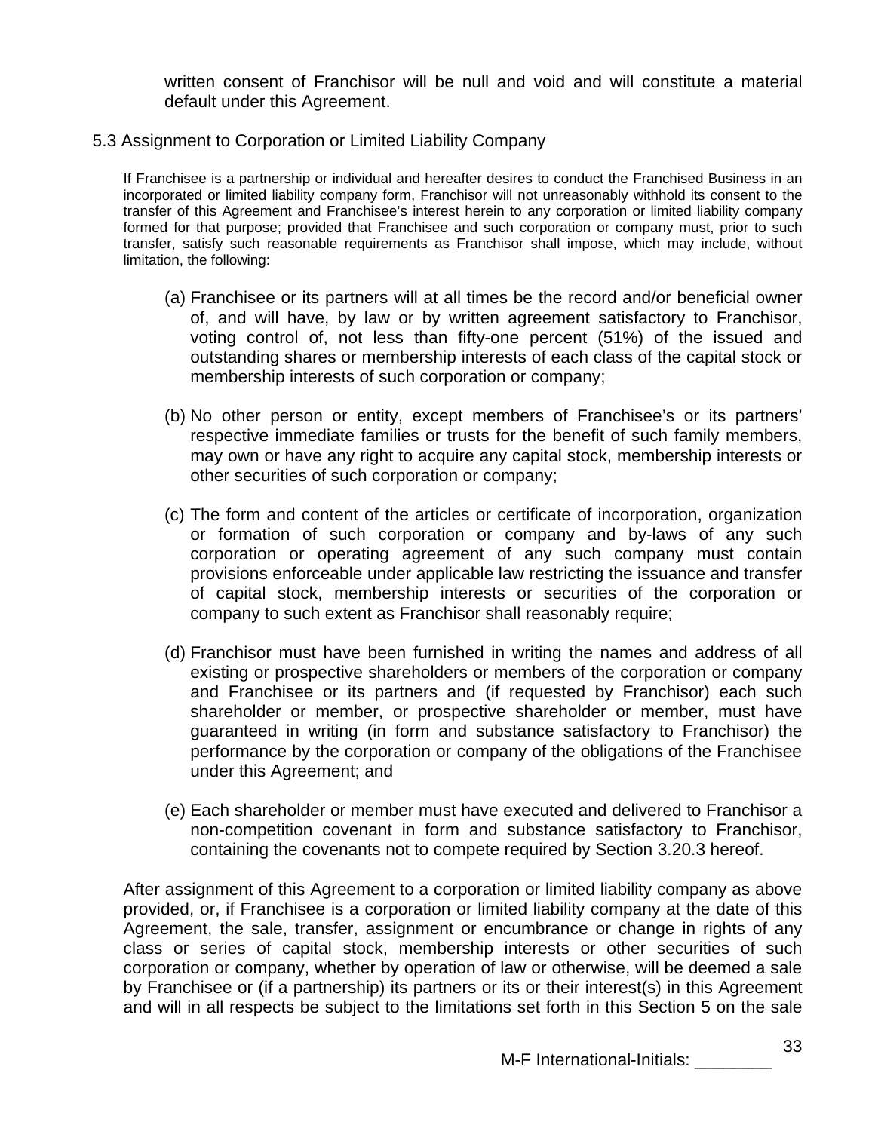written consent of Franchisor will be null and void and will constitute a material default under this Agreement.

5.3 Assignment to Corporation or Limited Liability Company

If Franchisee is a partnership or individual and hereafter desires to conduct the Franchised Business in an incorporated or limited liability company form, Franchisor will not unreasonably withhold its consent to the transfer of this Agreement and Franchisee's interest herein to any corporation or limited liability company formed for that purpose; provided that Franchisee and such corporation or company must, prior to such transfer, satisfy such reasonable requirements as Franchisor shall impose, which may include, without limitation, the following:

- (a) Franchisee or its partners will at all times be the record and/or beneficial owner of, and will have, by law or by written agreement satisfactory to Franchisor, voting control of, not less than fifty-one percent (51%) of the issued and outstanding shares or membership interests of each class of the capital stock or membership interests of such corporation or company;
- (b) No other person or entity, except members of Franchisee's or its partners' respective immediate families or trusts for the benefit of such family members, may own or have any right to acquire any capital stock, membership interests or other securities of such corporation or company;
- (c) The form and content of the articles or certificate of incorporation, organization or formation of such corporation or company and by-laws of any such corporation or operating agreement of any such company must contain provisions enforceable under applicable law restricting the issuance and transfer of capital stock, membership interests or securities of the corporation or company to such extent as Franchisor shall reasonably require;
- (d) Franchisor must have been furnished in writing the names and address of all existing or prospective shareholders or members of the corporation or company and Franchisee or its partners and (if requested by Franchisor) each such shareholder or member, or prospective shareholder or member, must have guaranteed in writing (in form and substance satisfactory to Franchisor) the performance by the corporation or company of the obligations of the Franchisee under this Agreement; and
- (e) Each shareholder or member must have executed and delivered to Franchisor a non-competition covenant in form and substance satisfactory to Franchisor, containing the covenants not to compete required by Section 3.20.3 hereof.

After assignment of this Agreement to a corporation or limited liability company as above provided, or, if Franchisee is a corporation or limited liability company at the date of this Agreement, the sale, transfer, assignment or encumbrance or change in rights of any class or series of capital stock, membership interests or other securities of such corporation or company, whether by operation of law or otherwise, will be deemed a sale by Franchisee or (if a partnership) its partners or its or their interest(s) in this Agreement and will in all respects be subject to the limitations set forth in this Section 5 on the sale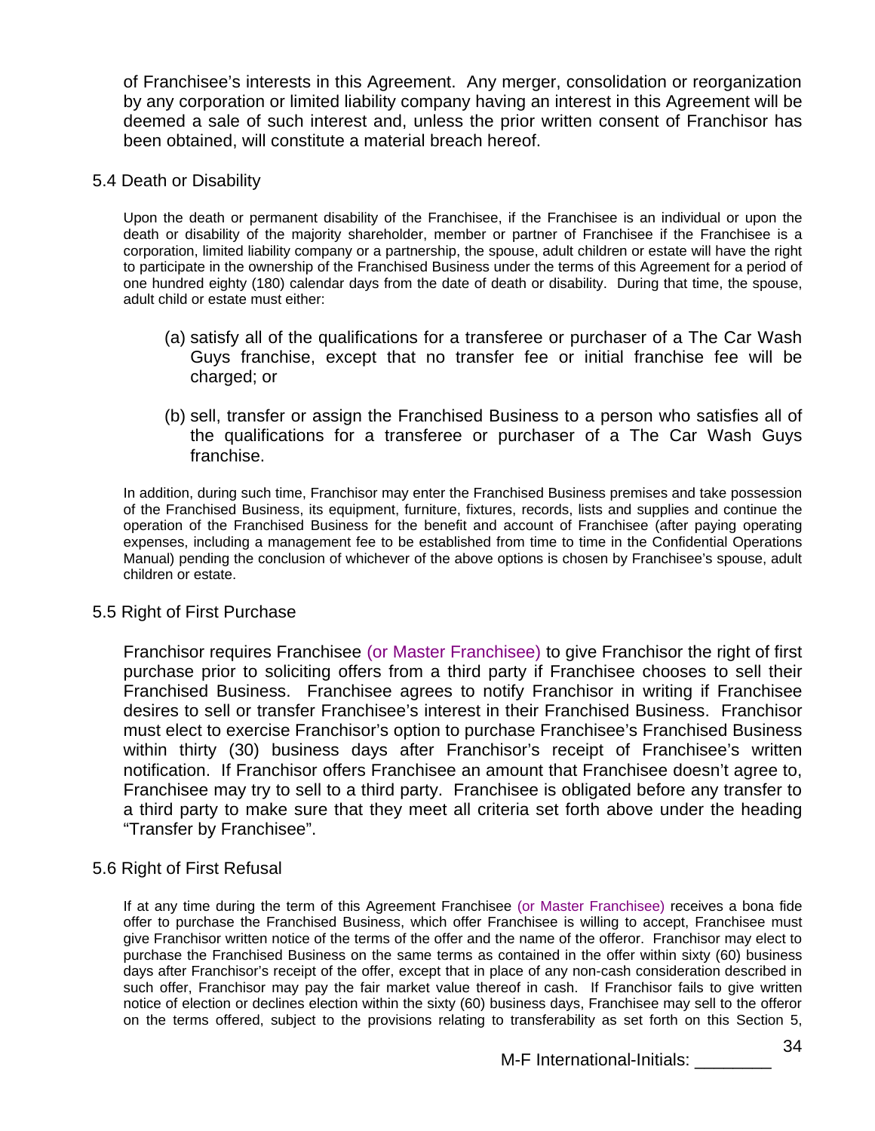of Franchisee's interests in this Agreement. Any merger, consolidation or reorganization by any corporation or limited liability company having an interest in this Agreement will be deemed a sale of such interest and, unless the prior written consent of Franchisor has been obtained, will constitute a material breach hereof.

5.4 Death or Disability

Upon the death or permanent disability of the Franchisee, if the Franchisee is an individual or upon the death or disability of the majority shareholder, member or partner of Franchisee if the Franchisee is a corporation, limited liability company or a partnership, the spouse, adult children or estate will have the right to participate in the ownership of the Franchised Business under the terms of this Agreement for a period of one hundred eighty (180) calendar days from the date of death or disability. During that time, the spouse, adult child or estate must either:

- (a) satisfy all of the qualifications for a transferee or purchaser of a The Car Wash Guys franchise, except that no transfer fee or initial franchise fee will be charged; or
- (b) sell, transfer or assign the Franchised Business to a person who satisfies all of the qualifications for a transferee or purchaser of a The Car Wash Guys franchise.

In addition, during such time, Franchisor may enter the Franchised Business premises and take possession of the Franchised Business, its equipment, furniture, fixtures, records, lists and supplies and continue the operation of the Franchised Business for the benefit and account of Franchisee (after paying operating expenses, including a management fee to be established from time to time in the Confidential Operations Manual) pending the conclusion of whichever of the above options is chosen by Franchisee's spouse, adult children or estate.

## 5.5 Right of First Purchase

Franchisor requires Franchisee (or Master Franchisee) to give Franchisor the right of first purchase prior to soliciting offers from a third party if Franchisee chooses to sell their Franchised Business. Franchisee agrees to notify Franchisor in writing if Franchisee desires to sell or transfer Franchisee's interest in their Franchised Business. Franchisor must elect to exercise Franchisor's option to purchase Franchisee's Franchised Business within thirty (30) business days after Franchisor's receipt of Franchisee's written notification. If Franchisor offers Franchisee an amount that Franchisee doesn't agree to, Franchisee may try to sell to a third party. Franchisee is obligated before any transfer to a third party to make sure that they meet all criteria set forth above under the heading "Transfer by Franchisee".

## 5.6 Right of First Refusal

If at any time during the term of this Agreement Franchisee (or Master Franchisee) receives a bona fide offer to purchase the Franchised Business, which offer Franchisee is willing to accept, Franchisee must give Franchisor written notice of the terms of the offer and the name of the offeror. Franchisor may elect to purchase the Franchised Business on the same terms as contained in the offer within sixty (60) business days after Franchisor's receipt of the offer, except that in place of any non-cash consideration described in such offer, Franchisor may pay the fair market value thereof in cash. If Franchisor fails to give written notice of election or declines election within the sixty (60) business days, Franchisee may sell to the offeror on the terms offered, subject to the provisions relating to transferability as set forth on this Section 5,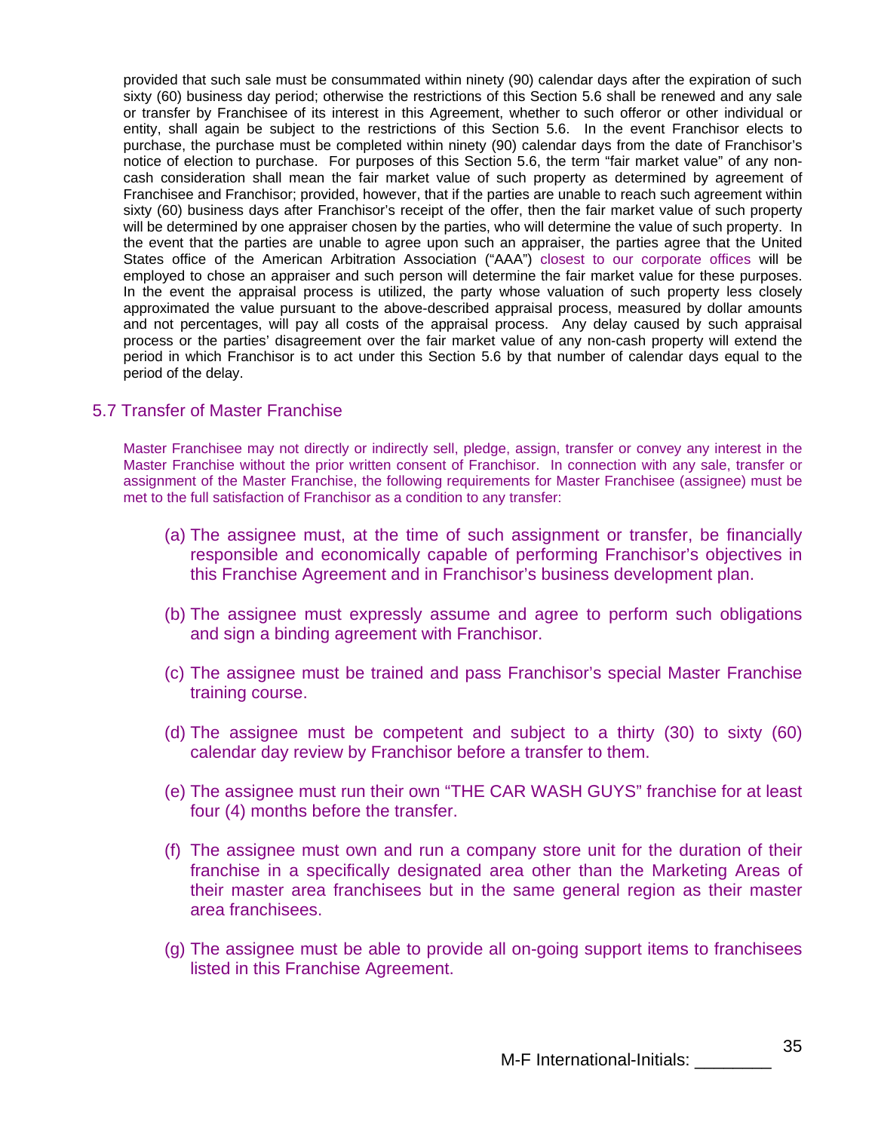provided that such sale must be consummated within ninety (90) calendar days after the expiration of such sixty (60) business day period; otherwise the restrictions of this Section 5.6 shall be renewed and any sale or transfer by Franchisee of its interest in this Agreement, whether to such offeror or other individual or entity, shall again be subject to the restrictions of this Section 5.6. In the event Franchisor elects to purchase, the purchase must be completed within ninety (90) calendar days from the date of Franchisor's notice of election to purchase. For purposes of this Section 5.6, the term "fair market value" of any noncash consideration shall mean the fair market value of such property as determined by agreement of Franchisee and Franchisor; provided, however, that if the parties are unable to reach such agreement within sixty (60) business days after Franchisor's receipt of the offer, then the fair market value of such property will be determined by one appraiser chosen by the parties, who will determine the value of such property. In the event that the parties are unable to agree upon such an appraiser, the parties agree that the United States office of the American Arbitration Association ("AAA") closest to our corporate offices will be employed to chose an appraiser and such person will determine the fair market value for these purposes. In the event the appraisal process is utilized, the party whose valuation of such property less closely approximated the value pursuant to the above-described appraisal process, measured by dollar amounts and not percentages, will pay all costs of the appraisal process. Any delay caused by such appraisal process or the parties' disagreement over the fair market value of any non-cash property will extend the period in which Franchisor is to act under this Section 5.6 by that number of calendar days equal to the period of the delay.

# 5.7 Transfer of Master Franchise

Master Franchisee may not directly or indirectly sell, pledge, assign, transfer or convey any interest in the Master Franchise without the prior written consent of Franchisor. In connection with any sale, transfer or assignment of the Master Franchise, the following requirements for Master Franchisee (assignee) must be met to the full satisfaction of Franchisor as a condition to any transfer:

- (a) The assignee must, at the time of such assignment or transfer, be financially responsible and economically capable of performing Franchisor's objectives in this Franchise Agreement and in Franchisor's business development plan.
- (b) The assignee must expressly assume and agree to perform such obligations and sign a binding agreement with Franchisor.
- (c) The assignee must be trained and pass Franchisor's special Master Franchise training course.
- (d) The assignee must be competent and subject to a thirty (30) to sixty (60) calendar day review by Franchisor before a transfer to them.
- (e) The assignee must run their own "THE CAR WASH GUYS" franchise for at least four (4) months before the transfer.
- (f) The assignee must own and run a company store unit for the duration of their franchise in a specifically designated area other than the Marketing Areas of their master area franchisees but in the same general region as their master area franchisees.
- (g) The assignee must be able to provide all on-going support items to franchisees listed in this Franchise Agreement.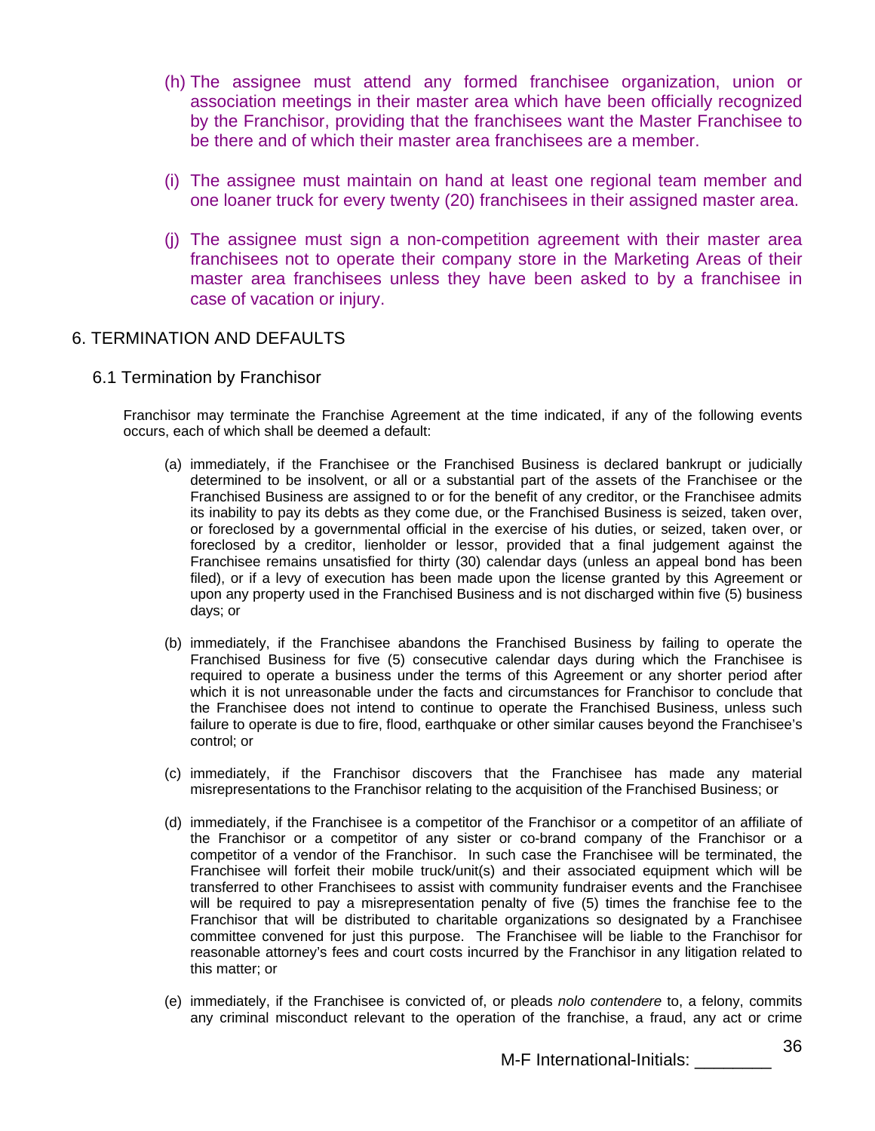- (h) The assignee must attend any formed franchisee organization, union or association meetings in their master area which have been officially recognized by the Franchisor, providing that the franchisees want the Master Franchisee to be there and of which their master area franchisees are a member.
- (i) The assignee must maintain on hand at least one regional team member and one loaner truck for every twenty (20) franchisees in their assigned master area.
- (j) The assignee must sign a non-competition agreement with their master area franchisees not to operate their company store in the Marketing Areas of their master area franchisees unless they have been asked to by a franchisee in case of vacation or injury.

# 6. TERMINATION AND DEFAULTS

6.1 Termination by Franchisor

Franchisor may terminate the Franchise Agreement at the time indicated, if any of the following events occurs, each of which shall be deemed a default:

- (a) immediately, if the Franchisee or the Franchised Business is declared bankrupt or judicially determined to be insolvent, or all or a substantial part of the assets of the Franchisee or the Franchised Business are assigned to or for the benefit of any creditor, or the Franchisee admits its inability to pay its debts as they come due, or the Franchised Business is seized, taken over, or foreclosed by a governmental official in the exercise of his duties, or seized, taken over, or foreclosed by a creditor, lienholder or lessor, provided that a final judgement against the Franchisee remains unsatisfied for thirty (30) calendar days (unless an appeal bond has been filed), or if a levy of execution has been made upon the license granted by this Agreement or upon any property used in the Franchised Business and is not discharged within five (5) business days; or
- (b) immediately, if the Franchisee abandons the Franchised Business by failing to operate the Franchised Business for five (5) consecutive calendar days during which the Franchisee is required to operate a business under the terms of this Agreement or any shorter period after which it is not unreasonable under the facts and circumstances for Franchisor to conclude that the Franchisee does not intend to continue to operate the Franchised Business, unless such failure to operate is due to fire, flood, earthquake or other similar causes beyond the Franchisee's control; or
- (c) immediately, if the Franchisor discovers that the Franchisee has made any material misrepresentations to the Franchisor relating to the acquisition of the Franchised Business; or
- (d) immediately, if the Franchisee is a competitor of the Franchisor or a competitor of an affiliate of the Franchisor or a competitor of any sister or co-brand company of the Franchisor or a competitor of a vendor of the Franchisor. In such case the Franchisee will be terminated, the Franchisee will forfeit their mobile truck/unit(s) and their associated equipment which will be transferred to other Franchisees to assist with community fundraiser events and the Franchisee will be required to pay a misrepresentation penalty of five (5) times the franchise fee to the Franchisor that will be distributed to charitable organizations so designated by a Franchisee committee convened for just this purpose. The Franchisee will be liable to the Franchisor for reasonable attorney's fees and court costs incurred by the Franchisor in any litigation related to this matter; or
- (e) immediately, if the Franchisee is convicted of, or pleads *nolo contendere* to, a felony, commits any criminal misconduct relevant to the operation of the franchise, a fraud, any act or crime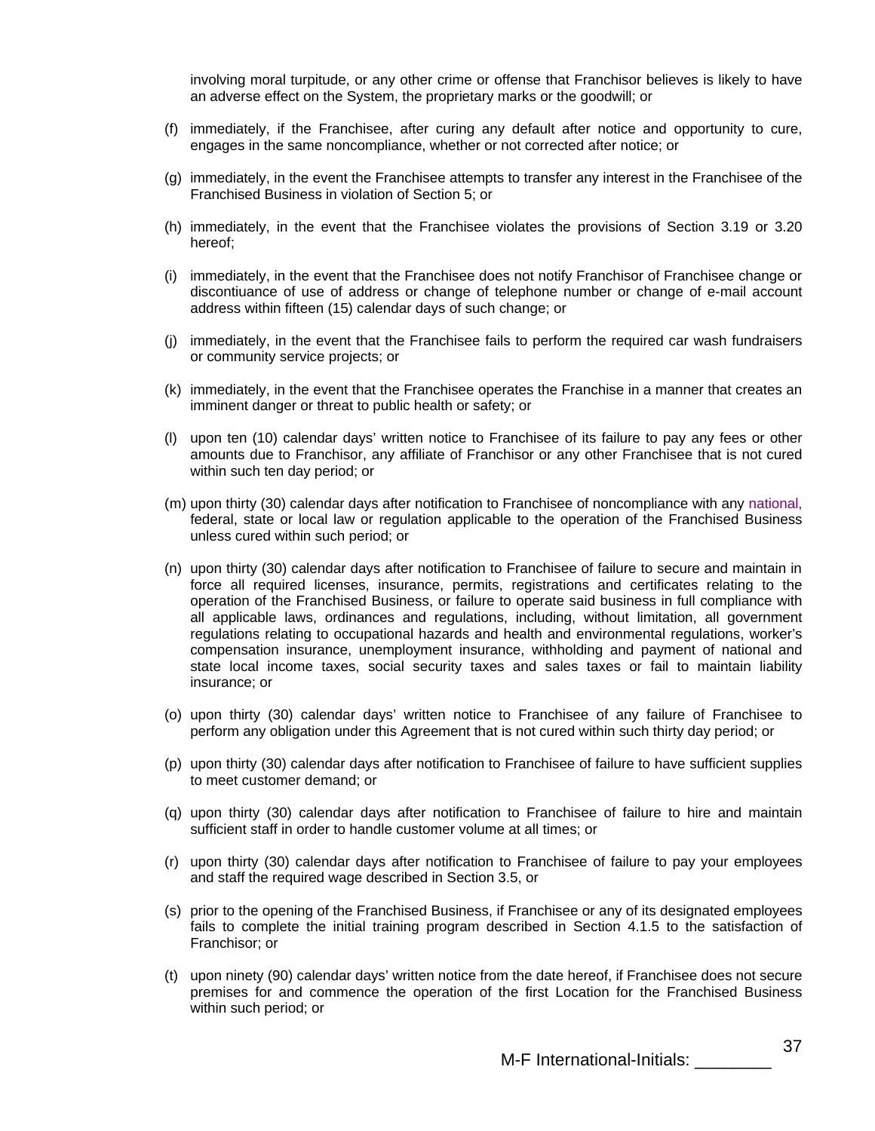involving moral turpitude, or any other crime or offense that Franchisor believes is likely to have an adverse effect on the System, the proprietary marks or the goodwill; or

- (f) immediately, if the Franchisee, after curing any default after notice and opportunity to cure, engages in the same noncompliance, whether or not corrected after notice; or
- (g) immediately, in the event the Franchisee attempts to transfer any interest in the Franchisee of the Franchised Business in violation of Section 5; or
- (h) immediately, in the event that the Franchisee violates the provisions of Section 3.19 or 3.20 hereof;
- (i) immediately, in the event that the Franchisee does not notify Franchisor of Franchisee change or discontiuance of use of address or change of telephone number or change of e-mail account address within fifteen (15) calendar days of such change; or
- (j) immediately, in the event that the Franchisee fails to perform the required car wash fundraisers or community service projects; or
- (k) immediately, in the event that the Franchisee operates the Franchise in a manner that creates an imminent danger or threat to public health or safety; or
- (l) upon ten (10) calendar days' written notice to Franchisee of its failure to pay any fees or other amounts due to Franchisor, any affiliate of Franchisor or any other Franchisee that is not cured within such ten day period; or
- (m) upon thirty (30) calendar days after notification to Franchisee of noncompliance with any national, federal, state or local law or regulation applicable to the operation of the Franchised Business unless cured within such period; or
- (n) upon thirty (30) calendar days after notification to Franchisee of failure to secure and maintain in force all required licenses, insurance, permits, registrations and certificates relating to the operation of the Franchised Business, or failure to operate said business in full compliance with all applicable laws, ordinances and regulations, including, without limitation, all government regulations relating to occupational hazards and health and environmental regulations, worker's compensation insurance, unemployment insurance, withholding and payment of national and state local income taxes, social security taxes and sales taxes or fail to maintain liability insurance; or
- (o) upon thirty (30) calendar days' written notice to Franchisee of any failure of Franchisee to perform any obligation under this Agreement that is not cured within such thirty day period; or
- (p) upon thirty (30) calendar days after notification to Franchisee of failure to have sufficient supplies to meet customer demand; or
- (q) upon thirty (30) calendar days after notification to Franchisee of failure to hire and maintain sufficient staff in order to handle customer volume at all times; or
- (r) upon thirty (30) calendar days after notification to Franchisee of failure to pay your employees and staff the required wage described in Section 3.5, or
- (s) prior to the opening of the Franchised Business, if Franchisee or any of its designated employees fails to complete the initial training program described in Section 4.1.5 to the satisfaction of Franchisor; or
- (t) upon ninety (90) calendar days' written notice from the date hereof, if Franchisee does not secure premises for and commence the operation of the first Location for the Franchised Business within such period; or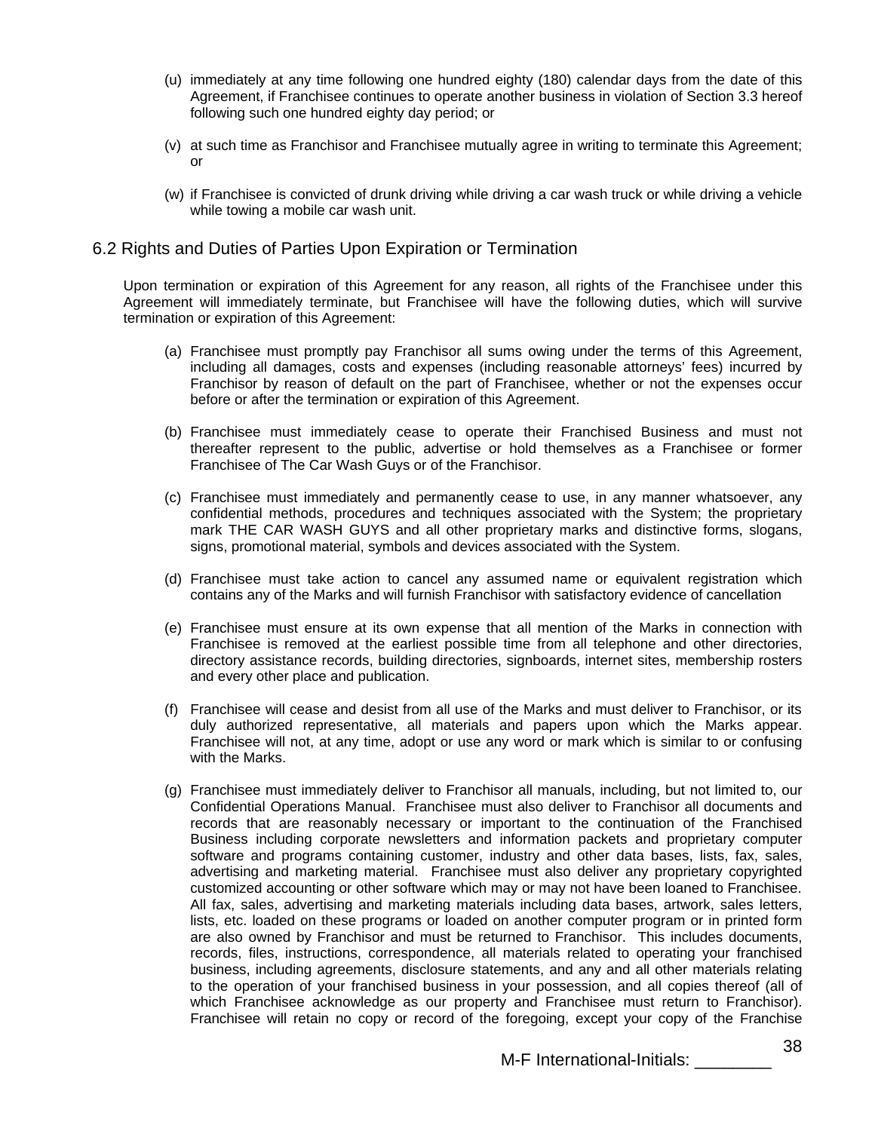- (u) immediately at any time following one hundred eighty (180) calendar days from the date of this Agreement, if Franchisee continues to operate another business in violation of Section 3.3 hereof following such one hundred eighty day period; or
- (v) at such time as Franchisor and Franchisee mutually agree in writing to terminate this Agreement; or
- (w) if Franchisee is convicted of drunk driving while driving a car wash truck or while driving a vehicle while towing a mobile car wash unit.

## 6.2 Rights and Duties of Parties Upon Expiration or Termination

Upon termination or expiration of this Agreement for any reason, all rights of the Franchisee under this Agreement will immediately terminate, but Franchisee will have the following duties, which will survive termination or expiration of this Agreement:

- (a) Franchisee must promptly pay Franchisor all sums owing under the terms of this Agreement, including all damages, costs and expenses (including reasonable attorneys' fees) incurred by Franchisor by reason of default on the part of Franchisee, whether or not the expenses occur before or after the termination or expiration of this Agreement.
- (b) Franchisee must immediately cease to operate their Franchised Business and must not thereafter represent to the public, advertise or hold themselves as a Franchisee or former Franchisee of The Car Wash Guys or of the Franchisor.
- (c) Franchisee must immediately and permanently cease to use, in any manner whatsoever, any confidential methods, procedures and techniques associated with the System; the proprietary mark THE CAR WASH GUYS and all other proprietary marks and distinctive forms, slogans, signs, promotional material, symbols and devices associated with the System.
- (d) Franchisee must take action to cancel any assumed name or equivalent registration which contains any of the Marks and will furnish Franchisor with satisfactory evidence of cancellation
- (e) Franchisee must ensure at its own expense that all mention of the Marks in connection with Franchisee is removed at the earliest possible time from all telephone and other directories, directory assistance records, building directories, signboards, internet sites, membership rosters and every other place and publication.
- (f) Franchisee will cease and desist from all use of the Marks and must deliver to Franchisor, or its duly authorized representative, all materials and papers upon which the Marks appear. Franchisee will not, at any time, adopt or use any word or mark which is similar to or confusing with the Marks.
- (g) Franchisee must immediately deliver to Franchisor all manuals, including, but not limited to, our Confidential Operations Manual. Franchisee must also deliver to Franchisor all documents and records that are reasonably necessary or important to the continuation of the Franchised Business including corporate newsletters and information packets and proprietary computer software and programs containing customer, industry and other data bases, lists, fax, sales, advertising and marketing material. Franchisee must also deliver any proprietary copyrighted customized accounting or other software which may or may not have been loaned to Franchisee. All fax, sales, advertising and marketing materials including data bases, artwork, sales letters, lists, etc. loaded on these programs or loaded on another computer program or in printed form are also owned by Franchisor and must be returned to Franchisor. This includes documents, records, files, instructions, correspondence, all materials related to operating your franchised business, including agreements, disclosure statements, and any and all other materials relating to the operation of your franchised business in your possession, and all copies thereof (all of which Franchisee acknowledge as our property and Franchisee must return to Franchisor). Franchisee will retain no copy or record of the foregoing, except your copy of the Franchise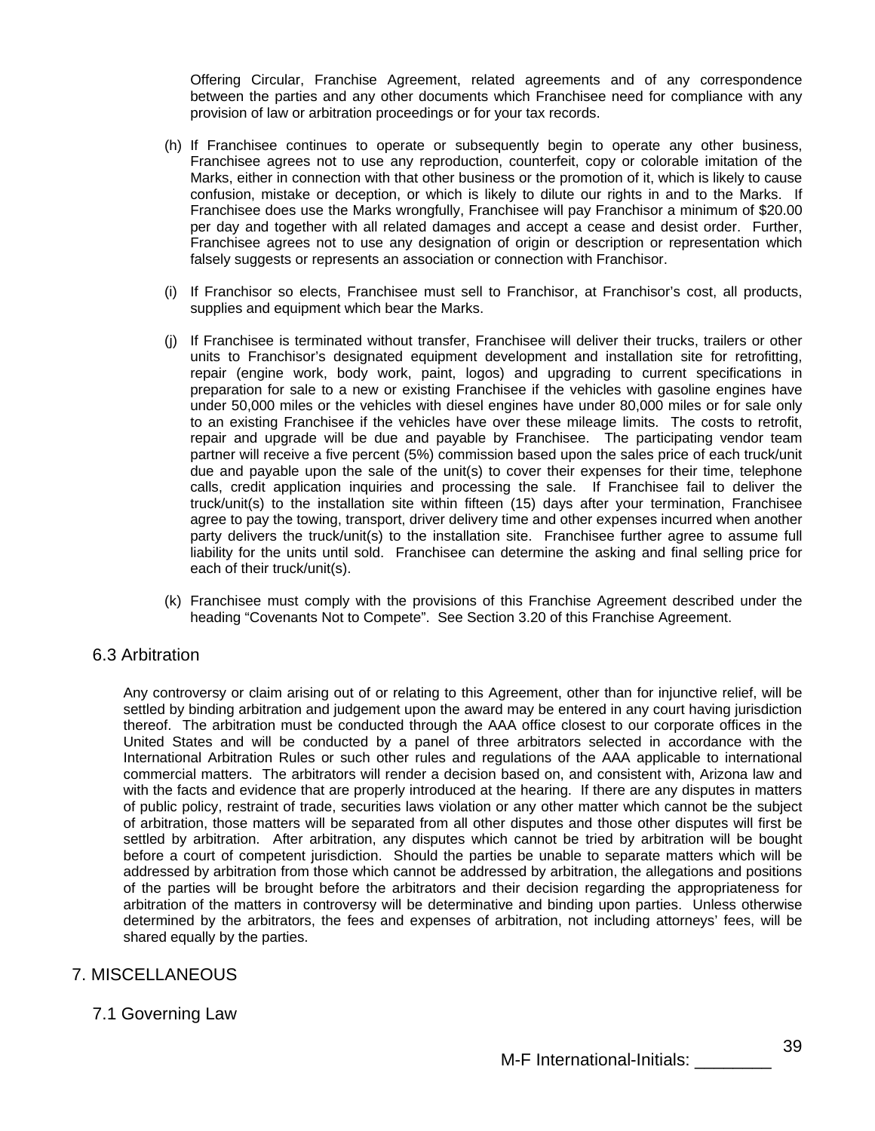Offering Circular, Franchise Agreement, related agreements and of any correspondence between the parties and any other documents which Franchisee need for compliance with any provision of law or arbitration proceedings or for your tax records.

- (h) If Franchisee continues to operate or subsequently begin to operate any other business, Franchisee agrees not to use any reproduction, counterfeit, copy or colorable imitation of the Marks, either in connection with that other business or the promotion of it, which is likely to cause confusion, mistake or deception, or which is likely to dilute our rights in and to the Marks. If Franchisee does use the Marks wrongfully, Franchisee will pay Franchisor a minimum of \$20.00 per day and together with all related damages and accept a cease and desist order. Further, Franchisee agrees not to use any designation of origin or description or representation which falsely suggests or represents an association or connection with Franchisor.
- (i) If Franchisor so elects, Franchisee must sell to Franchisor, at Franchisor's cost, all products, supplies and equipment which bear the Marks.
- (j) If Franchisee is terminated without transfer, Franchisee will deliver their trucks, trailers or other units to Franchisor's designated equipment development and installation site for retrofitting, repair (engine work, body work, paint, logos) and upgrading to current specifications in preparation for sale to a new or existing Franchisee if the vehicles with gasoline engines have under 50,000 miles or the vehicles with diesel engines have under 80,000 miles or for sale only to an existing Franchisee if the vehicles have over these mileage limits. The costs to retrofit, repair and upgrade will be due and payable by Franchisee. The participating vendor team partner will receive a five percent (5%) commission based upon the sales price of each truck/unit due and payable upon the sale of the unit(s) to cover their expenses for their time, telephone calls, credit application inquiries and processing the sale. If Franchisee fail to deliver the truck/unit(s) to the installation site within fifteen (15) days after your termination, Franchisee agree to pay the towing, transport, driver delivery time and other expenses incurred when another party delivers the truck/unit(s) to the installation site. Franchisee further agree to assume full liability for the units until sold. Franchisee can determine the asking and final selling price for each of their truck/unit(s).
- (k) Franchisee must comply with the provisions of this Franchise Agreement described under the heading "Covenants Not to Compete". See Section 3.20 of this Franchise Agreement.

#### 6.3 Arbitration

Any controversy or claim arising out of or relating to this Agreement, other than for injunctive relief, will be settled by binding arbitration and judgement upon the award may be entered in any court having jurisdiction thereof. The arbitration must be conducted through the AAA office closest to our corporate offices in the United States and will be conducted by a panel of three arbitrators selected in accordance with the International Arbitration Rules or such other rules and regulations of the AAA applicable to international commercial matters. The arbitrators will render a decision based on, and consistent with, Arizona law and with the facts and evidence that are properly introduced at the hearing. If there are any disputes in matters of public policy, restraint of trade, securities laws violation or any other matter which cannot be the subject of arbitration, those matters will be separated from all other disputes and those other disputes will first be settled by arbitration. After arbitration, any disputes which cannot be tried by arbitration will be bought before a court of competent jurisdiction. Should the parties be unable to separate matters which will be addressed by arbitration from those which cannot be addressed by arbitration, the allegations and positions of the parties will be brought before the arbitrators and their decision regarding the appropriateness for arbitration of the matters in controversy will be determinative and binding upon parties. Unless otherwise determined by the arbitrators, the fees and expenses of arbitration, not including attorneys' fees, will be shared equally by the parties.

## 7. MISCELLANEOUS

## 7.1 Governing Law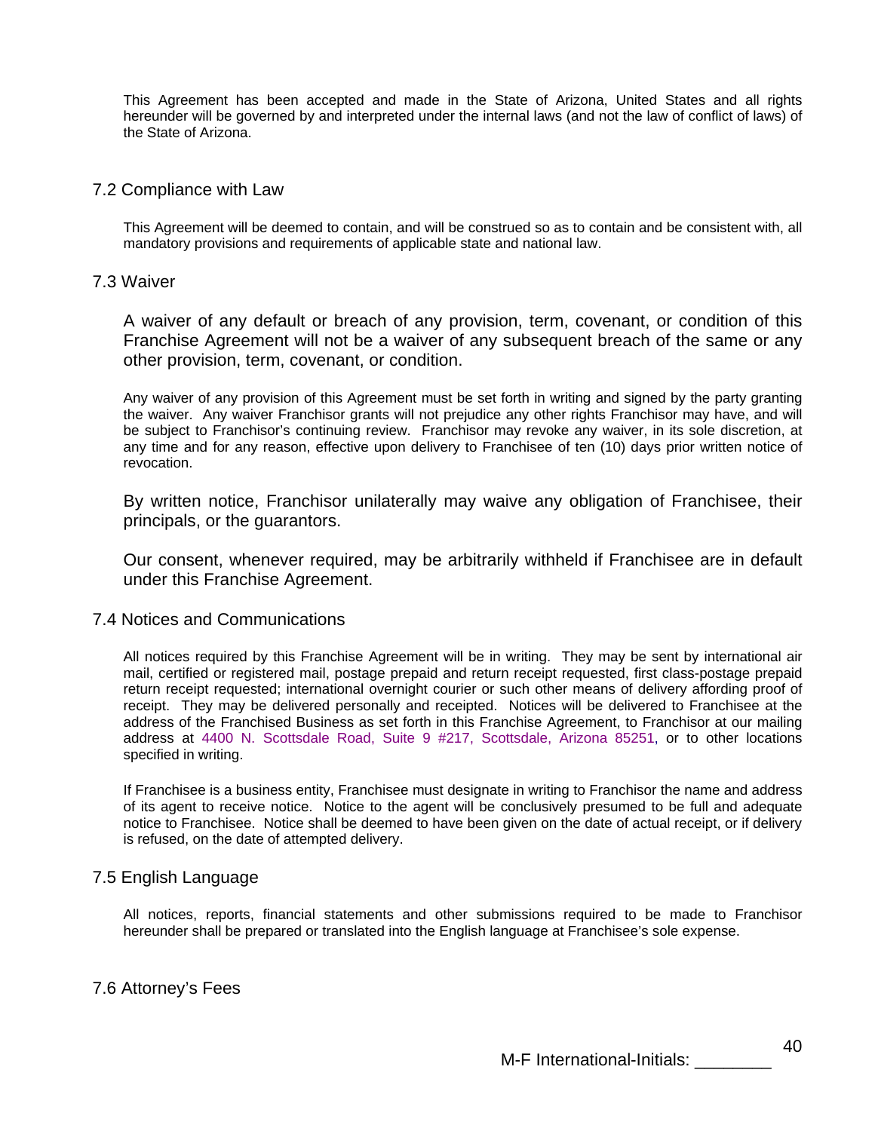This Agreement has been accepted and made in the State of Arizona, United States and all rights hereunder will be governed by and interpreted under the internal laws (and not the law of conflict of laws) of the State of Arizona.

#### 7.2 Compliance with Law

This Agreement will be deemed to contain, and will be construed so as to contain and be consistent with, all mandatory provisions and requirements of applicable state and national law.

#### 7.3 Waiver

A waiver of any default or breach of any provision, term, covenant, or condition of this Franchise Agreement will not be a waiver of any subsequent breach of the same or any other provision, term, covenant, or condition.

Any waiver of any provision of this Agreement must be set forth in writing and signed by the party granting the waiver. Any waiver Franchisor grants will not prejudice any other rights Franchisor may have, and will be subject to Franchisor's continuing review. Franchisor may revoke any waiver, in its sole discretion, at any time and for any reason, effective upon delivery to Franchisee of ten (10) days prior written notice of revocation.

By written notice, Franchisor unilaterally may waive any obligation of Franchisee, their principals, or the guarantors.

Our consent, whenever required, may be arbitrarily withheld if Franchisee are in default under this Franchise Agreement.

#### 7.4 Notices and Communications

All notices required by this Franchise Agreement will be in writing. They may be sent by international air mail, certified or registered mail, postage prepaid and return receipt requested, first class-postage prepaid return receipt requested; international overnight courier or such other means of delivery affording proof of receipt. They may be delivered personally and receipted. Notices will be delivered to Franchisee at the address of the Franchised Business as set forth in this Franchise Agreement, to Franchisor at our mailing address at 4400 N. Scottsdale Road, Suite 9 #217, Scottsdale, Arizona 85251, or to other locations specified in writing.

If Franchisee is a business entity, Franchisee must designate in writing to Franchisor the name and address of its agent to receive notice. Notice to the agent will be conclusively presumed to be full and adequate notice to Franchisee. Notice shall be deemed to have been given on the date of actual receipt, or if delivery is refused, on the date of attempted delivery.

#### 7.5 English Language

All notices, reports, financial statements and other submissions required to be made to Franchisor hereunder shall be prepared or translated into the English language at Franchisee's sole expense.

#### 7.6 Attorney's Fees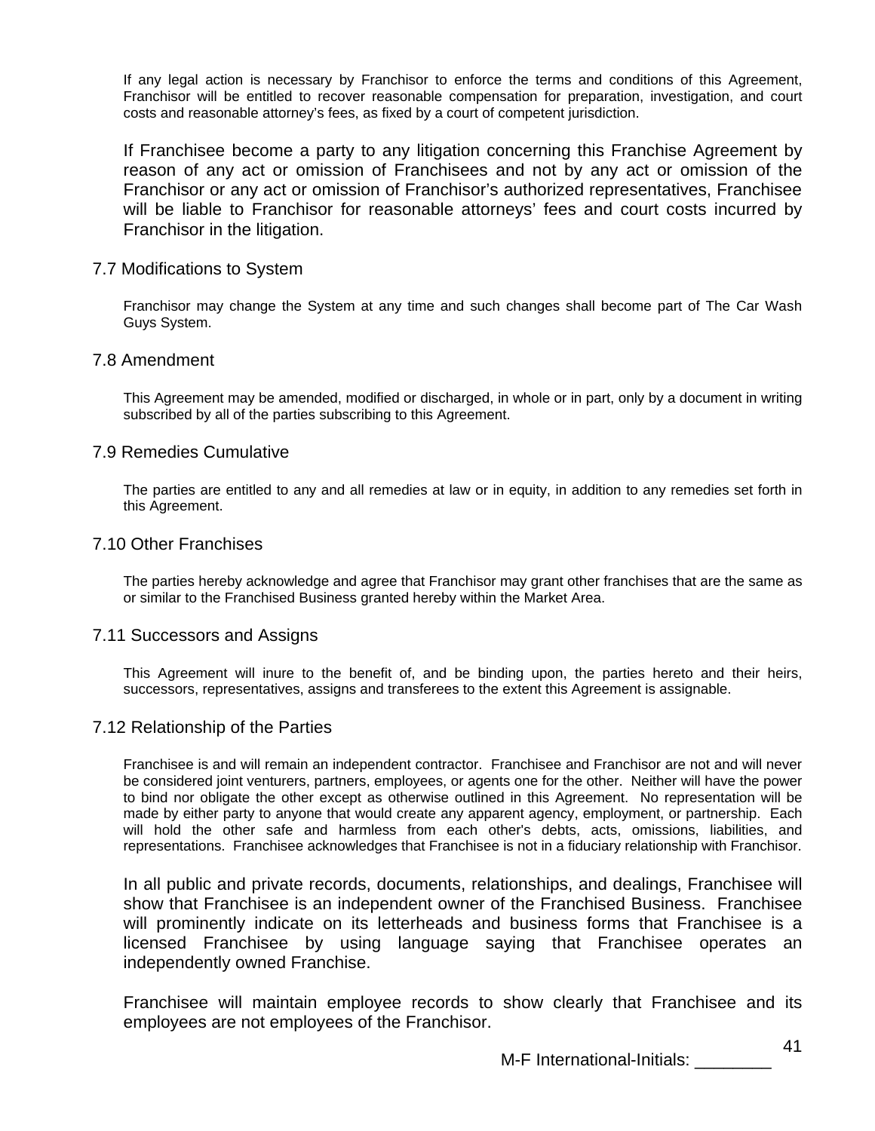If any legal action is necessary by Franchisor to enforce the terms and conditions of this Agreement, Franchisor will be entitled to recover reasonable compensation for preparation, investigation, and court costs and reasonable attorney's fees, as fixed by a court of competent jurisdiction.

If Franchisee become a party to any litigation concerning this Franchise Agreement by reason of any act or omission of Franchisees and not by any act or omission of the Franchisor or any act or omission of Franchisor's authorized representatives, Franchisee will be liable to Franchisor for reasonable attorneys' fees and court costs incurred by Franchisor in the litigation.

#### 7.7 Modifications to System

Franchisor may change the System at any time and such changes shall become part of The Car Wash Guys System.

#### 7.8 Amendment

This Agreement may be amended, modified or discharged, in whole or in part, only by a document in writing subscribed by all of the parties subscribing to this Agreement.

#### 7.9 Remedies Cumulative

The parties are entitled to any and all remedies at law or in equity, in addition to any remedies set forth in this Agreement.

#### 7.10 Other Franchises

The parties hereby acknowledge and agree that Franchisor may grant other franchises that are the same as or similar to the Franchised Business granted hereby within the Market Area.

#### 7.11 Successors and Assigns

This Agreement will inure to the benefit of, and be binding upon, the parties hereto and their heirs, successors, representatives, assigns and transferees to the extent this Agreement is assignable.

## 7.12 Relationship of the Parties

Franchisee is and will remain an independent contractor. Franchisee and Franchisor are not and will never be considered joint venturers, partners, employees, or agents one for the other. Neither will have the power to bind nor obligate the other except as otherwise outlined in this Agreement. No representation will be made by either party to anyone that would create any apparent agency, employment, or partnership. Each will hold the other safe and harmless from each other's debts, acts, omissions, liabilities, and representations. Franchisee acknowledges that Franchisee is not in a fiduciary relationship with Franchisor.

In all public and private records, documents, relationships, and dealings, Franchisee will show that Franchisee is an independent owner of the Franchised Business. Franchisee will prominently indicate on its letterheads and business forms that Franchisee is a licensed Franchisee by using language saying that Franchisee operates an independently owned Franchise.

Franchisee will maintain employee records to show clearly that Franchisee and its employees are not employees of the Franchisor.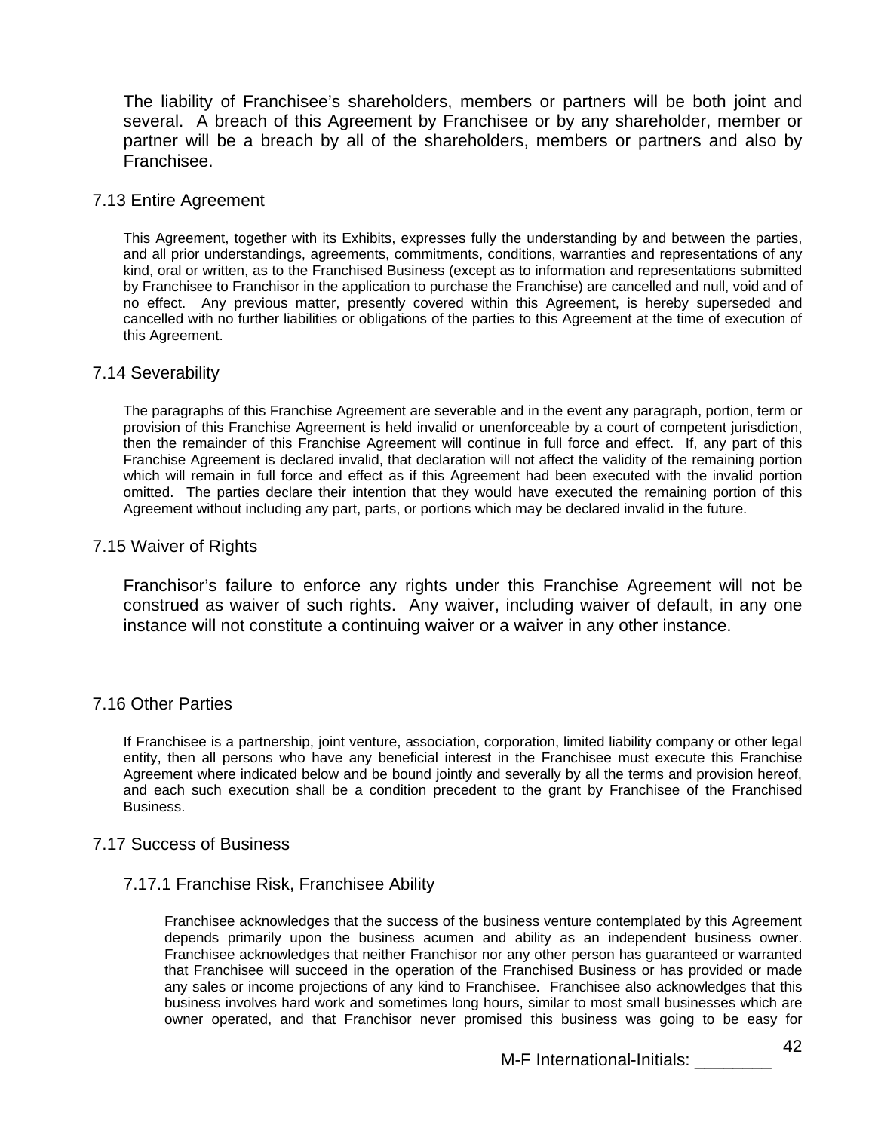The liability of Franchisee's shareholders, members or partners will be both joint and several. A breach of this Agreement by Franchisee or by any shareholder, member or partner will be a breach by all of the shareholders, members or partners and also by Franchisee.

## 7.13 Entire Agreement

This Agreement, together with its Exhibits, expresses fully the understanding by and between the parties, and all prior understandings, agreements, commitments, conditions, warranties and representations of any kind, oral or written, as to the Franchised Business (except as to information and representations submitted by Franchisee to Franchisor in the application to purchase the Franchise) are cancelled and null, void and of no effect. Any previous matter, presently covered within this Agreement, is hereby superseded and cancelled with no further liabilities or obligations of the parties to this Agreement at the time of execution of this Agreement.

#### 7.14 Severability

The paragraphs of this Franchise Agreement are severable and in the event any paragraph, portion, term or provision of this Franchise Agreement is held invalid or unenforceable by a court of competent jurisdiction, then the remainder of this Franchise Agreement will continue in full force and effect. If, any part of this Franchise Agreement is declared invalid, that declaration will not affect the validity of the remaining portion which will remain in full force and effect as if this Agreement had been executed with the invalid portion omitted. The parties declare their intention that they would have executed the remaining portion of this Agreement without including any part, parts, or portions which may be declared invalid in the future.

#### 7.15 Waiver of Rights

Franchisor's failure to enforce any rights under this Franchise Agreement will not be construed as waiver of such rights. Any waiver, including waiver of default, in any one instance will not constitute a continuing waiver or a waiver in any other instance.

## 7.16 Other Parties

If Franchisee is a partnership, joint venture, association, corporation, limited liability company or other legal entity, then all persons who have any beneficial interest in the Franchisee must execute this Franchise Agreement where indicated below and be bound jointly and severally by all the terms and provision hereof, and each such execution shall be a condition precedent to the grant by Franchisee of the Franchised Business.

#### 7.17 Success of Business

## 7.17.1 Franchise Risk, Franchisee Ability

Franchisee acknowledges that the success of the business venture contemplated by this Agreement depends primarily upon the business acumen and ability as an independent business owner. Franchisee acknowledges that neither Franchisor nor any other person has guaranteed or warranted that Franchisee will succeed in the operation of the Franchised Business or has provided or made any sales or income projections of any kind to Franchisee. Franchisee also acknowledges that this business involves hard work and sometimes long hours, similar to most small businesses which are owner operated, and that Franchisor never promised this business was going to be easy for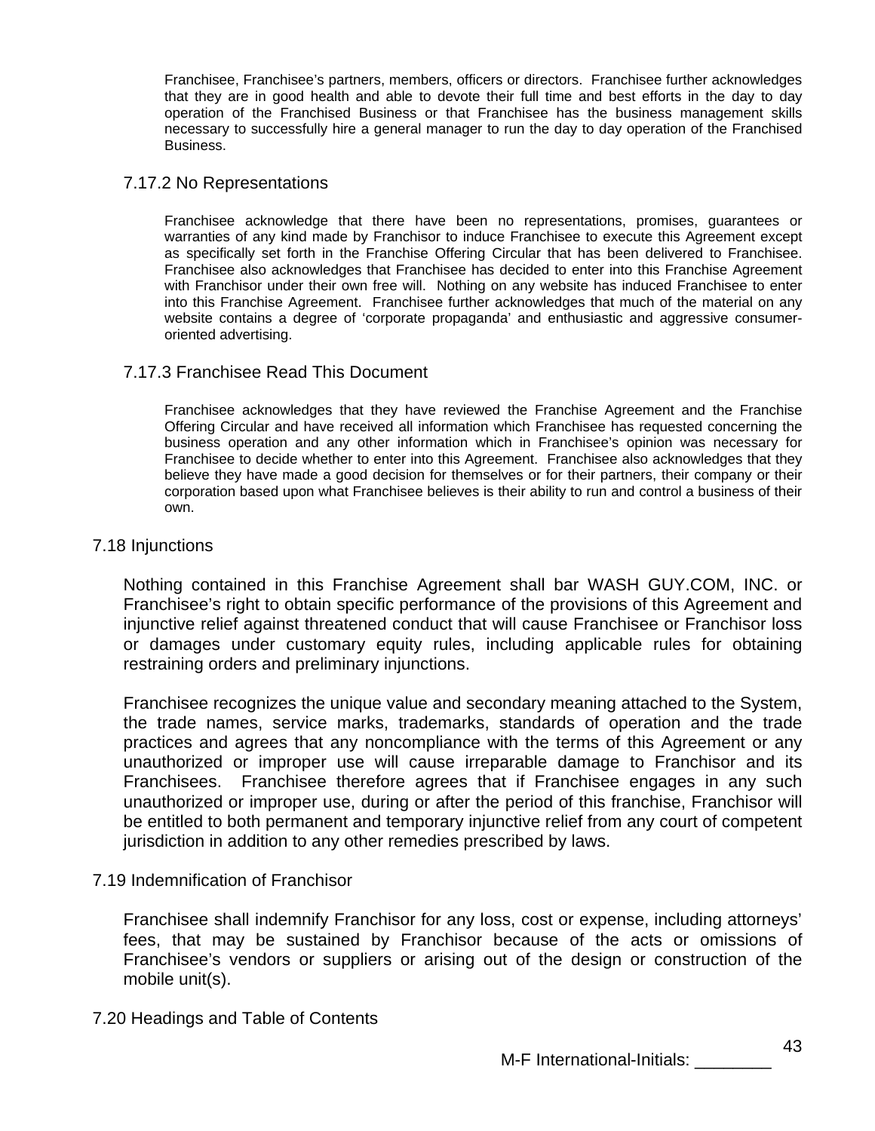Franchisee, Franchisee's partners, members, officers or directors. Franchisee further acknowledges that they are in good health and able to devote their full time and best efforts in the day to day operation of the Franchised Business or that Franchisee has the business management skills necessary to successfully hire a general manager to run the day to day operation of the Franchised **Business** 

# 7.17.2 No Representations

Franchisee acknowledge that there have been no representations, promises, guarantees or warranties of any kind made by Franchisor to induce Franchisee to execute this Agreement except as specifically set forth in the Franchise Offering Circular that has been delivered to Franchisee. Franchisee also acknowledges that Franchisee has decided to enter into this Franchise Agreement with Franchisor under their own free will. Nothing on any website has induced Franchisee to enter into this Franchise Agreement. Franchisee further acknowledges that much of the material on any website contains a degree of 'corporate propaganda' and enthusiastic and aggressive consumeroriented advertising.

# 7.17.3 Franchisee Read This Document

Franchisee acknowledges that they have reviewed the Franchise Agreement and the Franchise Offering Circular and have received all information which Franchisee has requested concerning the business operation and any other information which in Franchisee's opinion was necessary for Franchisee to decide whether to enter into this Agreement. Franchisee also acknowledges that they believe they have made a good decision for themselves or for their partners, their company or their corporation based upon what Franchisee believes is their ability to run and control a business of their own.

# 7.18 Injunctions

Nothing contained in this Franchise Agreement shall bar WASH GUY.COM, INC. or Franchisee's right to obtain specific performance of the provisions of this Agreement and injunctive relief against threatened conduct that will cause Franchisee or Franchisor loss or damages under customary equity rules, including applicable rules for obtaining restraining orders and preliminary injunctions.

Franchisee recognizes the unique value and secondary meaning attached to the System, the trade names, service marks, trademarks, standards of operation and the trade practices and agrees that any noncompliance with the terms of this Agreement or any unauthorized or improper use will cause irreparable damage to Franchisor and its Franchisees. Franchisee therefore agrees that if Franchisee engages in any such unauthorized or improper use, during or after the period of this franchise, Franchisor will be entitled to both permanent and temporary injunctive relief from any court of competent jurisdiction in addition to any other remedies prescribed by laws.

# 7.19 Indemnification of Franchisor

Franchisee shall indemnify Franchisor for any loss, cost or expense, including attorneys' fees, that may be sustained by Franchisor because of the acts or omissions of Franchisee's vendors or suppliers or arising out of the design or construction of the mobile unit(s).

# 7.20 Headings and Table of Contents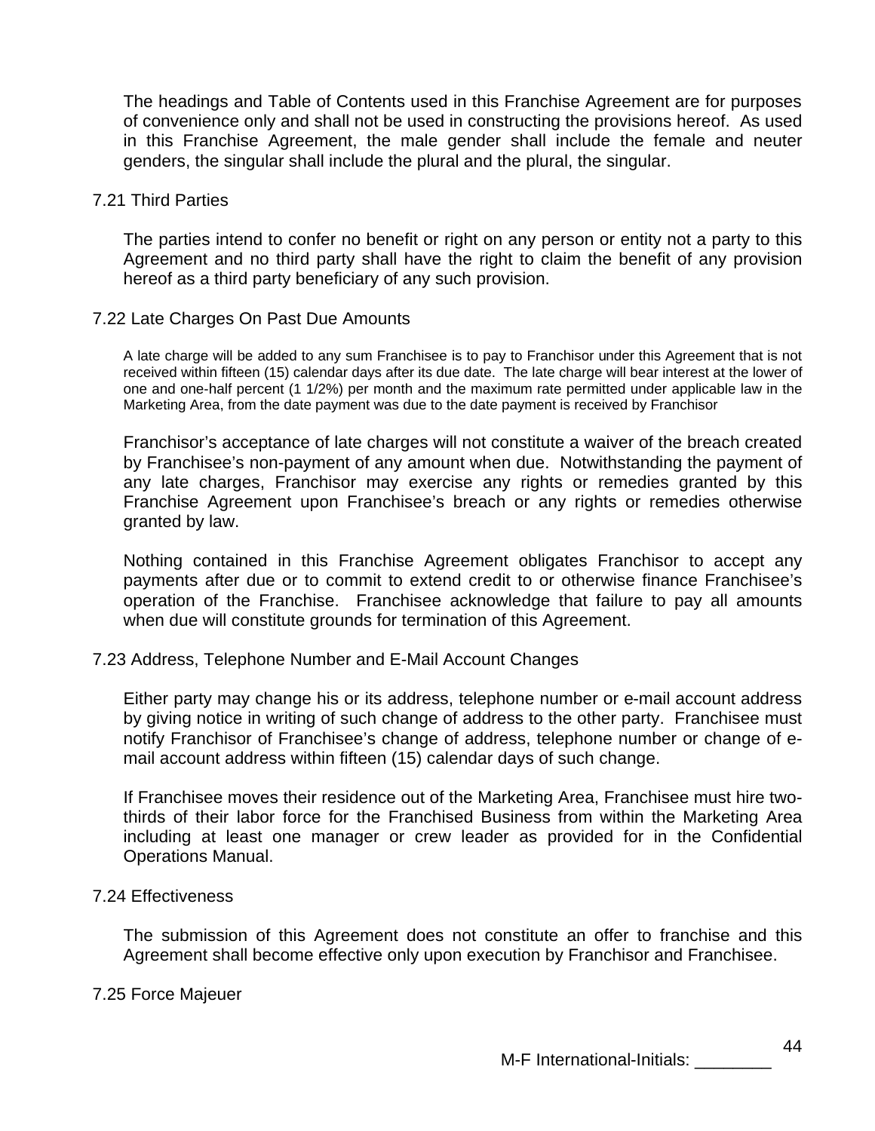The headings and Table of Contents used in this Franchise Agreement are for purposes of convenience only and shall not be used in constructing the provisions hereof. As used in this Franchise Agreement, the male gender shall include the female and neuter genders, the singular shall include the plural and the plural, the singular.

## 7.21 Third Parties

The parties intend to confer no benefit or right on any person or entity not a party to this Agreement and no third party shall have the right to claim the benefit of any provision hereof as a third party beneficiary of any such provision.

# 7.22 Late Charges On Past Due Amounts

A late charge will be added to any sum Franchisee is to pay to Franchisor under this Agreement that is not received within fifteen (15) calendar days after its due date. The late charge will bear interest at the lower of one and one-half percent (1 1/2%) per month and the maximum rate permitted under applicable law in the Marketing Area, from the date payment was due to the date payment is received by Franchisor

Franchisor's acceptance of late charges will not constitute a waiver of the breach created by Franchisee's non-payment of any amount when due. Notwithstanding the payment of any late charges, Franchisor may exercise any rights or remedies granted by this Franchise Agreement upon Franchisee's breach or any rights or remedies otherwise granted by law.

Nothing contained in this Franchise Agreement obligates Franchisor to accept any payments after due or to commit to extend credit to or otherwise finance Franchisee's operation of the Franchise. Franchisee acknowledge that failure to pay all amounts when due will constitute grounds for termination of this Agreement.

## 7.23 Address, Telephone Number and E-Mail Account Changes

Either party may change his or its address, telephone number or e-mail account address by giving notice in writing of such change of address to the other party. Franchisee must notify Franchisor of Franchisee's change of address, telephone number or change of email account address within fifteen (15) calendar days of such change.

If Franchisee moves their residence out of the Marketing Area, Franchisee must hire twothirds of their labor force for the Franchised Business from within the Marketing Area including at least one manager or crew leader as provided for in the Confidential Operations Manual.

## 7.24 Effectiveness

The submission of this Agreement does not constitute an offer to franchise and this Agreement shall become effective only upon execution by Franchisor and Franchisee.

## 7.25 Force Majeuer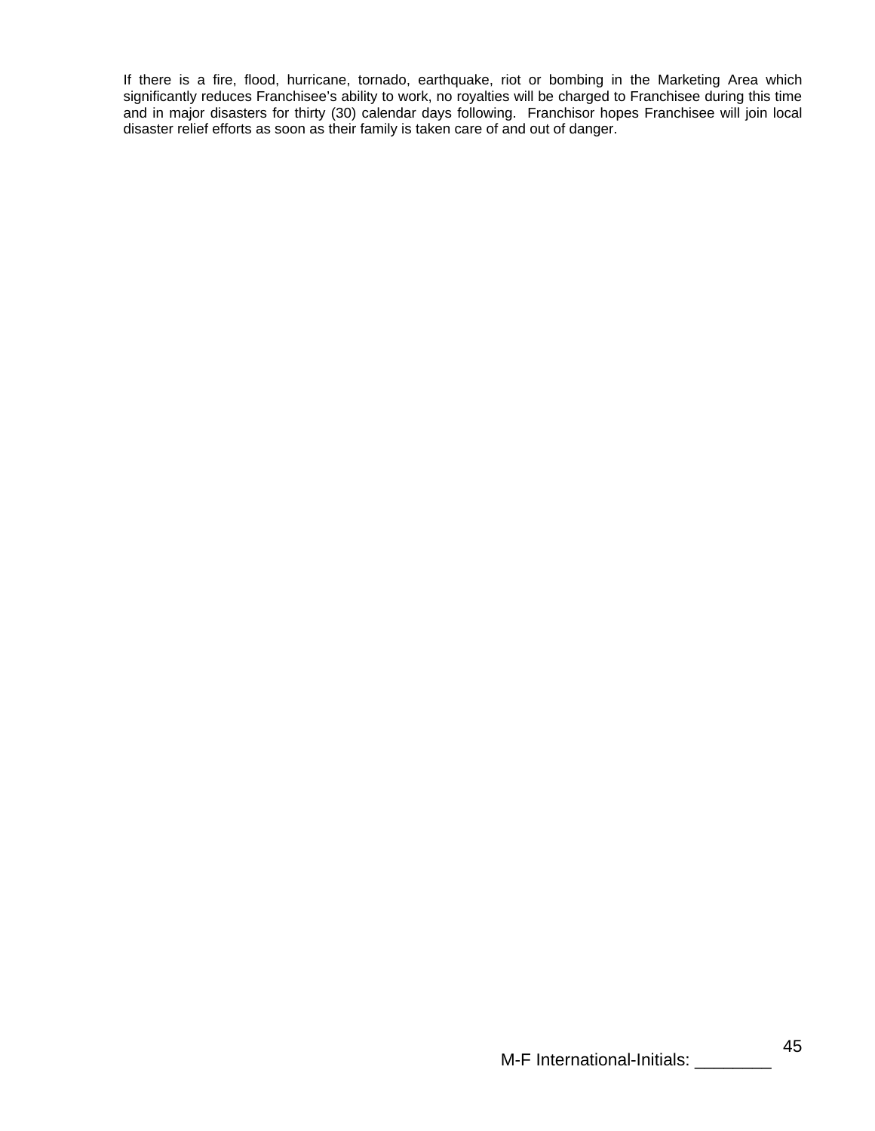If there is a fire, flood, hurricane, tornado, earthquake, riot or bombing in the Marketing Area which significantly reduces Franchisee's ability to work, no royalties will be charged to Franchisee during this time and in major disasters for thirty (30) calendar days following. Franchisor hopes Franchisee will join local disaster relief efforts as soon as their family is taken care of and out of danger.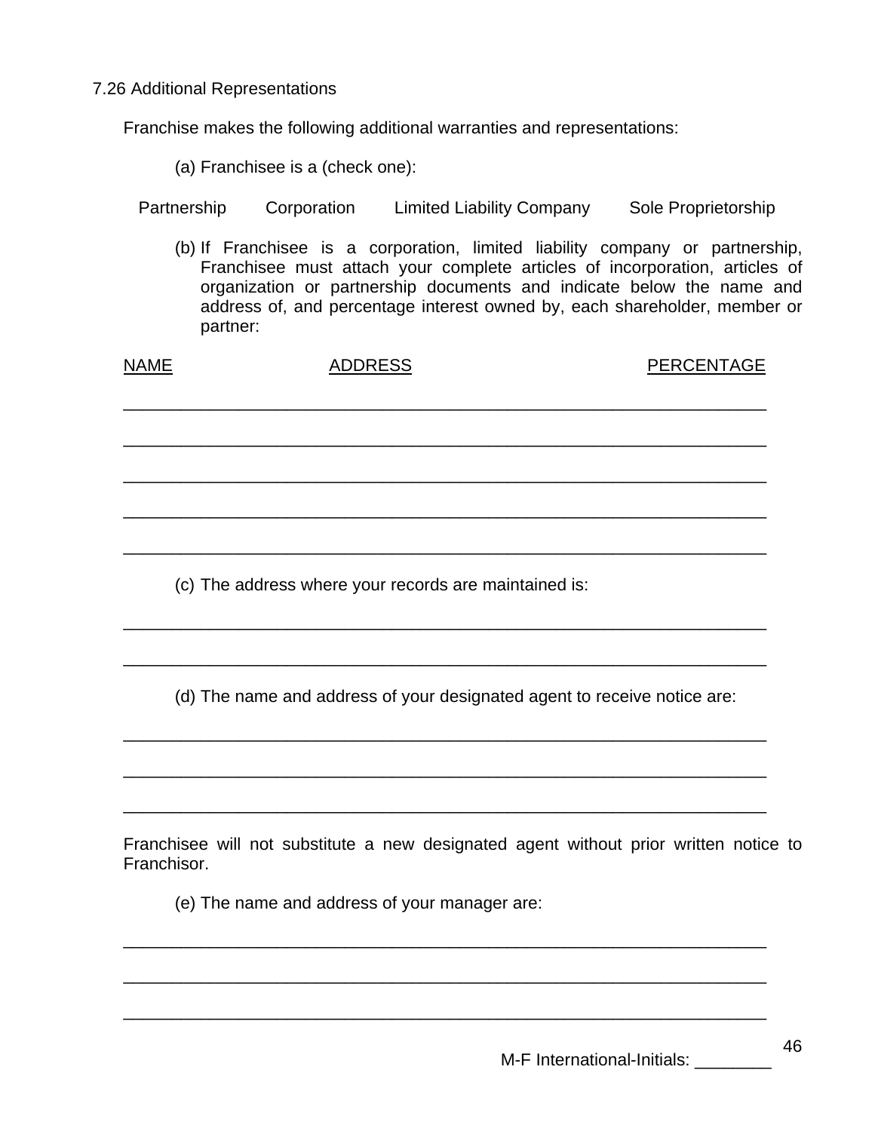7.26 Additional Representations

Franchise makes the following additional warranties and representations:

(a) Franchisee is a (check one):

| Partnership | Corporation | <b>Limited Liability Company</b> | Sole Proprietorship |
|-------------|-------------|----------------------------------|---------------------|
|-------------|-------------|----------------------------------|---------------------|

(b) If Franchisee is a corporation, limited liability company or partnership, Franchisee must attach your complete articles of incorporation, articles of organization or partnership documents and indicate below the name and address of, and percentage interest owned by, each shareholder, member or partner:

| <b>NAME</b> | <b>ADDRESS</b>                                                                     | <b>PERCENTAGE</b> |
|-------------|------------------------------------------------------------------------------------|-------------------|
|             |                                                                                    |                   |
|             |                                                                                    |                   |
|             |                                                                                    |                   |
|             |                                                                                    |                   |
|             | (c) The address where your records are maintained is:                              |                   |
|             |                                                                                    |                   |
|             | (d) The name and address of your designated agent to receive notice are:           |                   |
|             |                                                                                    |                   |
|             |                                                                                    |                   |
|             | Franchisee will not substitute a new designated agent without prior written notice |                   |

designated agent without prior written notice to Franchisor.

\_\_\_\_\_\_\_\_\_\_\_\_\_\_\_\_\_\_\_\_\_\_\_\_\_\_\_\_\_\_\_\_\_\_\_\_\_\_\_\_\_\_\_\_\_\_\_\_\_\_\_\_\_\_\_\_\_\_\_\_\_\_\_\_\_\_\_

\_\_\_\_\_\_\_\_\_\_\_\_\_\_\_\_\_\_\_\_\_\_\_\_\_\_\_\_\_\_\_\_\_\_\_\_\_\_\_\_\_\_\_\_\_\_\_\_\_\_\_\_\_\_\_\_\_\_\_\_\_\_\_\_\_\_\_

\_\_\_\_\_\_\_\_\_\_\_\_\_\_\_\_\_\_\_\_\_\_\_\_\_\_\_\_\_\_\_\_\_\_\_\_\_\_\_\_\_\_\_\_\_\_\_\_\_\_\_\_\_\_\_\_\_\_\_\_\_\_\_\_\_\_\_

(e) The name and address of your manager are: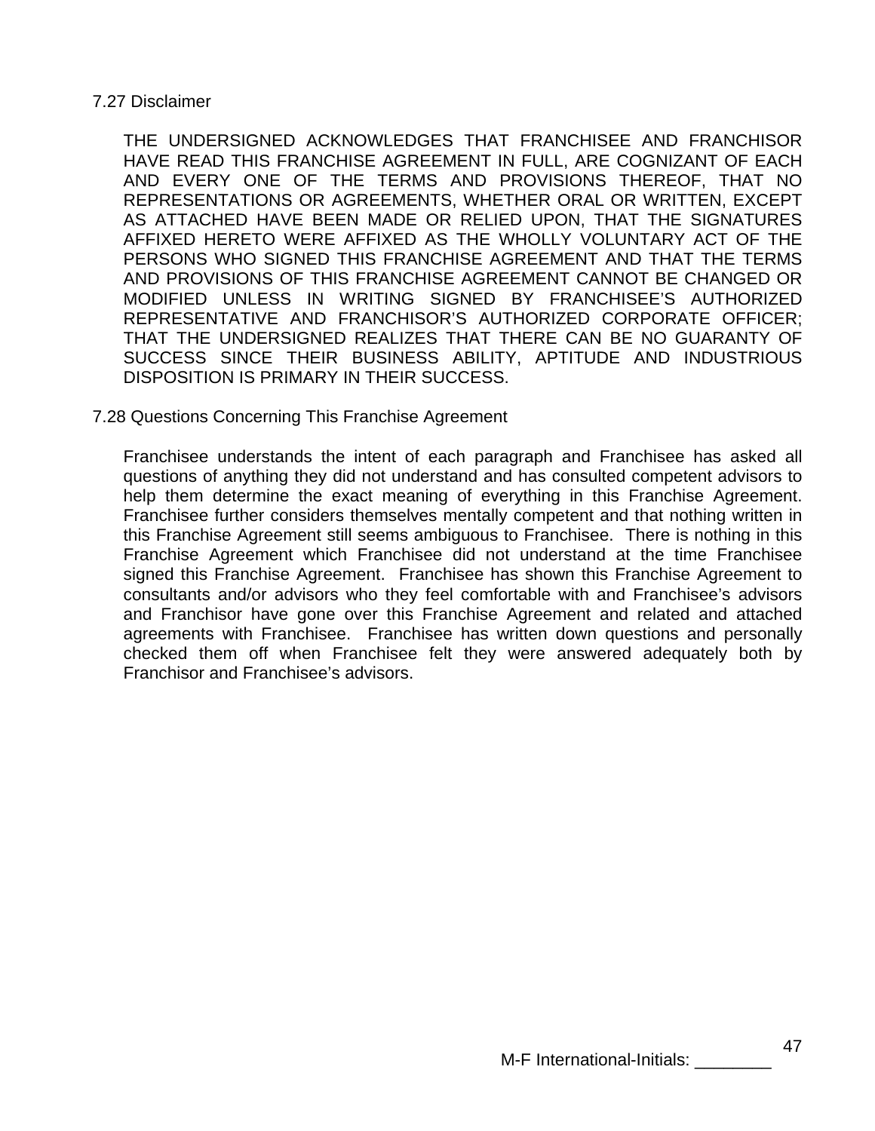# 7.27 Disclaimer

THE UNDERSIGNED ACKNOWLEDGES THAT FRANCHISEE AND FRANCHISOR HAVE READ THIS FRANCHISE AGREEMENT IN FULL, ARE COGNIZANT OF EACH AND EVERY ONE OF THE TERMS AND PROVISIONS THEREOF, THAT NO REPRESENTATIONS OR AGREEMENTS, WHETHER ORAL OR WRITTEN, EXCEPT AS ATTACHED HAVE BEEN MADE OR RELIED UPON, THAT THE SIGNATURES AFFIXED HERETO WERE AFFIXED AS THE WHOLLY VOLUNTARY ACT OF THE PERSONS WHO SIGNED THIS FRANCHISE AGREEMENT AND THAT THE TERMS AND PROVISIONS OF THIS FRANCHISE AGREEMENT CANNOT BE CHANGED OR MODIFIED UNLESS IN WRITING SIGNED BY FRANCHISEE'S AUTHORIZED REPRESENTATIVE AND FRANCHISOR'S AUTHORIZED CORPORATE OFFICER; THAT THE UNDERSIGNED REALIZES THAT THERE CAN BE NO GUARANTY OF SUCCESS SINCE THEIR BUSINESS ABILITY, APTITUDE AND INDUSTRIOUS DISPOSITION IS PRIMARY IN THEIR SUCCESS.

# 7.28 Questions Concerning This Franchise Agreement

Franchisee understands the intent of each paragraph and Franchisee has asked all questions of anything they did not understand and has consulted competent advisors to help them determine the exact meaning of everything in this Franchise Agreement. Franchisee further considers themselves mentally competent and that nothing written in this Franchise Agreement still seems ambiguous to Franchisee. There is nothing in this Franchise Agreement which Franchisee did not understand at the time Franchisee signed this Franchise Agreement. Franchisee has shown this Franchise Agreement to consultants and/or advisors who they feel comfortable with and Franchisee's advisors and Franchisor have gone over this Franchise Agreement and related and attached agreements with Franchisee. Franchisee has written down questions and personally checked them off when Franchisee felt they were answered adequately both by Franchisor and Franchisee's advisors.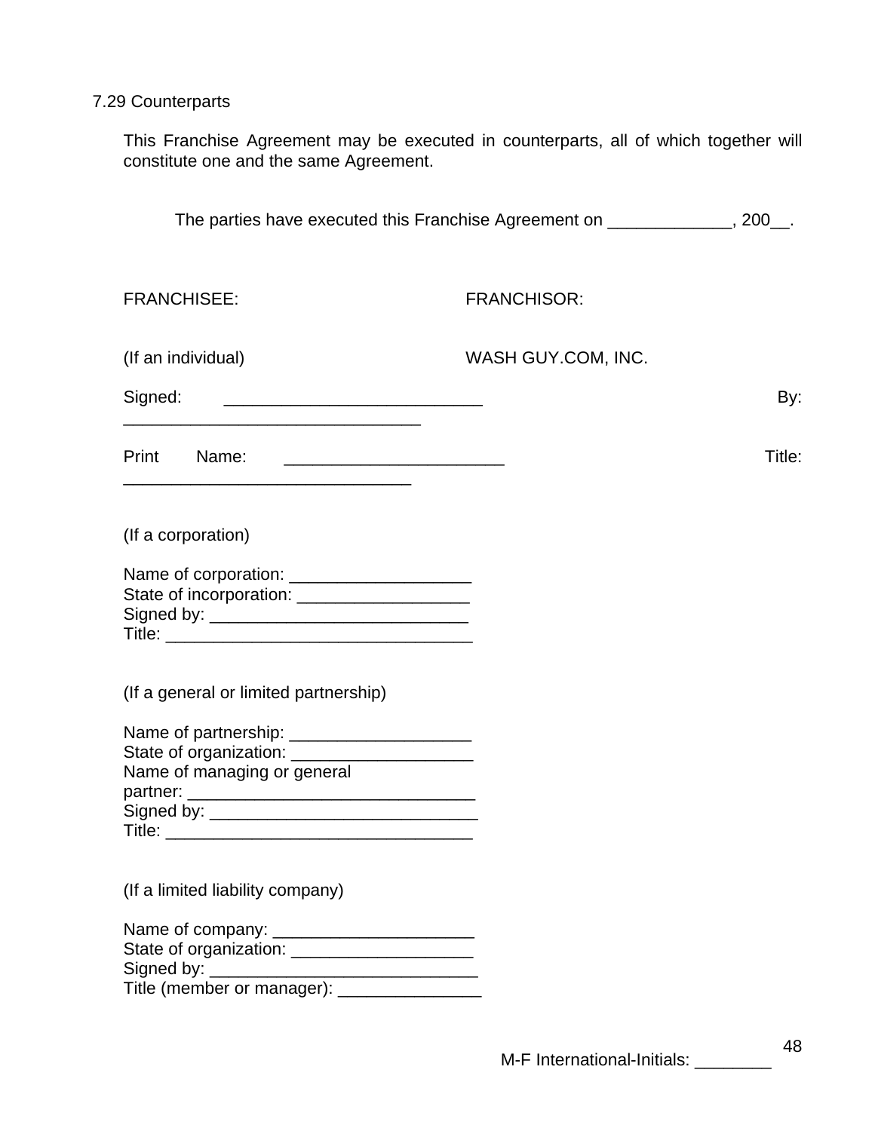# 7.29 Counterparts

This Franchise Agreement may be executed in counterparts, all of which together will constitute one and the same Agreement.

|                                                                                                | The parties have executed this Franchise Agreement on _____________, 200__. |        |
|------------------------------------------------------------------------------------------------|-----------------------------------------------------------------------------|--------|
| <b>FRANCHISEE:</b>                                                                             | <b>FRANCHISOR:</b>                                                          |        |
| (If an individual)                                                                             | WASH GUY.COM, INC.                                                          |        |
| Signed:                                                                                        |                                                                             | By:    |
|                                                                                                |                                                                             | Title: |
| (If a corporation)                                                                             |                                                                             |        |
| State of incorporation: ___________________                                                    |                                                                             |        |
|                                                                                                |                                                                             |        |
| (If a general or limited partnership)                                                          |                                                                             |        |
| Name of partnership: ________________________<br>State of organization: ______________________ |                                                                             |        |
| Name of managing or general                                                                    |                                                                             |        |
|                                                                                                |                                                                             |        |
| (If a limited liability company)                                                               |                                                                             |        |
| State of organization: ______________________                                                  |                                                                             |        |
|                                                                                                |                                                                             |        |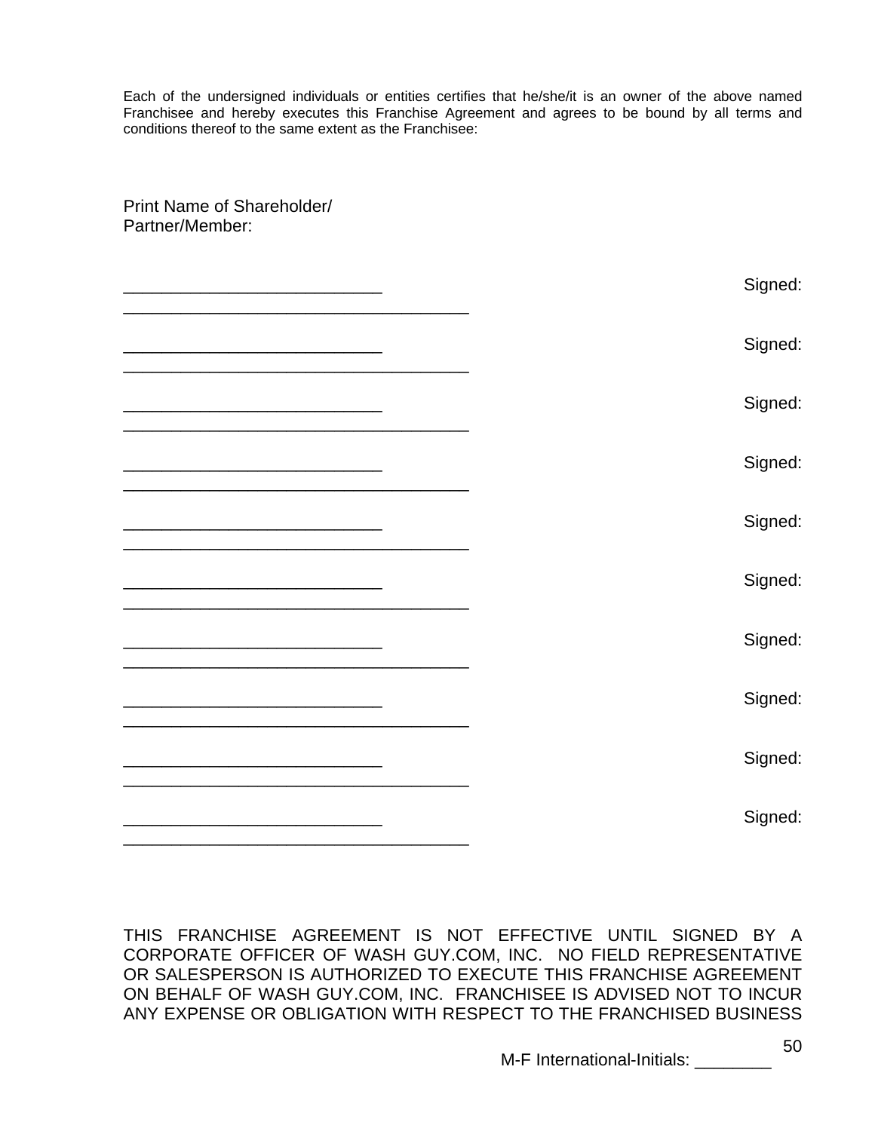Each of the undersigned individuals or entities certifies that he/she/it is an owner of the above named Franchisee and hereby executes this Franchise Agreement and agrees to be bound by all terms and conditions thereof to the same extent as the Franchisee:

Print Name of Shareholder/

| Partner/Member: |         |
|-----------------|---------|
|                 | Signed: |
|                 | Signed: |
|                 | Signed: |
|                 | Signed: |
|                 | Signed: |
|                 | Signed: |
|                 | Signed: |
|                 | Signed: |
|                 | Signed: |
|                 | Signed: |

THIS FRANCHISE AGREEMENT IS NOT EFFECTIVE UNTIL SIGNED BY A CORPORATE OFFICER OF WASH GUY.COM, INC. NO FIELD REPRESENTATIVE OR SALESPERSON IS AUTHORIZED TO EXECUTE THIS FRANCHISE AGREEMENT ON BEHALF OF WASH GUY.COM, INC. FRANCHISEE IS ADVISED NOT TO INCUR ANY EXPENSE OR OBLIGATION WITH RESPECT TO THE FRANCHISED BUSINESS

M-F International-Initials: \_\_\_\_\_\_\_\_

50